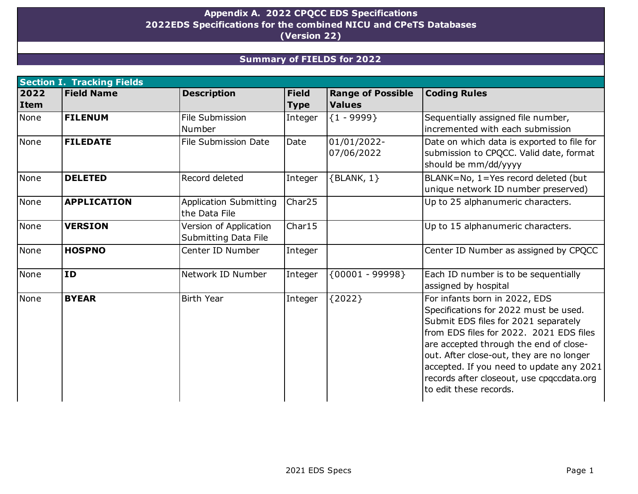## **Appendix A. 2022 CPQCC EDS Specifications (Version 22) 2022EDS Specifications for the combined NICU and CPeTS Databases**

## **Summary of FIELDS for 2022**

|             | <b>Section I. Tracking Fields</b> |                               |              |                          |                                                                     |  |  |  |  |
|-------------|-----------------------------------|-------------------------------|--------------|--------------------------|---------------------------------------------------------------------|--|--|--|--|
| 2022        | <b>Field Name</b>                 | <b>Description</b>            | <b>Field</b> | <b>Range of Possible</b> | <b>Coding Rules</b>                                                 |  |  |  |  |
| <b>Item</b> |                                   |                               | <b>Type</b>  | <b>Values</b>            |                                                                     |  |  |  |  |
| None        | <b>FILENUM</b>                    | File Submission               | Integer      | ${1 - 9999}$             | Sequentially assigned file number,                                  |  |  |  |  |
|             |                                   | Number                        |              |                          | incremented with each submission                                    |  |  |  |  |
| None        | <b>FILEDATE</b>                   | File Submission Date          | Date         | 01/01/2022-              | Date on which data is exported to file for                          |  |  |  |  |
|             |                                   |                               |              | 07/06/2022               | submission to CPQCC. Valid date, format                             |  |  |  |  |
|             |                                   |                               |              |                          | should be mm/dd/yyyy                                                |  |  |  |  |
| None        | <b>DELETED</b>                    | Record deleted                | Integer      | $\{BLANK, 1\}$           | BLANK=No, 1=Yes record deleted (but                                 |  |  |  |  |
|             |                                   |                               |              |                          | unique network ID number preserved)                                 |  |  |  |  |
| None        | <b>APPLICATION</b>                | <b>Application Submitting</b> | Char25       |                          | Up to 25 alphanumeric characters.                                   |  |  |  |  |
|             |                                   | the Data File                 |              |                          |                                                                     |  |  |  |  |
| None        | <b>VERSION</b>                    | Version of Application        | Char15       |                          | Up to 15 alphanumeric characters.                                   |  |  |  |  |
|             |                                   | Submitting Data File          |              |                          |                                                                     |  |  |  |  |
| None        | <b>HOSPNO</b>                     | Center ID Number              | Integer      |                          | Center ID Number as assigned by CPQCC                               |  |  |  |  |
|             |                                   |                               |              |                          |                                                                     |  |  |  |  |
| None        | <b>ID</b>                         | Network ID Number             | Integer      | ${00001 - 99998}$        | Each ID number is to be sequentially                                |  |  |  |  |
|             |                                   |                               |              |                          | assigned by hospital                                                |  |  |  |  |
| None        | <b>BYEAR</b>                      | <b>Birth Year</b>             | Integer      | ${2022}$                 | For infants born in 2022, EDS                                       |  |  |  |  |
|             |                                   |                               |              |                          | Specifications for 2022 must be used.                               |  |  |  |  |
|             |                                   |                               |              |                          | Submit EDS files for 2021 separately                                |  |  |  |  |
|             |                                   |                               |              |                          | Ifrom EDS files for 2022. 2021 EDS files                            |  |  |  |  |
|             |                                   |                               |              |                          | are accepted through the end of close-                              |  |  |  |  |
|             |                                   |                               |              |                          | out. After close-out, they are no longer                            |  |  |  |  |
|             |                                   |                               |              |                          | accepted. If you need to update any 2021                            |  |  |  |  |
|             |                                   |                               |              |                          | records after closeout, use cpqccdata.org<br>to edit these records. |  |  |  |  |
|             |                                   |                               |              |                          |                                                                     |  |  |  |  |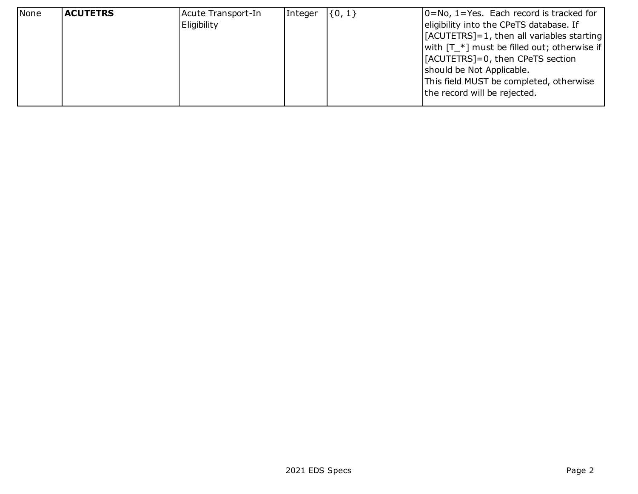| None | <b>ACUTETRS</b> | Acute Transport-In | Integer | $\{0, 1\}$ | $ 0=No, 1=Y$ es. Each record is tracked for           |
|------|-----------------|--------------------|---------|------------|-------------------------------------------------------|
|      |                 | Eligibility        |         |            | eligibility into the CPeTS database. If               |
|      |                 |                    |         |            | $[ACUTETRS]=1$ , then all variables starting          |
|      |                 |                    |         |            | with $[T_{\cdot}^*]$ must be filled out; otherwise if |
|      |                 |                    |         |            | [[ACUTETRS]=0, then CPeTS section                     |
|      |                 |                    |         |            | should be Not Applicable.                             |
|      |                 |                    |         |            | This field MUST be completed, otherwise               |
|      |                 |                    |         |            | the record will be rejected.                          |
|      |                 |                    |         |            |                                                       |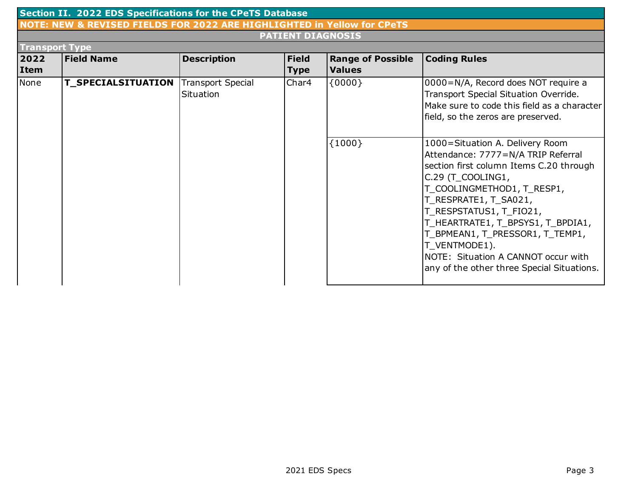| Section II. 2022 EDS Specifications for the CPeTS Database |                                                                         |                                       |              |                          |                                                                                                                                                                                                                                                                                                                                                                                                       |  |  |  |  |
|------------------------------------------------------------|-------------------------------------------------------------------------|---------------------------------------|--------------|--------------------------|-------------------------------------------------------------------------------------------------------------------------------------------------------------------------------------------------------------------------------------------------------------------------------------------------------------------------------------------------------------------------------------------------------|--|--|--|--|
|                                                            | NOTE: NEW & REVISED FIELDS FOR 2022 ARE HIGHLIGHTED in Yellow for CPeTS |                                       |              |                          |                                                                                                                                                                                                                                                                                                                                                                                                       |  |  |  |  |
|                                                            | <b>PATIENT DIAGNOSIS</b>                                                |                                       |              |                          |                                                                                                                                                                                                                                                                                                                                                                                                       |  |  |  |  |
| <b>Transport Type</b>                                      |                                                                         |                                       |              |                          |                                                                                                                                                                                                                                                                                                                                                                                                       |  |  |  |  |
| 2022                                                       | <b>Field Name</b>                                                       | <b>Description</b>                    | <b>Field</b> | <b>Range of Possible</b> | <b>Coding Rules</b>                                                                                                                                                                                                                                                                                                                                                                                   |  |  |  |  |
| Item                                                       |                                                                         |                                       | <b>Type</b>  | <b>Values</b>            |                                                                                                                                                                                                                                                                                                                                                                                                       |  |  |  |  |
| None                                                       | <b>T_SPECIALSITUATION</b>                                               | <b>Transport Special</b><br>Situation | Char4        | ${0000}$                 | 0000=N/A, Record does NOT require a<br>Transport Special Situation Override.<br>Make sure to code this field as a character<br>field, so the zeros are preserved.                                                                                                                                                                                                                                     |  |  |  |  |
|                                                            |                                                                         |                                       |              | ${1000}$                 | 1000=Situation A. Delivery Room<br>Attendance: 7777=N/A TRIP Referral<br>section first column Items C.20 through<br>C.29 (T_COOLING1,<br>T_COOLINGMETHOD1, T_RESP1,<br>T_RESPRATE1, T_SA021,<br>T_RESPSTATUS1, T_FIO21,<br>T_HEARTRATE1, T_BPSYS1, T_BPDIA1,<br>T_BPMEAN1, T_PRESSOR1, T_TEMP1,<br>T_VENTMODE1).<br>NOTE: Situation A CANNOT occur with<br>any of the other three Special Situations. |  |  |  |  |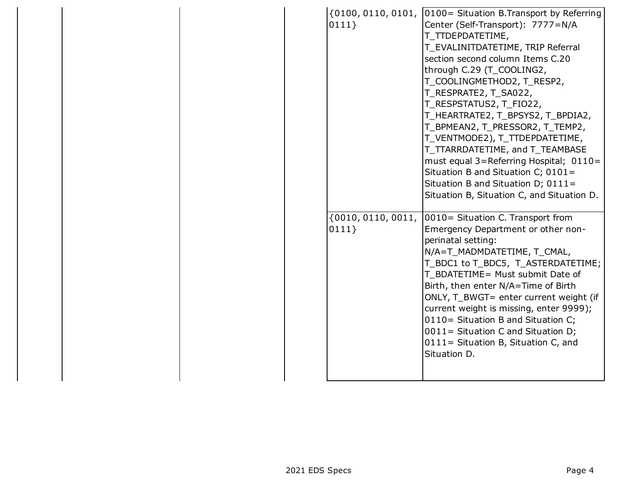| $\{0100, 0110, 0101,$<br>0111 | 0100 = Situation B.Transport by Referring<br>Center (Self-Transport): 7777=N/A<br>T TTDEPDATETIME,<br>T_EVALINITDATETIME, TRIP Referral<br>section second column Items C.20<br>through C.29 (T_COOLING2,<br>T_COOLINGMETHOD2, T_RESP2,<br>T_RESPRATE2, T_SA022,<br>T_RESPSTATUS2, T_FIO22,<br>T_HEARTRATE2, T_BPSYS2, T_BPDIA2,<br>T_BPMEAN2, T_PRESSOR2, T_TEMP2,<br>T_VENTMODE2), T_TTDEPDATETIME,<br>T_TTARRDATETIME, and T_TEAMBASE<br>must equal 3=Referring Hospital; 0110=<br>Situation B and Situation C; 0101=<br>Situation B and Situation D; 0111=<br>Situation B, Situation C, and Situation D. |
|-------------------------------|-------------------------------------------------------------------------------------------------------------------------------------------------------------------------------------------------------------------------------------------------------------------------------------------------------------------------------------------------------------------------------------------------------------------------------------------------------------------------------------------------------------------------------------------------------------------------------------------------------------|
| ${0010, 0110, 0011,$<br>0111  | 0010 = Situation C. Transport from<br>Emergency Department or other non-<br>perinatal setting:<br>N/A=T_MADMDATETIME, T_CMAL,<br>T_BDC1 to T_BDC5, T_ASTERDATETIME;<br>T BDATETIME= Must submit Date of<br>Birth, then enter N/A=Time of Birth<br>ONLY, T_BWGT= enter current weight (if<br>current weight is missing, enter 9999);<br>0110= Situation B and Situation C;<br>0011= Situation C and Situation D;<br>0111= Situation B, Situation C, and<br>Situation D.                                                                                                                                      |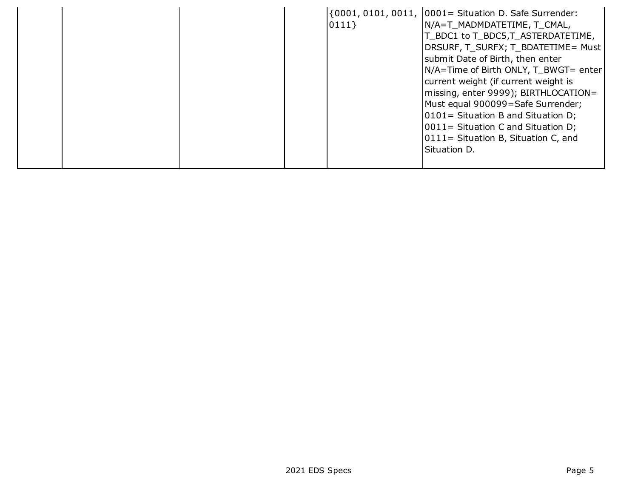|  |  |  |  | $ 0111\rangle$ | $(0001, 0101, 0011, 0001 =$ Situation D. Safe Surrender:<br>N/A=T MADMDATETIME, T CMAL,<br>T_BDC1 to T_BDC5,T_ASTERDATETIME,<br> DRSURF, T_SURFX; T_BDATETIME= Must<br>submit Date of Birth, then enter<br>N/A=Time of Birth ONLY, T BWGT= enter<br>current weight (if current weight is<br>missing, enter 9999); BIRTHLOCATION=<br>Must equal 900099=Safe Surrender;<br>$ 0101$ = Situation B and Situation D;<br>$ 0011 $ Situation C and Situation D;<br>0111 = Situation B, Situation C, and<br>Situation D. |
|--|--|--|--|----------------|------------------------------------------------------------------------------------------------------------------------------------------------------------------------------------------------------------------------------------------------------------------------------------------------------------------------------------------------------------------------------------------------------------------------------------------------------------------------------------------------------------------|
|--|--|--|--|----------------|------------------------------------------------------------------------------------------------------------------------------------------------------------------------------------------------------------------------------------------------------------------------------------------------------------------------------------------------------------------------------------------------------------------------------------------------------------------------------------------------------------------|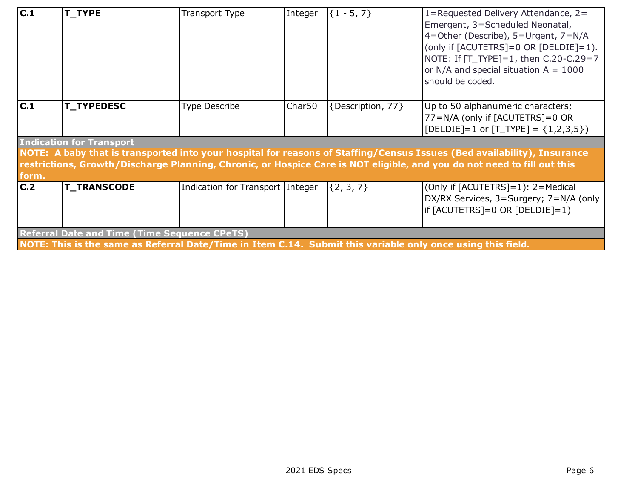| $\overline{C.1}$                                                                                                                                                                                                                                                                      | T_TYPE             | <b>Transport Type</b> | Integer            | ${1 - 5, 7}$      | 1=Requested Delivery Attendance, 2=<br>Emergent, 3=Scheduled Neonatal,<br>4=Other (Describe), 5=Urgent, 7=N/A<br>(only if [ACUTETRS]=0 OR [DELDIE]=1).<br>NOTE: If [T_TYPE]=1, then C.20-C.29=7<br>or N/A and special situation $A = 1000$<br>should be coded. |  |  |
|---------------------------------------------------------------------------------------------------------------------------------------------------------------------------------------------------------------------------------------------------------------------------------------|--------------------|-----------------------|--------------------|-------------------|----------------------------------------------------------------------------------------------------------------------------------------------------------------------------------------------------------------------------------------------------------------|--|--|
| C.1                                                                                                                                                                                                                                                                                   | <b>T_TYPEDESC</b>  | <b>Type Describe</b>  | Char <sub>50</sub> | {Description, 77} | Up to 50 alphanumeric characters;<br>77=N/A (only if [ACUTETRS]=0 OR<br>[ $[DELDIE]=1$ or $[T_TYPE] = \{1,2,3,5\}$ ]                                                                                                                                           |  |  |
| <b>Indication for Transport</b><br>NOTE: A baby that is transported into your hospital for reasons of Staffing/Census Issues (Bed availability), Insurance<br>restrictions, Growth/Discharge Planning, Chronic, or Hospice Care is NOT eligible, and you do not need to fill out this |                    |                       |                    |                   |                                                                                                                                                                                                                                                                |  |  |
| C.2                                                                                                                                                                                                                                                                                   | <b>T_TRANSCODE</b> |                       |                    | $\{2, 3, 7\}$     | (Only if [ACUTETRS]=1): 2=Medical<br>DX/RX Services, 3=Surgery; 7=N/A (only<br>$if [ACUTETRS]=0 OR [DELDIE]=1)$                                                                                                                                                |  |  |
|                                                                                                                                                                                                                                                                                       |                    |                       |                    |                   |                                                                                                                                                                                                                                                                |  |  |
| form.<br>Indication for Transport Integer<br><b>Referral Date and Time (Time Sequence CPeTS)</b><br>NOTE: This is the same as Referral Date/Time in Item C.14. Submit this variable only once using this field.                                                                       |                    |                       |                    |                   |                                                                                                                                                                                                                                                                |  |  |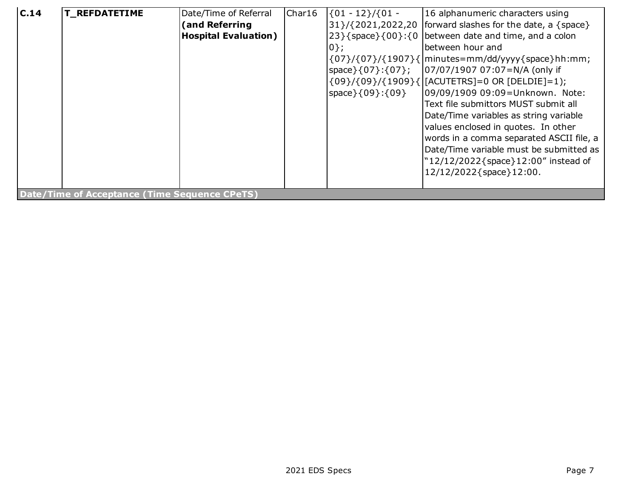| C.14 | <b>T_REFDATETIME</b>                          | Date/Time of Referral<br>(and Referring<br><b>Hospital Evaluation)</b> | Char16 | $\{01 - 12\}/\{01 -$<br>$ 0\rangle$ ;<br>space } { 09 } : { 09 } | 16 alphanumeric characters using<br>$31}/(2021,2022,20$ forward slashes for the date, a {space}<br>$\{23\}$ {space}{00}:{0   between date and time, and a colon<br>lbetween hour and<br>$\{07\}/\{07\}/\{1907\}\$   minutes=mm/dd/yyyy $\{\text{space}\}$ hh:mm;<br>\{09}/{09}/{1909}{ [ACUTETRS]=0 OR [DELDIE]=1);<br>09/09/1909 09:09=Unknown. Note:<br>Text file submittors MUST submit all<br>Date/Time variables as string variable<br>values enclosed in quotes. In other<br>words in a comma separated ASCII file, a<br>Date/Time variable must be submitted as<br>"12/12/2022{space}12:00" instead of<br>12/12/2022{space}12:00. |  |  |  |
|------|-----------------------------------------------|------------------------------------------------------------------------|--------|------------------------------------------------------------------|------------------------------------------------------------------------------------------------------------------------------------------------------------------------------------------------------------------------------------------------------------------------------------------------------------------------------------------------------------------------------------------------------------------------------------------------------------------------------------------------------------------------------------------------------------------------------------------------------------------------------------------|--|--|--|
|      | Date/Time of Acceptance (Time Sequence CPeTS) |                                                                        |        |                                                                  |                                                                                                                                                                                                                                                                                                                                                                                                                                                                                                                                                                                                                                          |  |  |  |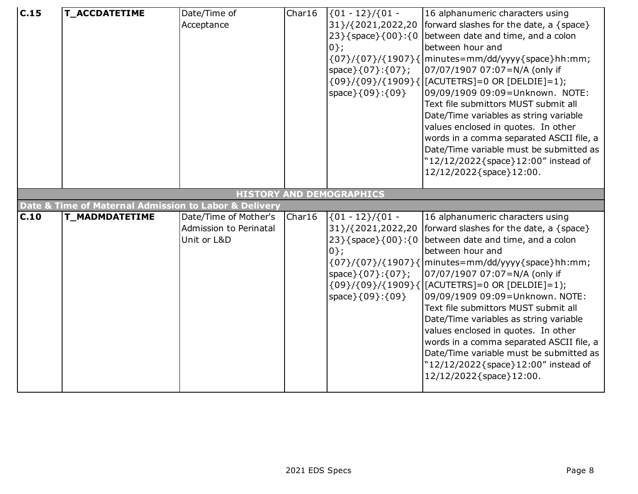| c.15              | <b>T_ACCDATETIME</b>                                                           | Date/Time of<br>Acceptance                                     | Char16 | $(01 - 12) / (01 -$<br>31 } / { 2021, 2022, 20<br>23 } { space } { 00 } : { 0<br>$0$ };                                                    | 16 alphanumeric characters using<br>forward slashes for the date, a $\{space\}$<br>between date and time, and a colon<br>between hour and<br>$\{07\}/\{07\}/\{1907\}\{\text{minutes}=\text{mm}/\text{dd}/\text{y}\}\$ space } hh:mm;                                                                                                                                                                                                                                                                                                                                                                                                                                |
|-------------------|--------------------------------------------------------------------------------|----------------------------------------------------------------|--------|--------------------------------------------------------------------------------------------------------------------------------------------|---------------------------------------------------------------------------------------------------------------------------------------------------------------------------------------------------------------------------------------------------------------------------------------------------------------------------------------------------------------------------------------------------------------------------------------------------------------------------------------------------------------------------------------------------------------------------------------------------------------------------------------------------------------------|
|                   |                                                                                |                                                                |        | $space\}$ {07}:{07};<br>space } { 09 } : { 09 }                                                                                            | 07/07/1907 07:07=N/A (only if<br>{09}/{09}/{1909}{ [ACUTETRS]=0 OR [DELDIE]=1);<br>09/09/1909 09:09=Unknown. NOTE:<br>Text file submittors MUST submit all<br>Date/Time variables as string variable<br>values enclosed in quotes. In other<br>words in a comma separated ASCII file, a<br>Date/Time variable must be submitted as<br>"12/12/2022{space}12:00" instead of<br>12/12/2022{space}12:00.                                                                                                                                                                                                                                                                |
|                   |                                                                                |                                                                |        | <b>HISTORY AND DEMOGRAPHICS</b>                                                                                                            |                                                                                                                                                                                                                                                                                                                                                                                                                                                                                                                                                                                                                                                                     |
| $\overline{C}.10$ | Date & Time of Maternal Admission to Labor & Delivery<br><b>T_MADMDATETIME</b> | Date/Time of Mother's<br>Admission to Perinatal<br>Unit or L&D | Char16 | $\{01 - 12\}/\{01 -$<br>31}/{2021,2022,20<br>23 } { space } { 00 } : { 0<br>$0$ };<br>space } { 07 } : { 07 } ;<br>space } { 09 } : { 09 } | 16 alphanumeric characters using<br>forward slashes for the date, a {space}<br>between date and time, and a colon<br>between hour and<br>$\{07\}/\{07\}/\{1907\}\{\text{minutes}=\text{mm}/\text{dd}/\text{y}\text{y}\{\text{space}\}\text{hh}:\text{mm}\}$<br>07/07/1907 07:07=N/A (only if<br>{09}/{09}/{1909}{ [ACUTETRS]=0 OR [DELDIE]=1);<br>09/09/1909 09:09=Unknown. NOTE:<br>Text file submittors MUST submit all<br>Date/Time variables as string variable<br>values enclosed in quotes. In other<br>words in a comma separated ASCII file, a<br>Date/Time variable must be submitted as<br>"12/12/2022{space}12:00" instead of<br>12/12/2022{space}12:00. |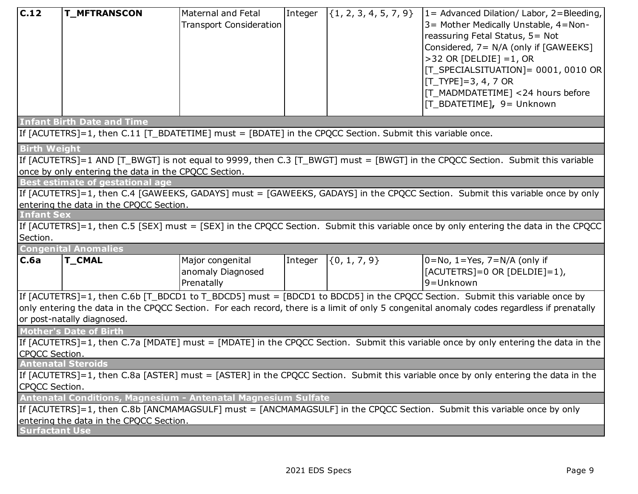| C.12                                                                                                                               | <b>T_MFTRANSCON</b>                                                                                                                | Maternal and Fetal<br><b>Transport Consideration</b> | Integer | $\{\{1, 2, 3, 4, 5, 7, 9\}$ | $1 =$ Advanced Dilation/ Labor, 2=Bleeding,<br>3 = Mother Medically Unstable, 4 = Non-<br>reassuring Fetal Status, 5= Not<br>Considered, 7= N/A (only if [GAWEEKS]<br>$>32$ OR [DELDIE] = 1, OR<br>[T_SPECIALSITUATION]= 0001, 0010 OR<br>$[T_TYPE]=3, 4, 7$ OR<br>[[T_MADMDATETIME] <24 hours before<br>[T BDATETIME], 9= Unknown |  |  |
|------------------------------------------------------------------------------------------------------------------------------------|------------------------------------------------------------------------------------------------------------------------------------|------------------------------------------------------|---------|-----------------------------|------------------------------------------------------------------------------------------------------------------------------------------------------------------------------------------------------------------------------------------------------------------------------------------------------------------------------------|--|--|
|                                                                                                                                    | <b>Infant Birth Date and Time</b>                                                                                                  |                                                      |         |                             |                                                                                                                                                                                                                                                                                                                                    |  |  |
|                                                                                                                                    | If [ACUTETRS]=1, then C.11 [T_BDATETIME] must = [BDATE] in the CPQCC Section. Submit this variable once.                           |                                                      |         |                             |                                                                                                                                                                                                                                                                                                                                    |  |  |
| <b>Birth Weight</b>                                                                                                                |                                                                                                                                    |                                                      |         |                             |                                                                                                                                                                                                                                                                                                                                    |  |  |
|                                                                                                                                    |                                                                                                                                    |                                                      |         |                             | If [ACUTETRS]=1 AND [T_BWGT] is not equal to 9999, then C.3 [T_BWGT] must = [BWGT] in the CPQCC Section. Submit this variable                                                                                                                                                                                                      |  |  |
|                                                                                                                                    | once by only entering the data in the CPQCC Section.                                                                               |                                                      |         |                             |                                                                                                                                                                                                                                                                                                                                    |  |  |
|                                                                                                                                    | <b>Best estimate of gestational age</b>                                                                                            |                                                      |         |                             | If [ACUTETRS]=1, then C.4 [GAWEEKS, GADAYS] must = [GAWEEKS, GADAYS] in the CPQCC Section. Submit this variable once by only                                                                                                                                                                                                       |  |  |
|                                                                                                                                    | entering the data in the CPQCC Section.                                                                                            |                                                      |         |                             |                                                                                                                                                                                                                                                                                                                                    |  |  |
| <b>Infant Sex</b>                                                                                                                  |                                                                                                                                    |                                                      |         |                             |                                                                                                                                                                                                                                                                                                                                    |  |  |
|                                                                                                                                    |                                                                                                                                    |                                                      |         |                             | If [ACUTETRS]=1, then C.5 [SEX] must = [SEX] in the CPQCC Section. Submit this variable once by only entering the data in the CPQCC                                                                                                                                                                                                |  |  |
| Section.                                                                                                                           |                                                                                                                                    |                                                      |         |                             |                                                                                                                                                                                                                                                                                                                                    |  |  |
|                                                                                                                                    | <b>Congenital Anomalies</b>                                                                                                        |                                                      |         |                             |                                                                                                                                                                                                                                                                                                                                    |  |  |
| C.6a                                                                                                                               | <b>T_CMAL</b>                                                                                                                      | Major congenital<br>anomaly Diagnosed<br>Prenatally  | Integer | $\{0, 1, 7, 9\}$            | $ 0=$ No, 1=Yes, 7=N/A (only if<br>$[ACUTETRS]=0$ OR $[DELDIE]=1$ ),<br>9=Unknown                                                                                                                                                                                                                                                  |  |  |
|                                                                                                                                    |                                                                                                                                    |                                                      |         |                             | If [ACUTETRS]=1, then C.6b [T_BDCD1 to T_BDCD5] must = [BDCD1 to BDCD5] in the CPQCC Section. Submit this variable once by                                                                                                                                                                                                         |  |  |
|                                                                                                                                    |                                                                                                                                    |                                                      |         |                             | only entering the data in the CPQCC Section. For each record, there is a limit of only 5 congenital anomaly codes regardless if prenatally                                                                                                                                                                                         |  |  |
|                                                                                                                                    | or post-natally diagnosed.                                                                                                         |                                                      |         |                             |                                                                                                                                                                                                                                                                                                                                    |  |  |
|                                                                                                                                    | <b>Mother's Date of Birth</b>                                                                                                      |                                                      |         |                             |                                                                                                                                                                                                                                                                                                                                    |  |  |
| If [ACUTETRS]=1, then C.7a [MDATE] must = [MDATE] in the CPQCC Section. Submit this variable once by only entering the data in the |                                                                                                                                    |                                                      |         |                             |                                                                                                                                                                                                                                                                                                                                    |  |  |
| CPOCC Section.<br><b>Antenatal Steroids</b>                                                                                        |                                                                                                                                    |                                                      |         |                             |                                                                                                                                                                                                                                                                                                                                    |  |  |
|                                                                                                                                    | If [ACUTETRS]=1, then C.8a [ASTER] must = [ASTER] in the CPQCC Section. Submit this variable once by only entering the data in the |                                                      |         |                             |                                                                                                                                                                                                                                                                                                                                    |  |  |
| CPQCC Section.                                                                                                                     |                                                                                                                                    |                                                      |         |                             |                                                                                                                                                                                                                                                                                                                                    |  |  |
|                                                                                                                                    | Antenatal Conditions, Magnesium - Antenatal Magnesium Sulfate                                                                      |                                                      |         |                             |                                                                                                                                                                                                                                                                                                                                    |  |  |
|                                                                                                                                    |                                                                                                                                    |                                                      |         |                             | If [ACUTETRS]=1, then C.8b [ANCMAMAGSULF] must = [ANCMAMAGSULF] in the CPQCC Section. Submit this variable once by only                                                                                                                                                                                                            |  |  |
|                                                                                                                                    | entering the data in the CPQCC Section.                                                                                            |                                                      |         |                             |                                                                                                                                                                                                                                                                                                                                    |  |  |
| <b>Surfactant Use</b>                                                                                                              |                                                                                                                                    |                                                      |         |                             |                                                                                                                                                                                                                                                                                                                                    |  |  |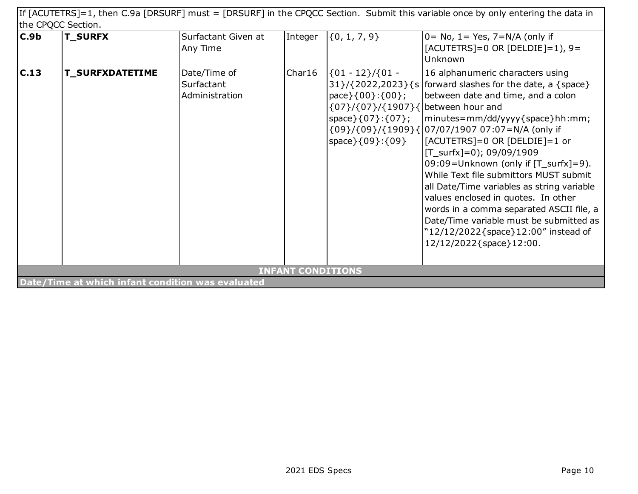|      | If [ACUTETRS]=1, then C.9a [DRSURF] must = [DRSURF] in the CPQCC Section. Submit this variable once by only entering the data in |                                              |                          |                                                                                                                                                 |                                                                                                                                                                                                                                                                                                                                                                                                                                                                                                                                                                                                                                         |  |  |  |
|------|----------------------------------------------------------------------------------------------------------------------------------|----------------------------------------------|--------------------------|-------------------------------------------------------------------------------------------------------------------------------------------------|-----------------------------------------------------------------------------------------------------------------------------------------------------------------------------------------------------------------------------------------------------------------------------------------------------------------------------------------------------------------------------------------------------------------------------------------------------------------------------------------------------------------------------------------------------------------------------------------------------------------------------------------|--|--|--|
|      | the CPQCC Section.                                                                                                               |                                              |                          |                                                                                                                                                 |                                                                                                                                                                                                                                                                                                                                                                                                                                                                                                                                                                                                                                         |  |  |  |
| C.9b | <b>T_SURFX</b>                                                                                                                   | Surfactant Given at<br>Any Time              | Integer                  | $\{0, 1, 7, 9\}$                                                                                                                                | $0 = No$ , $1 = Yes$ , $7=N/A$ (only if<br>$[ACUTETRS] = 0$ OR $[DELDIE] = 1$ , 9 =<br>Unknown                                                                                                                                                                                                                                                                                                                                                                                                                                                                                                                                          |  |  |  |
| C.13 | <b>T_SURFXDATETIME</b>                                                                                                           | Date/Time of<br>Surfactant<br>Administration | Char16                   | $\{01 - 12\}/\{01 -$<br>pace $\{00\}:\{00\}$ ;<br>$\{07\}/\{07\}/\{1907\}\$ between hour and<br>$space\}$ {07}:{07};<br>space } { 09 } : { 09 } | 16 alphanumeric characters using<br>$31}/(2022,2023)\$ {s   forward slashes for the date, a {space}<br>between date and time, and a colon<br> minutes=mm/dd/yyyy{space}hh:mm;<br>{09}/{09}/{1909}{ 07/07/1907 07:07=N/A (only if<br>$[ACUTETRS] = 0$ OR $[DELDIE] = 1$ or<br>$[T_surfx]=0$ ; 09/09/1909<br>09:09=Unknown (only if [T_surfx]=9).<br>While Text file submittors MUST submit<br>all Date/Time variables as string variable<br>values enclosed in quotes. In other<br>words in a comma separated ASCII file, a<br>Date/Time variable must be submitted as<br>"12/12/2022{space}12:00" instead of<br>12/12/2022{space}12:00. |  |  |  |
|      |                                                                                                                                  |                                              | <b>INFANT CONDITIONS</b> |                                                                                                                                                 |                                                                                                                                                                                                                                                                                                                                                                                                                                                                                                                                                                                                                                         |  |  |  |
|      | Date/Time at which infant condition was evaluated                                                                                |                                              |                          |                                                                                                                                                 |                                                                                                                                                                                                                                                                                                                                                                                                                                                                                                                                                                                                                                         |  |  |  |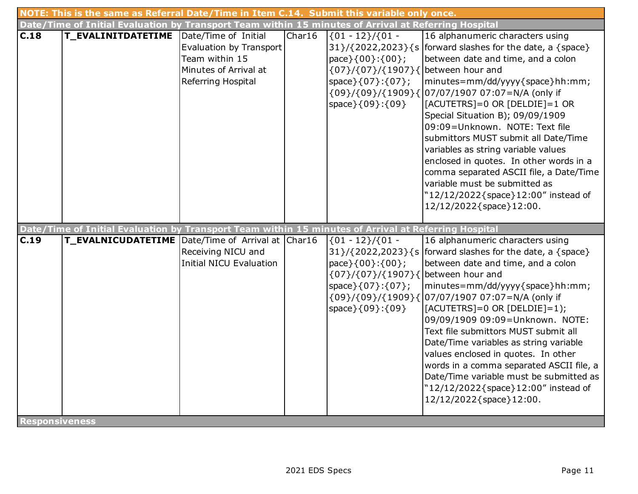|                               | NOTE: This is the same as Referral Date/Time in Item C.14. Submit this variable only once.           |                                                                                                                  |        |                                                                                                                                                                  |                                                                                                                                                                                                                                                                                                                                                                                                                                                                                                                                                                                          |  |  |
|-------------------------------|------------------------------------------------------------------------------------------------------|------------------------------------------------------------------------------------------------------------------|--------|------------------------------------------------------------------------------------------------------------------------------------------------------------------|------------------------------------------------------------------------------------------------------------------------------------------------------------------------------------------------------------------------------------------------------------------------------------------------------------------------------------------------------------------------------------------------------------------------------------------------------------------------------------------------------------------------------------------------------------------------------------------|--|--|
|                               | Date/Time of Initial Evaluation by Transport Team within 15 minutes of Arrival at Referring Hospital |                                                                                                                  |        |                                                                                                                                                                  |                                                                                                                                                                                                                                                                                                                                                                                                                                                                                                                                                                                          |  |  |
| C.18                          | <b>T_EVALINITDATETIME</b>                                                                            | Date/Time of Initial<br>Evaluation by Transport<br>Team within 15<br>Minutes of Arrival at<br>Referring Hospital | Char16 | $(01 - 12) / (01 -$<br>$31}/(2022,2023)\$<br>pace } { 00 } : { 00 } ;<br>{07}/{07}/{1907}{between hour and<br>space $\{07\}:\{07\}$ ;<br>space } { 09 } : { 09 } | 16 alphanumeric characters using<br>forward slashes for the date, a {space}<br>between date and time, and a colon<br>minutes=mm/dd/yyyy{space}hh:mm;<br>{09}/{09}/{1909}{ 07/07/1907 07:07=N/A (only if<br>[ACUTETRS]=0 OR [DELDIE]=1 OR<br>Special Situation B); 09/09/1909<br>09:09=Unknown. NOTE: Text file<br>submittors MUST submit all Date/Time<br>variables as string variable values<br>enclosed in quotes. In other words in a<br>comma separated ASCII file, a Date/Time<br>variable must be submitted as<br>"12/12/2022{space}12:00" instead of<br>12/12/2022{space}12:00.   |  |  |
|                               | Date/Time of Initial Evaluation by Transport Team within 15 minutes of Arrival at Referring Hospital |                                                                                                                  |        |                                                                                                                                                                  |                                                                                                                                                                                                                                                                                                                                                                                                                                                                                                                                                                                          |  |  |
| C.19<br><b>Responsiveness</b> | T_EVALNICUDATETIME Date/Time of Arrival at Char16                                                    | Receiving NICU and<br><b>Initial NICU Evaluation</b>                                                             |        | ${01 - 12}/{01 -$<br>pace } { 00 } : { 00 } ;<br>{07}/{07}/{1907}{between hour and<br>space } { 07 } : { 07 } ;<br>space } { 09 } : { 09 }                       | 16 alphanumeric characters using<br>$31}/(2022,2023)\$ {s   forward slashes for the date, a {space}<br>between date and time, and a colon<br>minutes=mm/dd/yyyy{space}hh:mm;<br>{09}/{09}/{1909}{ 07/07/1907 07:07=N/A (only if<br>$[ACUTETRS]=0$ OR $[DELDIE]=1$ ;<br>09/09/1909 09:09=Unknown. NOTE:<br>Text file submittors MUST submit all<br>Date/Time variables as string variable<br>values enclosed in quotes. In other<br>words in a comma separated ASCII file, a<br>Date/Time variable must be submitted as<br>"12/12/2022{space}12:00" instead of<br>12/12/2022{space}12:00. |  |  |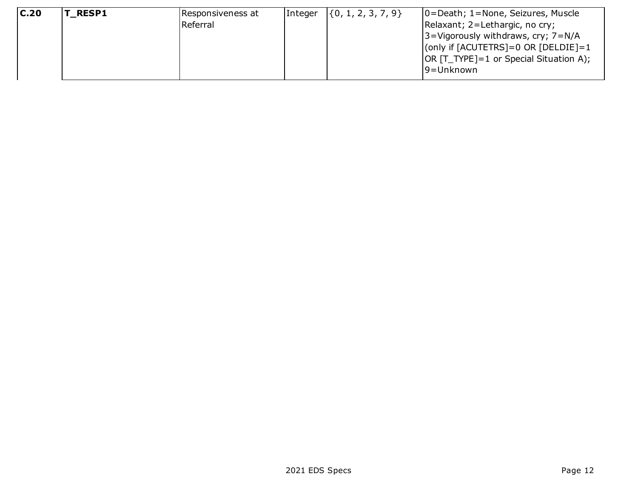| C.20 | <b>T RESP1</b> | Responsiveness at | Integer | $\{\{0, 1, 2, 3, 7, 9\}\}$ | $ 0=$ Death; 1=None, Seizures, Muscle  |
|------|----------------|-------------------|---------|----------------------------|----------------------------------------|
|      |                | Referral          |         |                            | Relaxant; 2=Lethargic, no cry;         |
|      |                |                   |         |                            | 3=Vigorously withdraws, cry; 7=N/A     |
|      |                |                   |         |                            | (only if [ACUTETRS]=0 OR [DELDIE]=1    |
|      |                |                   |         |                            | OR [T_TYPE]=1 or Special Situation A); |
|      |                |                   |         |                            | 19=Unknown                             |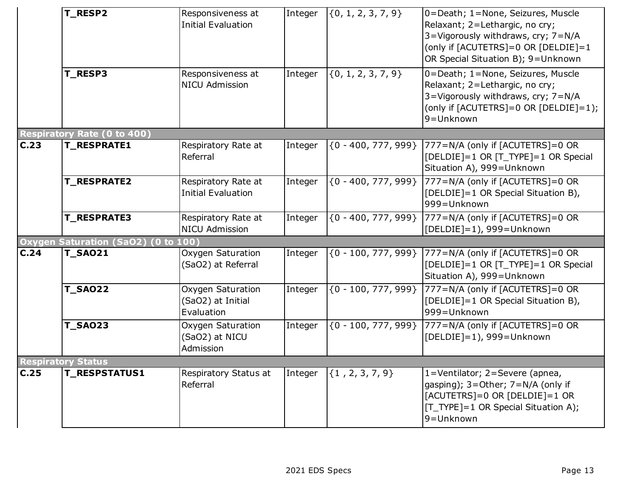|      | T_RESP2<br>T_RESP3                  | Responsiveness at<br><b>Initial Evaluation</b><br>Responsiveness at<br><b>NICU Admission</b> | Integer<br>Integer | $\{0, 1, 2, 3, 7, 9\}$<br>$\{0, 1, 2, 3, 7, 9\}$ | 0=Death; 1=None, Seizures, Muscle<br>Relaxant; 2=Lethargic, no cry;<br>3=Vigorously withdraws, cry; 7=N/A<br>(only if [ACUTETRS]=0 OR [DELDIE]=1<br>OR Special Situation B); 9=Unknown<br>0=Death; 1=None, Seizures, Muscle<br>Relaxant; 2=Lethargic, no cry;<br>3=Vigorously withdraws, cry; 7=N/A |
|------|-------------------------------------|----------------------------------------------------------------------------------------------|--------------------|--------------------------------------------------|-----------------------------------------------------------------------------------------------------------------------------------------------------------------------------------------------------------------------------------------------------------------------------------------------------|
|      |                                     |                                                                                              |                    |                                                  | (only if [ACUTETRS]=0 OR [DELDIE]=1);<br>9=Unknown                                                                                                                                                                                                                                                  |
|      | Respiratory Rate (0 to 400)         |                                                                                              |                    |                                                  |                                                                                                                                                                                                                                                                                                     |
| C.23 | <b>T_RESPRATE1</b>                  | Respiratory Rate at<br>Referral                                                              | Integer            | ${0 - 400, 777, 999}$                            | 777=N/A (only if [ACUTETRS]=0 OR<br>[DELDIE]=1 OR [T_TYPE]=1 OR Special<br>Situation A), 999=Unknown                                                                                                                                                                                                |
|      | <b>T_RESPRATE2</b>                  | Respiratory Rate at<br><b>Initial Evaluation</b>                                             | Integer            | ${0 - 400, 777, 999}$                            | 777=N/A (only if [ACUTETRS]=0 OR<br>[DELDIE]=1 OR Special Situation B),<br>999=Unknown                                                                                                                                                                                                              |
|      | <b>T_RESPRATE3</b>                  | Respiratory Rate at<br><b>NICU Admission</b>                                                 | Integer            | ${0 - 400, 777, 999}$                            | 777=N/A (only if [ACUTETRS]=0 OR<br>$[DELDIE]=1$ ), 999=Unknown                                                                                                                                                                                                                                     |
|      | Oxygen Saturation (SaO2) (0 to 100) |                                                                                              |                    |                                                  |                                                                                                                                                                                                                                                                                                     |
| C.24 | <b>T_SAO21</b>                      | Oxygen Saturation<br>(SaO2) at Referral                                                      | Integer            | $\{0 - 100, 777, 999\}$                          | 777=N/A (only if [ACUTETRS]=0 OR<br>[DELDIE]=1 OR [T_TYPE]=1 OR Special<br>Situation A), 999=Unknown                                                                                                                                                                                                |
|      | <b>T_SAO22</b>                      | Oxygen Saturation<br>(SaO2) at Initial<br>Evaluation                                         | Integer            | ${0 - 100, 777, 999}$                            | 777=N/A (only if [ACUTETRS]=0 OR<br>[DELDIE]=1 OR Special Situation B),<br>999=Unknown                                                                                                                                                                                                              |
|      | <b>T_SAO23</b>                      | Oxygen Saturation<br>(SaO2) at NICU<br>Admission                                             | Integer            | ${0 - 100, 777, 999}$                            | 777=N/A (only if [ACUTETRS]=0 OR<br>[DELDIE]=1), 999=Unknown                                                                                                                                                                                                                                        |
|      | <b>Respiratory Status</b>           |                                                                                              |                    |                                                  |                                                                                                                                                                                                                                                                                                     |
| C.25 | <b>T_RESPSTATUS1</b>                | Respiratory Status at<br>Referral                                                            | Integer            | $\{1, 2, 3, 7, 9\}$                              | 1=Ventilator; 2=Severe (apnea,<br>gasping); 3=Other; 7=N/A (only if<br>$[ACUTETRS] = 0$ OR $[DELDIE] = 1$ OR<br>[T_TYPE]=1 OR Special Situation A);<br>9=Unknown                                                                                                                                    |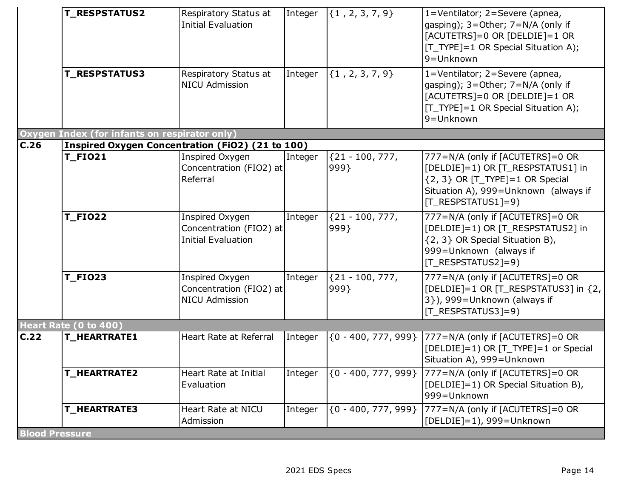|                       | <b>T_RESPSTATUS2</b>                             | Respiratory Status at<br><b>Initial Evaluation</b>                      | Integer | $\{1, 2, 3, 7, 9\}$       | 1=Ventilator; 2=Severe (apnea,<br>gasping); 3=Other; 7=N/A (only if<br>$[ACUTETRS] = 0$ OR $[DELDIE] = 1$ OR<br>[T_TYPE]=1 OR Special Situation A);<br>9=Unknown           |
|-----------------------|--------------------------------------------------|-------------------------------------------------------------------------|---------|---------------------------|----------------------------------------------------------------------------------------------------------------------------------------------------------------------------|
|                       | <b>T_RESPSTATUS3</b>                             | Respiratory Status at<br><b>NICU Admission</b>                          | Integer | $\{1, 2, 3, 7, 9\}$       | $\overline{1}$ =Ventilator; 2=Severe (apnea,<br>gasping); 3=Other; 7=N/A (only if<br>$[ACUTETRS]=0$ OR $[DELDIE]=1$ OR<br>[T_TYPE]=1 OR Special Situation A);<br>9=Unknown |
|                       | Oxygen Index (for infants on respirator only)    |                                                                         |         |                           |                                                                                                                                                                            |
| C.26                  | Inspired Oxygen Concentration (FiO2) (21 to 100) |                                                                         |         |                           |                                                                                                                                                                            |
|                       | <b>T_FIO21</b>                                   | Inspired Oxygen<br>Concentration (FIO2) at<br>Referral                  | Integer | ${21 - 100, 777,$<br>999  | 777=N/A (only if [ACUTETRS]=0 OR<br>[DELDIE]=1) OR [T_RESPSTATUS1] in<br>$\{2, 3\}$ OR [T_TYPE]=1 OR Special<br>Situation A), 999=Unknown (always if<br>[T RESPSTATUS1]=9) |
|                       | <b>T_FIO22</b>                                   | Inspired Oxygen<br>Concentration (FIO2) at<br><b>Initial Evaluation</b> | Integer | ${21 - 100, 777}$<br>999  | 777=N/A (only if [ACUTETRS]=0 OR<br>[DELDIE]=1) OR [T_RESPSTATUS2] in<br>{2, 3} OR Special Situation B),<br>999=Unknown (always if<br>[T_RESPSTATUS2]=9)                   |
|                       | <b>T_FIO23</b>                                   | Inspired Oxygen<br>Concentration (FIO2) at<br><b>NICU Admission</b>     | Integer | ${21 - 100, 777,$<br>999} | 777=N/A (only if [ACUTETRS]=0 OR<br>[DELDIE]=1 OR [T_RESPSTATUS3] in {2,<br>3}), 999=Unknown (always if<br>[T_RESPSTATUS3]=9)                                              |
|                       | Heart Rate (0 to 400)                            |                                                                         |         |                           |                                                                                                                                                                            |
| C.22                  | <b>T_HEARTRATE1</b>                              | Heart Rate at Referral                                                  | Integer |                           | {0 - 400, 777, 999}  777=N/A (only if [ACUTETRS]=0 OR<br>[DELDIE]=1) OR [T_TYPE]=1 or Special<br>Situation A), 999=Unknown                                                 |
|                       | <b>T_HEARTRATE2</b>                              | Heart Rate at Initial<br>Evaluation                                     | Integer |                           | {0 - 400, 777, 999} 777=N/A (only if [ACUTETRS]=0 OR<br>[DELDIE]=1) OR Special Situation B),<br>999=Unknown                                                                |
|                       | <b>T_HEARTRATE3</b>                              | Heart Rate at NICU<br>Admission                                         | Integer | ${0 - 400, 777, 999}$     | 777=N/A (only if [ACUTETRS]=0 OR<br>[DELDIE]=1), 999=Unknown                                                                                                               |
| <b>Blood Pressure</b> |                                                  |                                                                         |         |                           |                                                                                                                                                                            |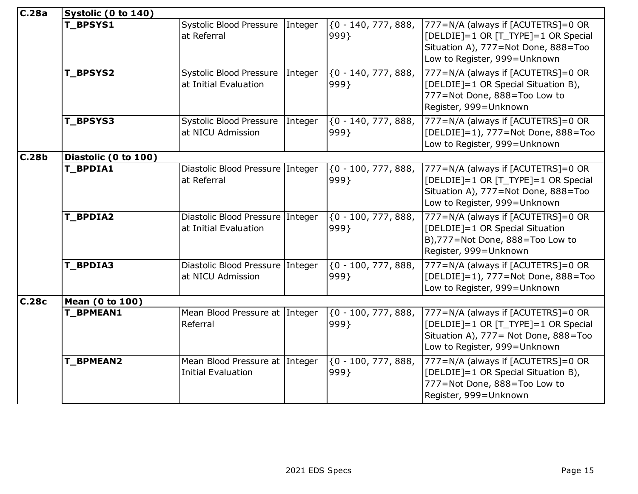| C.28a | Systolic (0 to 140)  |                                                             |         |                                           |                                                                                                                                                      |  |  |  |
|-------|----------------------|-------------------------------------------------------------|---------|-------------------------------------------|------------------------------------------------------------------------------------------------------------------------------------------------------|--|--|--|
|       | T_BPSYS1             | <b>Systolic Blood Pressure</b><br>at Referral               | Integer | ${0 - 140, 777, 888,$<br>999}             | 777=N/A (always if [ACUTETRS]=0 OR<br>[DELDIE]=1 OR [T_TYPE]=1 OR Special<br>Situation A), 777=Not Done, 888=Too<br>Low to Register, 999=Unknown     |  |  |  |
|       | <b>T_BPSYS2</b>      | Systolic Blood Pressure<br>at Initial Evaluation            | Integer | $\overline{60 - 140}$ , 777, 888,<br>999} | 777=N/A (always if [ACUTETRS]=0 OR<br>[DELDIE]=1 OR Special Situation B),<br>777=Not Done, 888=Too Low to<br>Register, 999=Unknown                   |  |  |  |
|       | T_BPSYS3             | Systolic Blood Pressure<br>at NICU Admission                | Integer | ${0 - 140, 777, 888,$<br>999}             | 777=N/A (always if [ACUTETRS]=0 OR<br>[DELDIE]=1), 777=Not Done, 888=Too<br>Low to Register, 999=Unknown                                             |  |  |  |
| C.28b | Diastolic (0 to 100) |                                                             |         |                                           |                                                                                                                                                      |  |  |  |
|       | <b>T_BPDIA1</b>      | Diastolic Blood Pressure Integer<br>at Referral             |         | ${0 - 100, 777, 888,$<br>999}             | 777=N/A (always if [ACUTETRS]=0 OR<br>[DELDIE]=1 OR [T_TYPE]=1 OR Special<br>Situation A), 777=Not Done, 888=Too<br>Low to Register, 999=Unknown     |  |  |  |
|       | T_BPDIA2             | Diastolic Blood Pressure Integer<br>at Initial Evaluation   |         | $\{0 - 100, 777, 888\}$<br>999}           | 777=N/A (always if [ACUTETRS]=0 OR<br>[DELDIE]=1 OR Special Situation<br>B),777=Not Done, 888=Too Low to<br>Register, 999=Unknown                    |  |  |  |
|       | T_BPDIA3             | Diastolic Blood Pressure Integer<br>at NICU Admission       |         | ${0 - 100, 777, 888,$<br>999}             | 777=N/A (always if [ACUTETRS]=0 OR<br>[DELDIE]=1), 777=Not Done, 888=Too<br>Low to Register, 999=Unknown                                             |  |  |  |
| C.28c | Mean (0 to 100)      |                                                             |         |                                           |                                                                                                                                                      |  |  |  |
|       | T_BPMEAN1            | Mean Blood Pressure at Integer<br>Referral                  |         | ${0 - 100, 777, 888,$<br>999}             | 777=N/A (always if [ACUTETRS]=0 OR<br>[DELDIE]=1 OR [T_TYPE]=1 OR Special<br>Situation A), 777 = Not Done, 888 = Too<br>Low to Register, 999=Unknown |  |  |  |
|       | T_BPMEAN2            | Mean Blood Pressure at Integer<br><b>Initial Evaluation</b> |         | ${0 - 100, 777, 888,$<br>999}             | 777=N/A (always if [ACUTETRS]=0 OR<br>[DELDIE]=1 OR Special Situation B),<br>777=Not Done, 888=Too Low to<br>Register, 999=Unknown                   |  |  |  |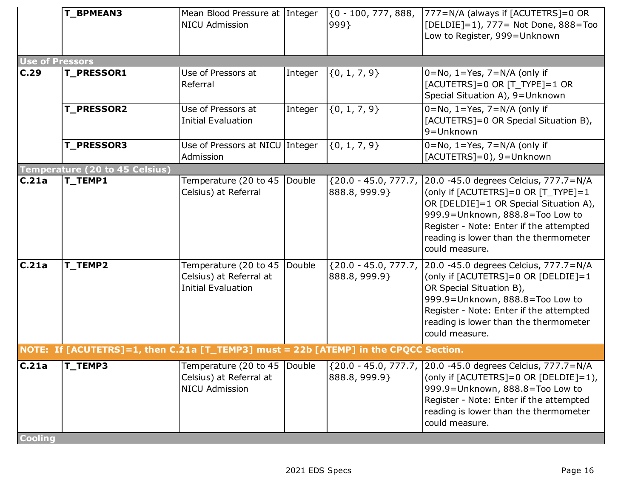|                        | T_BPMEAN3                                                                            | Mean Blood Pressure at Integer<br><b>NICU Admission</b>                       |         | $(0 - 100, 777, 888,$<br>999}           | 777=N/A (always if [ACUTETRS]=0 OR<br>[DELDIE]=1), 777= Not Done, 888=Too<br>Low to Register, 999=Unknown                                                                                                                                                                    |
|------------------------|--------------------------------------------------------------------------------------|-------------------------------------------------------------------------------|---------|-----------------------------------------|------------------------------------------------------------------------------------------------------------------------------------------------------------------------------------------------------------------------------------------------------------------------------|
| <b>Use of Pressors</b> |                                                                                      |                                                                               |         |                                         |                                                                                                                                                                                                                                                                              |
| C.29                   | <b>T_PRESSOR1</b>                                                                    | Use of Pressors at<br>Referral                                                | Integer | $\{0, 1, 7, 9\}$                        | $0 = No$ , $1 = Yes$ , $7 = N/A$ (only if<br>$[ACUTETRS]=0$ OR $[T_TYPE]=1$ OR<br>Special Situation A), 9=Unknown                                                                                                                                                            |
|                        | <b>T_PRESSOR2</b>                                                                    | Use of Pressors at<br><b>Initial Evaluation</b>                               | Integer | $\{0, 1, 7, 9\}$                        | $\overline{0=}$ No, $\overline{1}$ =Yes, $\overline{7}$ =N/A (only if<br>[ACUTETRS]=0 OR Special Situation B),<br>9=Unknown                                                                                                                                                  |
|                        | <b>T_PRESSOR3</b>                                                                    | Use of Pressors at NICU Integer<br>Admission                                  |         | $\{0, 1, 7, 9\}$                        | $0 = No$ , $1 = Yes$ , $7 = N/A$ (only if<br>[ACUTETRS]=0), 9=Unknown                                                                                                                                                                                                        |
|                        | <b>Temperature (20 to 45 Celsius)</b>                                                |                                                                               |         |                                         |                                                                                                                                                                                                                                                                              |
| C.21a                  | T_TEMP1                                                                              | Temperature (20 to 45<br>Celsius) at Referral                                 | Double  | ${20.0 - 45.0, 777.7}$<br>888.8, 999.9} | 20.0 -45.0 degrees Celcius, 777.7=N/A<br>(only if [ACUTETRS]=0 OR [T_TYPE]=1<br>OR [DELDIE]=1 OR Special Situation A),<br>999.9=Unknown, 888.8=Too Low to<br>Register - Note: Enter if the attempted<br>reading is lower than the thermometer<br>could measure.              |
| C.21a                  | T_TEMP2                                                                              | Temperature (20 to 45<br>Celsius) at Referral at<br><b>Initial Evaluation</b> | Double  | ${20.0 - 45.0, 777.7}$<br>888.8, 999.9} | 20.0 -45.0 degrees Celcius, 777.7=N/A<br>(only if [ACUTETRS]=0 OR [DELDIE]=1<br>OR Special Situation B),<br>999.9=Unknown, 888.8=Too Low to<br>Register - Note: Enter if the attempted<br>reading is lower than the thermometer<br>could measure.                            |
|                        | NOTE: If [ACUTETRS]=1, then C.21a [T_TEMP3] must = 22b [ATEMP] in the CPQCC Section. |                                                                               |         |                                         |                                                                                                                                                                                                                                                                              |
| C.21a                  | T_TEMP3                                                                              | Celsius) at Referral at<br><b>NICU Admission</b>                              |         | 888.8, 999.9}                           | Temperature (20 to 45  Double   {20.0 - 45.0, 777.7, 20.0 -45.0 degrees Celcius, 777.7=N/A<br>(only if [ACUTETRS]=0 OR [DELDIE]=1),<br>999.9=Unknown, 888.8=Too Low to<br>Register - Note: Enter if the attempted<br>reading is lower than the thermometer<br>could measure. |
| <b>Cooling</b>         |                                                                                      |                                                                               |         |                                         |                                                                                                                                                                                                                                                                              |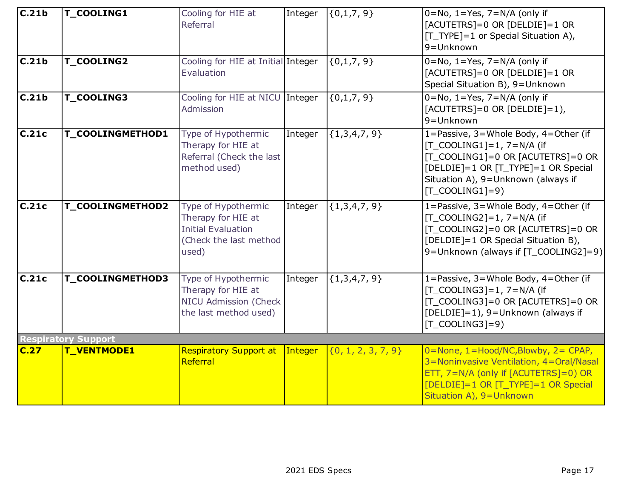| $\overline{C.21b}$ | T_COOLING1                 | Cooling for HIE at<br>Referral                                                                            | Integer | $\{0,1,7,9\}$          | $0 = No$ , 1=Yes, 7=N/A (only if<br>$[ACUTETRS] = 0$ OR $[DELDIE] = 1$ OR<br>[T_TYPE]=1 or Special Situation A),<br>$9 = Unknown$                                                                                              |
|--------------------|----------------------------|-----------------------------------------------------------------------------------------------------------|---------|------------------------|--------------------------------------------------------------------------------------------------------------------------------------------------------------------------------------------------------------------------------|
| $\overline{C.21b}$ | T_COOLING2                 | Cooling for HIE at Initial Integer<br>Evaluation                                                          |         | $\{0,1,7,9\}$          | $0 = No$ , $1 = Yes$ , $7 = N/A$ (only if<br>$[ACUTETRS] = 0 \text{ OR } [DELDIE] = 1 \text{ OR }$<br>Special Situation B), 9=Unknown                                                                                          |
| C.21b              | T_COOLING3                 | Cooling for HIE at NICU Integer<br>Admission                                                              |         | $\{0,1,7,9\}$          | $0 = No$ , $1 = Yes$ , $7 = N/A$ (only if<br>$[ACUTETRS]=0$ OR $[DELDIE]=1$ ),<br>9=Unknown                                                                                                                                    |
| C.21c              | T_COOLINGMETHOD1           | Type of Hypothermic<br>Therapy for HIE at<br>Referral (Check the last<br>method used)                     | Integer | ${1,3,4,7,9}$          | 1=Passive, 3=Whole Body, 4=Other (if<br>$[T_{\text{COOLING1}}]=1, 7=N/A$ (if<br>  T_COOLING1]=0 OR [ACUTETRS]=0 OR<br>[DELDIE]=1 OR [T_TYPE]=1 OR Special<br>Situation A), 9=Unknown (always if<br>$[T_{\text{COOLING1}}]=9$ ) |
| C.21c              | T_COOLINGMETHOD2           | Type of Hypothermic<br>Therapy for HIE at<br><b>Initial Evaluation</b><br>(Check the last method<br>used) | Integer | ${1,3,4,7,9}$          | 1=Passive, 3=Whole Body, 4=Other (if<br>$[T_{C}OOLING2]=1, 7=N/A$ (if<br>[T_COOLING2]=0 OR [ACUTETRS]=0 OR<br>[DELDIE]=1 OR Special Situation B),<br>9=Unknown (always if [T_COOLING2]=9)                                      |
| C.21c              | T_COOLINGMETHOD3           | Type of Hypothermic<br>Therapy for HIE at<br>NICU Admission (Check<br>the last method used)               | Integer | ${1,3,4,7,9}$          | 1=Passive, 3=Whole Body, 4=Other (if<br>$[T_{\text{COOLING3}}]=1, 7=N/A$ (if<br>[T_COOLING3]=0 OR [ACUTETRS]=0 OR<br>[DELDIE]=1), 9=Unknown (always if<br>$[T_{\text{COOLING3}}]=9$                                            |
|                    | <b>Respiratory Support</b> |                                                                                                           |         |                        |                                                                                                                                                                                                                                |
| C.27               | T_VENTMODE1                | <b>Respiratory Support at</b><br>Referral                                                                 | Integer | $\{0, 1, 2, 3, 7, 9\}$ | 0=None, 1=Hood/NC, Blowby, 2= CPAP,<br>3=Noninvasive Ventilation, 4=Oral/Nasal<br>ETT, 7=N/A (only if [ACUTETRS]=0) OR<br>[DELDIE]=1 OR [T_TYPE]=1 OR Special<br>Situation A), 9=Unknown                                       |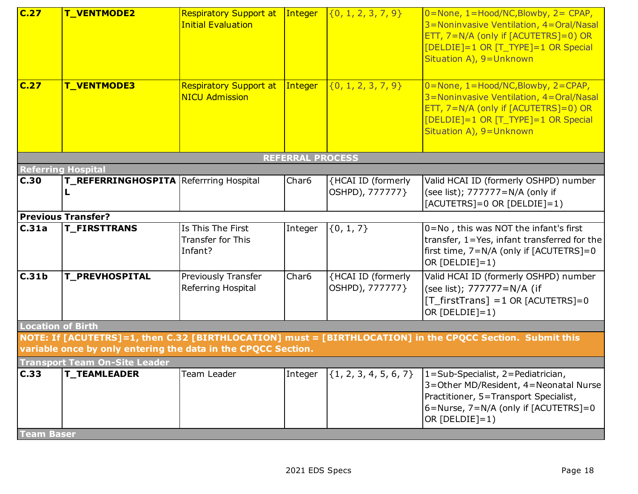| C.27                              | T_VENTMODE2                                                   | <b>Respiratory Support at</b><br><b>Initial Evaluation</b> | Integer                 | $\{0, 1, 2, 3, 7, 9\}$                | $0 = None$ , 1 = Hood/NC, Blowby, 2 = CPAP,<br>3=Noninvasive Ventilation, 4=Oral/Nasal<br>ETT, 7=N/A (only if [ACUTETRS]=0) OR<br>[DELDIE]=1 OR [T_TYPE]=1 OR Special<br>Situation A), 9=Unknown |
|-----------------------------------|---------------------------------------------------------------|------------------------------------------------------------|-------------------------|---------------------------------------|--------------------------------------------------------------------------------------------------------------------------------------------------------------------------------------------------|
| C.27                              | T_VENTMODE3                                                   | <b>Respiratory Support at</b><br><b>NICU Admission</b>     | Integer                 | $\{0, 1, 2, 3, 7, 9\}$                | 0=None, 1=Hood/NC, Blowby, 2=CPAP,<br>3=Noninvasive Ventilation, 4=Oral/Nasal<br>ETT, 7=N/A (only if [ACUTETRS]=0) OR<br>[DELDIE]=1 OR [T_TYPE]=1 OR Special<br>Situation A), 9=Unknown          |
|                                   |                                                               |                                                            | <b>REFERRAL PROCESS</b> |                                       |                                                                                                                                                                                                  |
| <b>Referring Hospital</b><br>C.30 | T_REFERRINGHOSPITA Referrring Hospital<br>L                   |                                                            | Char <sub>6</sub>       | {HCAI ID (formerly<br>OSHPD), 777777} | Valid HCAI ID (formerly OSHPD) number<br>(see list); 777777=N/A (only if<br>$[ACUTETRS]=0$ OR $[DELDIE]=1)$                                                                                      |
|                                   | <b>Previous Transfer?</b>                                     |                                                            |                         |                                       |                                                                                                                                                                                                  |
| C.31a                             | <b>T_FIRSTTRANS</b>                                           | Is This The First<br><b>Transfer for This</b><br>Infant?   | Integer                 | $\{0, 1, 7\}$                         | 0=No, this was NOT the infant's first<br>transfer, 1=Yes, infant transferred for the<br>first time, 7=N/A (only if [ACUTETRS]=0<br>OR $[DELDIE]=1$ )                                             |
| C.31b                             | <b>T_PREVHOSPITAL</b>                                         | Previously Transfer<br>Referring Hospital                  | Char <sub>6</sub>       | {HCAI ID (formerly<br>OSHPD), 777777} | Valid HCAI ID (formerly OSHPD) number<br>(see list); 777777=N/A (if<br>$[T_firstTrans] = 1$ OR [ACUTETRS]=0<br>OR $[DELDIE]=1)$                                                                  |
| <b>Location of Birth</b>          |                                                               |                                                            |                         |                                       |                                                                                                                                                                                                  |
|                                   | variable once by only entering the data in the CPQCC Section. |                                                            |                         |                                       | NOTE: If [ACUTETRS]=1, then C.32 [BIRTHLOCATION] must = [BIRTHLOCATION] in the CPQCC Section. Submit this                                                                                        |
|                                   | <b>Transport Team On-Site Leader</b>                          |                                                            |                         |                                       |                                                                                                                                                                                                  |
| C.33                              | <b>T_TEAMLEADER</b>                                           | Team Leader                                                | Integer                 | $\{1, 2, 3, 4, 5, 6, 7\}$             | $1 = Sub-Specialist, 2 = Pediatrician,$<br>3=Other MD/Resident, 4=Neonatal Nurse<br>Practitioner, 5=Transport Specialist,<br>$6 =$ Nurse, $7 = N/A$ (only if [ACUTETRS]=0<br>OR $[DELDIE]=1)$    |
| <b>Team Baser</b>                 |                                                               |                                                            |                         |                                       |                                                                                                                                                                                                  |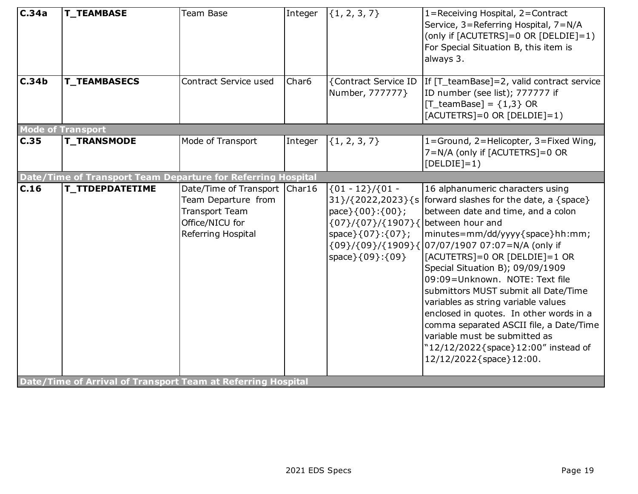| C.34a                    | <b>T_TEAMBASE</b>                                                                             | Team Base                                                                                                                | Integer           | $\{1, 2, 3, 7\}$                                                                                                                                     | 1=Receiving Hospital, 2=Contract<br>Service, 3=Referring Hospital, 7=N/A<br>(only if [ACUTETRS]=0 OR [DELDIE]=1)<br>For Special Situation B, this item is<br>always 3.                                                                                                                                                                                                                                                                                                                                                                                                                                                  |
|--------------------------|-----------------------------------------------------------------------------------------------|--------------------------------------------------------------------------------------------------------------------------|-------------------|------------------------------------------------------------------------------------------------------------------------------------------------------|-------------------------------------------------------------------------------------------------------------------------------------------------------------------------------------------------------------------------------------------------------------------------------------------------------------------------------------------------------------------------------------------------------------------------------------------------------------------------------------------------------------------------------------------------------------------------------------------------------------------------|
| C.34b                    | <b>T_TEAMBASECS</b>                                                                           | Contract Service used                                                                                                    | Char <sub>6</sub> | {Contract Service ID<br>Number, 777777}                                                                                                              | If [T_teamBase]=2, valid contract service<br>ID number (see list); 777777 if<br>[T_teamBase] = ${1,3}$ OR<br>[ACUTETRS]=0 OR [DELDIE]=1)                                                                                                                                                                                                                                                                                                                                                                                                                                                                                |
| $\overline{\text{C.35}}$ | <b>Mode of Transport</b><br><b>T_TRANSMODE</b>                                                | Mode of Transport                                                                                                        | Integer           | $\{1, 2, 3, 7\}$                                                                                                                                     | 1=Ground, 2=Helicopter, 3=Fixed Wing,<br>7=N/A (only if [ACUTETRS]=0 OR<br>$[DELDIE]=1)$                                                                                                                                                                                                                                                                                                                                                                                                                                                                                                                                |
|                          | Date/Time of Transport Team Departure for Referring Hospital                                  |                                                                                                                          |                   |                                                                                                                                                      |                                                                                                                                                                                                                                                                                                                                                                                                                                                                                                                                                                                                                         |
| C.16                     | <b>T_TTDEPDATETIME</b><br><b>Date/Time of Arrival of Transport Team at Referring Hospital</b> | Date/Time of Transport   Char16<br>Team Departure from<br><b>Transport Team</b><br>Office/NICU for<br>Referring Hospital |                   | ${01 - 12}/{01 -$<br>pace } { 00 } : { 00 } ;<br>$\{07\}/\{07\}/\{1907\}\{$ between hour and<br>space } { 07 } : { 07 } ;<br>space } { 09 } : { 09 } | 16 alphanumeric characters using<br>$31}/(2022,2023)\$ {s   forward slashes for the date, a {space}<br>between date and time, and a colon<br> minutes=mm/dd/yyyy{space}hh:mm;<br>{09}/{09}/{1909}{ 07/07/1907 07:07=N/A (only if<br>$[ACUTETRS] = 0$ OR $[DELDIE] = 1$ OR<br>Special Situation B); 09/09/1909<br>09:09=Unknown. NOTE: Text file<br>submittors MUST submit all Date/Time<br>variables as string variable values<br>enclosed in quotes. In other words in a<br>comma separated ASCII file, a Date/Time<br>variable must be submitted as<br>"12/12/2022{space}12:00" instead of<br>12/12/2022{space}12:00. |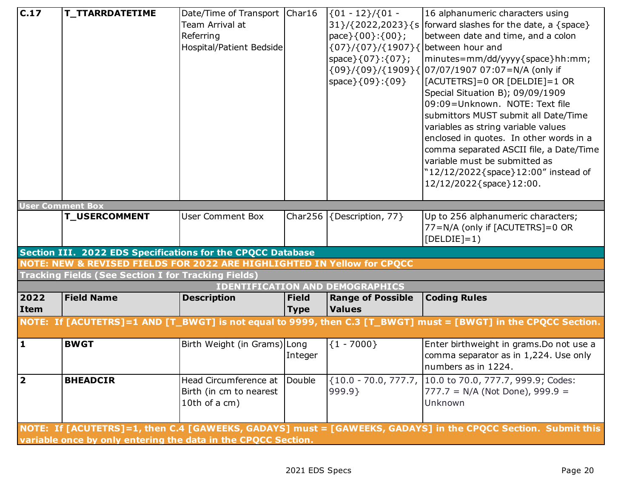| C.17                    | <b>T_TTARRDATETIME</b>                                                  | Date/Time of Transport   Char16<br>Team Arrival at |              | $(01 - 12) / (01 -$                    | 16 alphanumeric characters using<br>$31}/(2022,2023)\$ {s   forward slashes for the date, a {space}            |
|-------------------------|-------------------------------------------------------------------------|----------------------------------------------------|--------------|----------------------------------------|----------------------------------------------------------------------------------------------------------------|
|                         |                                                                         | Referring                                          |              | pace $\{00\}:\{00\}$ ;                 | between date and time, and a colon                                                                             |
|                         |                                                                         |                                                    |              |                                        |                                                                                                                |
|                         |                                                                         | Hospital/Patient Bedside                           |              | {07}/{07}/{1907}{ between hour and     |                                                                                                                |
|                         |                                                                         |                                                    |              | space } { 07 } : { 07 } ;              | minutes=mm/dd/yyyy{space}hh:mm;                                                                                |
|                         |                                                                         |                                                    |              |                                        | {09}/{09}/{1909}{ 07/07/1907 07:07=N/A (only if                                                                |
|                         |                                                                         |                                                    |              | space } { 09 } : { 09 }                | [ACUTETRS]=0 OR [DELDIE]=1 OR                                                                                  |
|                         |                                                                         |                                                    |              |                                        | Special Situation B); 09/09/1909                                                                               |
|                         |                                                                         |                                                    |              |                                        | 09:09=Unknown. NOTE: Text file                                                                                 |
|                         |                                                                         |                                                    |              |                                        | submittors MUST submit all Date/Time                                                                           |
|                         |                                                                         |                                                    |              |                                        | variables as string variable values                                                                            |
|                         |                                                                         |                                                    |              |                                        | enclosed in quotes. In other words in a                                                                        |
|                         |                                                                         |                                                    |              |                                        | comma separated ASCII file, a Date/Time                                                                        |
|                         |                                                                         |                                                    |              |                                        | variable must be submitted as                                                                                  |
|                         |                                                                         |                                                    |              |                                        | "12/12/2022{space}12:00" instead of                                                                            |
|                         |                                                                         |                                                    |              |                                        | 12/12/2022{space}12:00.                                                                                        |
| <b>User Comment Box</b> |                                                                         |                                                    |              |                                        |                                                                                                                |
|                         | <b>T_USERCOMMENT</b>                                                    | <b>User Comment Box</b>                            |              | Char256 $\{Description, 77\}$          | Up to 256 alphanumeric characters;                                                                             |
|                         |                                                                         |                                                    |              |                                        | 77=N/A (only if [ACUTETRS]=0 OR                                                                                |
|                         |                                                                         |                                                    |              |                                        | $[DELDIE]=1)$                                                                                                  |
|                         | Section III. 2022 EDS Specifications for the CPQCC Database             |                                                    |              |                                        |                                                                                                                |
|                         | NOTE: NEW & REVISED FIELDS FOR 2022 ARE HIGHLIGHTED IN Yellow for CPQCC |                                                    |              |                                        |                                                                                                                |
|                         | <b>Tracking Fields (See Section I for Tracking Fields)</b>              |                                                    |              | <b>IDENTIFICATION AND DEMOGRAPHICS</b> |                                                                                                                |
| 2022                    | <b>Field Name</b>                                                       | <b>Description</b>                                 | <b>Field</b> | <b>Range of Possible</b>               | <b>Coding Rules</b>                                                                                            |
| Item                    |                                                                         |                                                    | <b>Type</b>  | <b>Values</b>                          |                                                                                                                |
|                         |                                                                         |                                                    |              |                                        | NOTE: If [ACUTETRS]=1 AND [T_BWGT] is not equal to 9999, then C.3 [T_BWGT] must = [BWGT] in the CPQCC Section. |
|                         |                                                                         |                                                    |              |                                        |                                                                                                                |
| $\overline{\mathbf{1}}$ | <b>BWGT</b>                                                             | Birth Weight (in Grams) Long                       |              | ${1 - 7000}$                           | Enter birthweight in grams. Do not use a                                                                       |
|                         |                                                                         |                                                    | Integer      |                                        | comma separator as in 1,224. Use only                                                                          |
|                         |                                                                         |                                                    |              |                                        | numbers as in 1224.                                                                                            |
| $\overline{\mathbf{2}}$ | <b>BHEADCIR</b>                                                         | Head Circumference at                              | Double       |                                        | {10.0 - 70.0, 777.7, 10.0 to 70.0, 777.7, 999.9; Codes:                                                        |
|                         |                                                                         | Birth (in cm to nearest                            |              | 999.9                                  | $777.7 = N/A$ (Not Done), 999.9 =                                                                              |
|                         |                                                                         | 10th of a cm)                                      |              |                                        | Unknown                                                                                                        |
|                         |                                                                         |                                                    |              |                                        |                                                                                                                |
|                         |                                                                         |                                                    |              |                                        | NOTE: If [ACUTETRS]=1, then C.4 [GAWEEKS, GADAYS] must = [GAWEEKS, GADAYS] in the CPQCC Section. Submit this   |
|                         | variable once by only entering the data in the CPQCC Section.           |                                                    |              |                                        |                                                                                                                |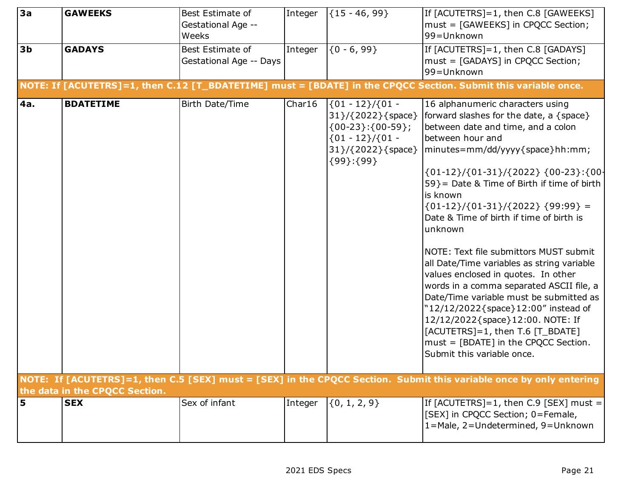| 3a             | <b>GAWEEKS</b>                 | Best Estimate of        | Integer | ${15 - 46, 99}$                                                                                                                 | If [ACUTETRS]=1, then C.8 [GAWEEKS]                                                                                                                                                                                                                                                                                                                                                                                                                                                                                                                                                                                                                                                                                                                             |
|----------------|--------------------------------|-------------------------|---------|---------------------------------------------------------------------------------------------------------------------------------|-----------------------------------------------------------------------------------------------------------------------------------------------------------------------------------------------------------------------------------------------------------------------------------------------------------------------------------------------------------------------------------------------------------------------------------------------------------------------------------------------------------------------------------------------------------------------------------------------------------------------------------------------------------------------------------------------------------------------------------------------------------------|
|                |                                | Gestational Age --      |         |                                                                                                                                 | must = [GAWEEKS] in CPQCC Section;                                                                                                                                                                                                                                                                                                                                                                                                                                                                                                                                                                                                                                                                                                                              |
|                |                                | Weeks                   |         |                                                                                                                                 | 99=Unknown                                                                                                                                                                                                                                                                                                                                                                                                                                                                                                                                                                                                                                                                                                                                                      |
| 3 <sub>b</sub> | <b>GADAYS</b>                  | Best Estimate of        | Integer | ${0 - 6, 99}$                                                                                                                   | If [ACUTETRS]=1, then C.8 [GADAYS]                                                                                                                                                                                                                                                                                                                                                                                                                                                                                                                                                                                                                                                                                                                              |
|                |                                | Gestational Age -- Days |         |                                                                                                                                 | must = [GADAYS] in CPQCC Section;                                                                                                                                                                                                                                                                                                                                                                                                                                                                                                                                                                                                                                                                                                                               |
|                |                                |                         |         |                                                                                                                                 | 99=Unknown                                                                                                                                                                                                                                                                                                                                                                                                                                                                                                                                                                                                                                                                                                                                                      |
|                |                                |                         |         |                                                                                                                                 | NOTE: If [ACUTETRS]=1, then C.12 [T_BDATETIME] must = [BDATE] in the CPQCC Section. Submit this variable once.                                                                                                                                                                                                                                                                                                                                                                                                                                                                                                                                                                                                                                                  |
| 4a.            | <b>BDATETIME</b>               | Birth Date/Time         | Char16  | $(01 - 12) / (01 -$<br>31 }/ { 2022 } { space }<br>$(00-23):(00-59);$<br>${01 - 12}/{01 -$<br>31}/{2022}{space}<br>${99}: {99}$ | 16 alphanumeric characters using<br>forward slashes for the date, a $\{space\}$<br>between date and time, and a colon<br>between hour and<br>minutes=mm/dd/yyyy{space}hh:mm;<br>${01-12}/{01-31}/ {2022}$ ${00-23}$ ${00}$<br>59} = Date & Time of Birth if time of birth<br>is known<br>${01-12}/(01-31)/(2022)$ {99:99} =<br>Date & Time of birth if time of birth is<br>unknown<br>NOTE: Text file submittors MUST submit<br>all Date/Time variables as string variable<br>values enclosed in quotes. In other<br>words in a comma separated ASCII file, a<br>Date/Time variable must be submitted as<br>"12/12/2022{space}12:00" instead of<br>12/12/2022{space}12:00. NOTE: If<br>[ACUTETRS]=1, then T.6 [T_BDATE]<br>must = [BDATE] in the CPQCC Section. |
|                |                                |                         |         |                                                                                                                                 | Submit this variable once.                                                                                                                                                                                                                                                                                                                                                                                                                                                                                                                                                                                                                                                                                                                                      |
|                |                                |                         |         |                                                                                                                                 | NOTE: If [ACUTETRS]=1, then C.5 [SEX] must = [SEX] in the CPQCC Section. Submit this variable once by only entering                                                                                                                                                                                                                                                                                                                                                                                                                                                                                                                                                                                                                                             |
|                | the data in the CPQCC Section. |                         |         |                                                                                                                                 |                                                                                                                                                                                                                                                                                                                                                                                                                                                                                                                                                                                                                                                                                                                                                                 |
| 5              | <b>SEX</b>                     | Sex of infant           | Integer | $\{0, 1, 2, 9\}$                                                                                                                | If [ACUTETRS]=1, then C.9 [SEX] must =                                                                                                                                                                                                                                                                                                                                                                                                                                                                                                                                                                                                                                                                                                                          |
|                |                                |                         |         |                                                                                                                                 | [SEX] in CPQCC Section; 0=Female,<br>1=Male, 2=Undetermined, 9=Unknown                                                                                                                                                                                                                                                                                                                                                                                                                                                                                                                                                                                                                                                                                          |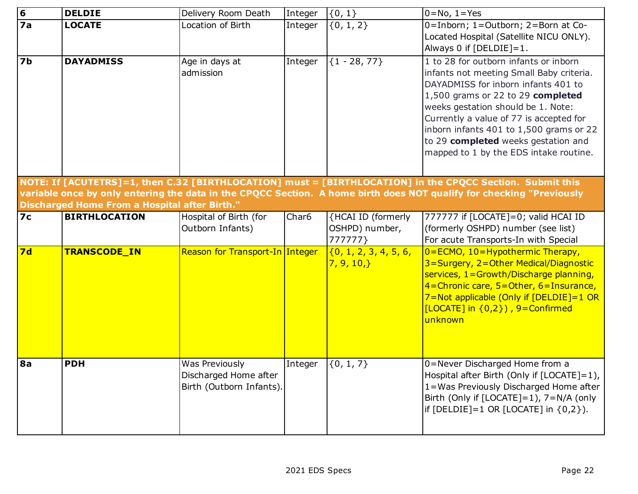| $\overline{6}$ | <b>DELDIE</b>                                 | Delivery Room Death                                                 | Integer           | $\{0, 1\}$                                      | $0 = No, 1 = Yes$                                                                                                                                                                                                                                                                                                                                                          |
|----------------|-----------------------------------------------|---------------------------------------------------------------------|-------------------|-------------------------------------------------|----------------------------------------------------------------------------------------------------------------------------------------------------------------------------------------------------------------------------------------------------------------------------------------------------------------------------------------------------------------------------|
| 7a             | <b>LOCATE</b>                                 | Location of Birth                                                   | Integer           | $\{0, 1, 2\}$                                   | 0=Inborn; 1=Outborn; 2=Born at Co-<br>Located Hospital (Satellite NICU ONLY).<br>Always 0 if $[DELDIE]=1$ .                                                                                                                                                                                                                                                                |
| 7 <sub>b</sub> | <b>DAYADMISS</b>                              | Age in days at<br>admission                                         | Integer           | ${1 - 28, 77}$                                  | 1 to 28 for outborn infants or inborn<br>infants not meeting Small Baby criteria.<br>DAYADMISS for inborn infants 401 to<br>1,500 grams or 22 to 29 completed<br>weeks gestation should be 1. Note:<br>Currently a value of 77 is accepted for<br>inborn infants 401 to 1,500 grams or 22<br>to 29 completed weeks gestation and<br>mapped to 1 by the EDS intake routine. |
|                |                                               |                                                                     |                   |                                                 | NOTE: If [ACUTETRS]=1, then C.32 [BIRTHLOCATION] must = [BIRTHLOCATION] in the CPQCC Section. Submit this                                                                                                                                                                                                                                                                  |
|                |                                               |                                                                     |                   |                                                 | variable once by only entering the data in the CPQCC Section. A home birth does NOT qualify for checking "Previously                                                                                                                                                                                                                                                       |
|                | Discharged Home From a Hospital after Birth." |                                                                     |                   |                                                 |                                                                                                                                                                                                                                                                                                                                                                            |
| <b>7c</b>      | <b>BIRTHLOCATION</b>                          | Hospital of Birth (for<br>Outborn Infants)                          | Char <sub>6</sub> | {HCAI ID (formerly<br>OSHPD) number,<br>777777} | 777777 if [LOCATE]=0; valid HCAI ID<br>(formerly OSHPD) number (see list)<br>For acute Transports-In with Special                                                                                                                                                                                                                                                          |
| 7d             | <b>TRANSCODE_IN</b>                           | Reason for Transport-In Integer                                     |                   | $\{0, 1, 2, 3, 4, 5, 6,$<br>7, 9, 10,           | 0=ECMO, 10=Hypothermic Therapy,<br>3=Surgery, 2=Other Medical/Diagnostic<br>services, 1=Growth/Discharge planning,<br>$4$ = Chronic care, 5 = Other, 6 = Insurance,<br>7=Not applicable (Only if [DELDIE]=1 OR<br>$[LOCATE]$ in $\{0,2\}$ ), 9=Confirmed<br>unknown                                                                                                        |
| 8a             | <b>PDH</b>                                    | Was Previously<br>Discharged Home after<br>Birth (Outborn Infants). | Integer           | $\{0, 1, 7\}$                                   | 0=Never Discharged Home from a<br>Hospital after Birth (Only if $[LOCATE]=1$ ),<br>1=Was Previously Discharged Home after<br>Birth (Only if $[LOCATE]=1$ ), $7=N/A$ (only<br>if $[DELDIE]=1$ OR $[LOCATE]$ in $\{0,2\}$ ).                                                                                                                                                 |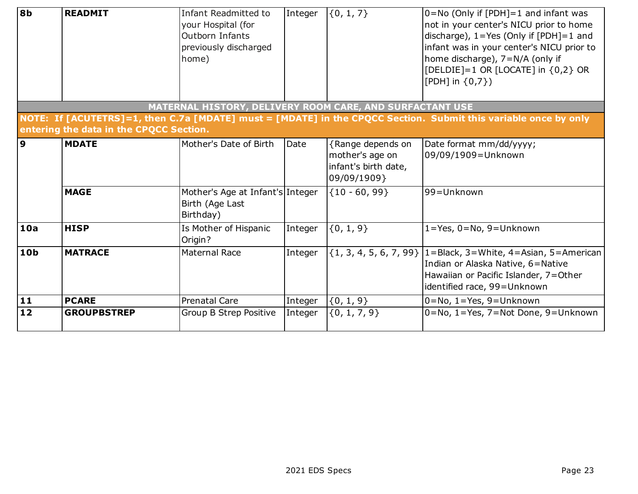| 8 <sub>b</sub> | <b>READMIT</b>                          | Infant Readmitted to<br>your Hospital (for<br>Outborn Infants<br>previously discharged<br>home) | Integer | $\{0, 1, 7\}$                                                               | $0 = No$ (Only if [PDH] = 1 and infant was<br>not in your center's NICU prior to home<br>discharge), $1 = Yes$ (Only if [PDH]=1 and<br>infant was in your center's NICU prior to<br>home discharge), 7=N/A (only if<br>[DELDIE]=1 OR [LOCATE] in {0,2} OR<br>[PDH] in $\{0,7\}$ ) |
|----------------|-----------------------------------------|-------------------------------------------------------------------------------------------------|---------|-----------------------------------------------------------------------------|-----------------------------------------------------------------------------------------------------------------------------------------------------------------------------------------------------------------------------------------------------------------------------------|
|                |                                         | MATERNAL HISTORY, DELIVERY ROOM CARE, AND SURFACTANT USE                                        |         |                                                                             | NOTE: If [ACUTETRS]=1, then C.7a [MDATE] must = [MDATE] in the CPQCC Section. Submit this variable once by only                                                                                                                                                                   |
|                | entering the data in the CPQCC Section. |                                                                                                 |         |                                                                             |                                                                                                                                                                                                                                                                                   |
| 9              | <b>MDATE</b>                            | Mother's Date of Birth                                                                          | Date    | {Range depends on<br>mother's age on<br>infant's birth date,<br>09/09/1909} | Date format mm/dd/yyyy;<br>09/09/1909=Unknown                                                                                                                                                                                                                                     |
|                | <b>MAGE</b>                             | Mother's Age at Infant's Integer<br>Birth (Age Last<br>Birthday)                                |         | ${10 - 60, 99}$                                                             | 99=Unknown                                                                                                                                                                                                                                                                        |
| 10a            | <b>HISP</b>                             | Is Mother of Hispanic<br>Origin?                                                                | Integer | $\{0, 1, 9\}$                                                               | $1 = Yes, 0 = No, 9 = Unknown$                                                                                                                                                                                                                                                    |
| <b>10b</b>     | <b>MATRACE</b>                          | <b>Maternal Race</b>                                                                            | Integer |                                                                             | $\{1, 3, 4, 5, 6, 7, 99\}$  1=Black, 3=White, 4=Asian, 5=American  <br>Indian or Alaska Native, 6=Native<br>Hawaiian or Pacific Islander, 7=Other<br>identified race, 99=Unknown                                                                                                  |
| $11$           | <b>PCARE</b>                            | <b>Prenatal Care</b>                                                                            | Integer | $\{0, 1, 9\}$                                                               | $0 = No, 1 = Yes, 9 = Unknown$                                                                                                                                                                                                                                                    |
| $12$           | <b>GROUPBSTREP</b>                      | <b>Group B Strep Positive</b>                                                                   | Integer | $\{0, 1, 7, 9\}$                                                            | 0=No, 1=Yes, 7=Not Done, 9=Unknown                                                                                                                                                                                                                                                |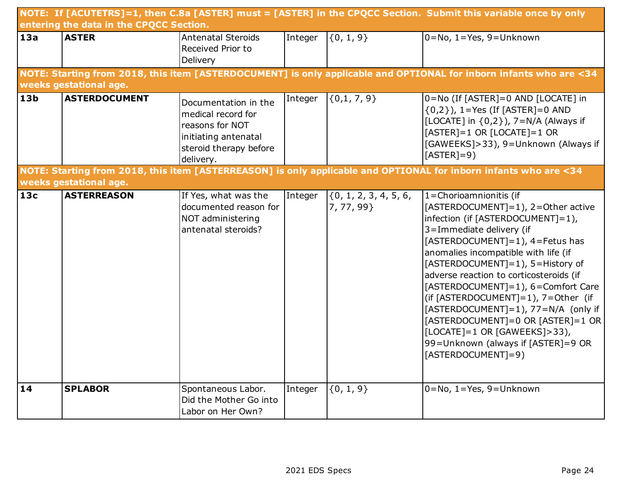|                 |                                         |                                                                                                                              |         |                                    | NOTE: If [ACUTETRS]=1, then C.8a [ASTER] must = [ASTER] in the CPQCC Section. Submit this variable once by only                                                                                                                                                                                                                                                                                                                                                                                                                                        |
|-----------------|-----------------------------------------|------------------------------------------------------------------------------------------------------------------------------|---------|------------------------------------|--------------------------------------------------------------------------------------------------------------------------------------------------------------------------------------------------------------------------------------------------------------------------------------------------------------------------------------------------------------------------------------------------------------------------------------------------------------------------------------------------------------------------------------------------------|
|                 | entering the data in the CPQCC Section. |                                                                                                                              |         |                                    |                                                                                                                                                                                                                                                                                                                                                                                                                                                                                                                                                        |
| 13a             | <b>ASTER</b>                            | Antenatal Steroids                                                                                                           | Integer | $\{0, 1, 9\}$                      | $0 = No, 1 = Yes, 9 = Unknown$                                                                                                                                                                                                                                                                                                                                                                                                                                                                                                                         |
|                 |                                         | Received Prior to<br>Delivery                                                                                                |         |                                    |                                                                                                                                                                                                                                                                                                                                                                                                                                                                                                                                                        |
|                 |                                         |                                                                                                                              |         |                                    | NOTE: Starting from 2018, this item [ASTERDOCUMENT] is only applicable and OPTIONAL for inborn infants who are <34                                                                                                                                                                                                                                                                                                                                                                                                                                     |
|                 | weeks gestational age.                  |                                                                                                                              |         |                                    |                                                                                                                                                                                                                                                                                                                                                                                                                                                                                                                                                        |
| 13 <sub>b</sub> | <b>ASTERDOCUMENT</b>                    | Documentation in the<br>medical record for<br>reasons for NOT<br>initiating antenatal<br>steroid therapy before<br>delivery. | Integer | $\{0,1, 7, 9\}$                    | 0=No (If [ASTER]=0 AND [LOCATE] in<br>$\{0,2\}$ ), 1=Yes (If [ASTER]=0 AND<br>[LOCATE] in {0,2}), 7=N/A (Always if<br>$[ASTER]=1$ OR $[LOCATE]=1$ OR<br>[GAWEEKS]>33), 9=Unknown (Always if<br>$[ASTER]=9)$                                                                                                                                                                                                                                                                                                                                            |
|                 | weeks gestational age.                  |                                                                                                                              |         |                                    | NOTE: Starting from 2018, this item [ASTERREASON] is only applicable and OPTIONAL for inborn infants who are <34                                                                                                                                                                                                                                                                                                                                                                                                                                       |
| 13c             | <b>ASTERREASON</b>                      | If Yes, what was the<br>documented reason for<br>NOT administering<br>antenatal steroids?                                    | Integer | (0, 1, 2, 3, 4, 5, 6,<br>7, 77, 99 | $1 =$ Chorioamnionitis (if<br>[ASTERDOCUMENT]=1), 2=Other active<br>infection (if [ASTERDOCUMENT]=1),<br>3=Immediate delivery (if<br>[ASTERDOCUMENT]=1), 4=Fetus has<br>anomalies incompatible with life (if<br>[ASTERDOCUMENT]=1), 5=History of<br>adverse reaction to corticosteroids (if<br>[ASTERDOCUMENT]=1), 6=Comfort Care<br>(if [ASTERDOCUMENT]=1), 7=Other (if<br>[ASTERDOCUMENT]=1), 77=N/A (only if<br>[ASTERDOCUMENT]=0 OR [ASTER]=1 OR<br>$[LOCATE] = 1 OR [GAWEEKS] > 33),$<br>99=Unknown (always if [ASTER]=9 OR<br>[ASTERDOCUMENT]=9) |
| 14              | <b>SPLABOR</b>                          | Spontaneous Labor.<br>Did the Mother Go into<br>Labor on Her Own?                                                            | Integer | ${0, 1, 9}$                        | $0 = No, 1 = Yes, 9 = Unknown$                                                                                                                                                                                                                                                                                                                                                                                                                                                                                                                         |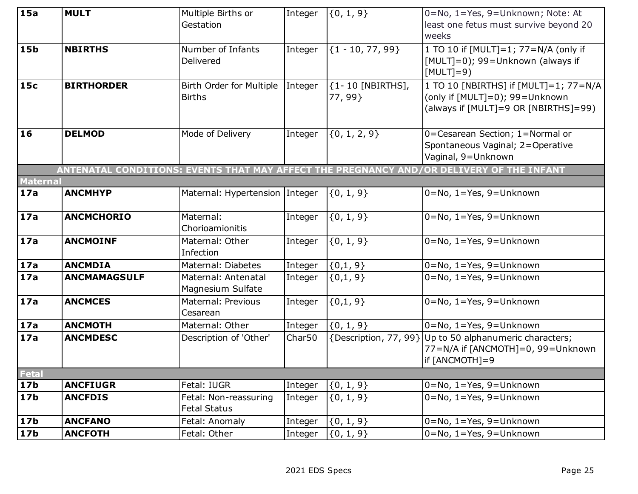| 15a             | <b>MULT</b>         | Multiple Births or             | Integer | $\{0, 1, 9\}$         | 0=No, 1=Yes, 9=Unknown; Note: At                                                         |
|-----------------|---------------------|--------------------------------|---------|-----------------------|------------------------------------------------------------------------------------------|
|                 |                     | Gestation                      |         |                       | least one fetus must survive beyond 20                                                   |
|                 |                     |                                |         |                       | weeks                                                                                    |
| 15 <sub>b</sub> | <b>NBIRTHS</b>      | Number of Infants              | Integer | ${1 - 10, 77, 99}$    | 1 TO 10 if [MULT]=1; 77=N/A (only if                                                     |
|                 |                     | Delivered                      |         |                       | [MULT]=0); 99=Unknown (always if                                                         |
|                 |                     |                                |         |                       | $[MULT]=9)$                                                                              |
| <b>15c</b>      | <b>BIRTHORDER</b>   | Birth Order for Multiple       | Integer | {1-10 [NBIRTHS],      | $\overline{1\text{ TO}}$ 10 [NBIRTHS] if [MULT]=1; 77=N/A                                |
|                 |                     | <b>Births</b>                  |         | 77, 99}               | (only if [MULT]=0); 99=Unknown                                                           |
|                 |                     |                                |         |                       | (always if [MULT]=9 OR [NBIRTHS]=99)                                                     |
|                 |                     |                                |         |                       |                                                                                          |
| 16              | <b>DELMOD</b>       | Mode of Delivery               | Integer | ${0, 1, 2, 9}$        | 0=Cesarean Section; 1=Normal or                                                          |
|                 |                     |                                |         |                       | Spontaneous Vaginal; 2=Operative                                                         |
|                 |                     |                                |         |                       | Vaginal, 9=Unknown                                                                       |
|                 |                     |                                |         |                       | ANTENATAL CONDITIONS: EVENTS THAT MAY AFFECT THE PREGNANCY AND/OR DELIVERY OF THE INFANT |
| <b>Maternal</b> |                     |                                |         |                       |                                                                                          |
| 17a             | <b>ANCMHYP</b>      | Maternal: Hypertension Integer |         | $\{0, 1, 9\}$         | $0 = No, 1 = Yes, 9 = Unknown$                                                           |
|                 |                     |                                |         |                       |                                                                                          |
| 17a             | <b>ANCMCHORIO</b>   | Maternal:                      | Integer | ${0, 1, 9}$           | $0 = No, 1 = Yes, 9 = Unknown$                                                           |
|                 |                     | Chorioamionitis                |         |                       |                                                                                          |
| 17a             | <b>ANCMOINF</b>     | Maternal: Other                | Integer | ${0, 1, 9}$           | $0 = No, 1 = Yes, 9 = Unknown$                                                           |
|                 |                     | Infection                      |         |                       |                                                                                          |
| 17a             | <b>ANCMDIA</b>      | Maternal: Diabetes             | Integer | $\{0,1,9\}$           | $0 = No, 1 = Yes, 9 = Unknown$                                                           |
| 17a             | <b>ANCMAMAGSULF</b> | Maternal: Antenatal            | Integer | $\{0,1,9\}$           | $0 = No, 1 = Yes, 9 = Unknown$                                                           |
|                 |                     | Magnesium Sulfate              |         |                       |                                                                                          |
| 17a             | <b>ANCMCES</b>      | Maternal: Previous             | Integer | ${0,1,9}$             | $0 = No, 1 = Yes, 9 = Unknown$                                                           |
|                 |                     | Cesarean                       |         |                       |                                                                                          |
| 17a             | <b>ANCMOTH</b>      | Maternal: Other                | Integer | ${0, 1, 9}$           | $0 = No, 1 = Yes, 9 = Unknown$                                                           |
| 17a             | <b>ANCMDESC</b>     | Description of 'Other'         | Char50  | {Description, 77, 99} | Up to 50 alphanumeric characters;                                                        |
|                 |                     |                                |         |                       | 77=N/A if [ANCMOTH]=0, 99=Unknown                                                        |
|                 |                     |                                |         |                       | if [ANCMOTH]=9                                                                           |
| Fetal           |                     |                                |         |                       |                                                                                          |
| 17 <sub>b</sub> | <b>ANCFIUGR</b>     | Fetal: IUGR                    | Integer | $\{0, 1, 9\}$         | $0 = No, 1 = Yes, 9 = Unknown$                                                           |
| 17 <sub>b</sub> | <b>ANCFDIS</b>      | Fetal: Non-reassuring          | Integer | $\{0, 1, 9\}$         | $0 = No, 1 = Yes, 9 = Unknown$                                                           |
|                 |                     | <b>Fetal Status</b>            |         |                       |                                                                                          |
| 17 <sub>b</sub> | <b>ANCFANO</b>      | Fetal: Anomaly                 | Integer | $\{0, 1, 9\}$         | $0 = No, 1 = Yes, 9 = Unknown$                                                           |
| 17 <sub>b</sub> | <b>ANCFOTH</b>      | Fetal: Other                   | Integer | $\{0, 1, 9\}$         | $0 = No, 1 = Yes, 9 = Unknown$                                                           |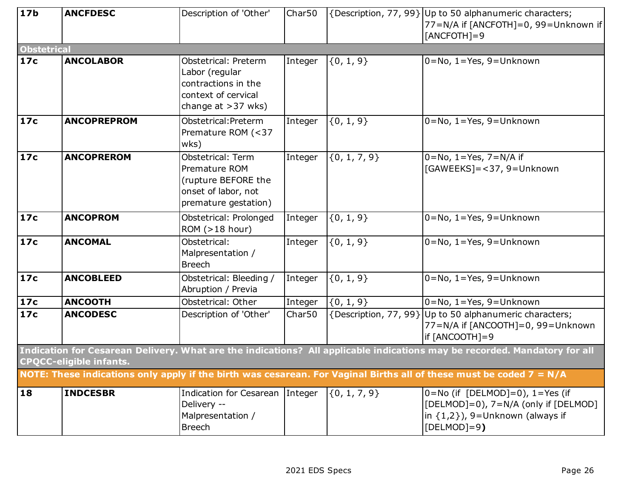| 17 <sub>b</sub>    | <b>ANCFDESC</b>                | Description of 'Other'                                                                                       | Char50  |                  | {Description, 77, 99} Up to 50 alphanumeric characters;                                                                                   |
|--------------------|--------------------------------|--------------------------------------------------------------------------------------------------------------|---------|------------------|-------------------------------------------------------------------------------------------------------------------------------------------|
|                    |                                |                                                                                                              |         |                  | 77=N/A if [ANCFOTH]=0, 99=Unknown if                                                                                                      |
|                    |                                |                                                                                                              |         |                  | $[ANCFOTH]=9$                                                                                                                             |
| <b>Obstetrical</b> |                                |                                                                                                              |         |                  |                                                                                                                                           |
| 17c                | <b>ANCOLABOR</b>               | Obstetrical: Preterm<br>Labor (regular<br>contractions in the<br>context of cervical<br>change at $>37$ wks) | Integer | $\{0, 1, 9\}$    | 0=No, 1=Yes, 9=Unknown                                                                                                                    |
| 17c                | <b>ANCOPREPROM</b>             | Obstetrical: Preterm<br>Premature ROM (<37<br>wks)                                                           | Integer | $\{0, 1, 9\}$    | $0 = No, 1 = Yes, 9 = Unknown$                                                                                                            |
| 17c                | <b>ANCOPREROM</b>              | Obstetrical: Term<br>Premature ROM<br>(rupture BEFORE the<br>onset of labor, not<br>premature gestation)     | Integer | $\{0, 1, 7, 9\}$ | $0 = No, 1 = Yes, 7 = N/A$ if<br>[GAWEEKS]=<37, 9=Unknown                                                                                 |
| 17c                | <b>ANCOPROM</b>                | Obstetrical: Prolonged<br>ROM (>18 hour)                                                                     | Integer | ${0, 1, 9}$      | $0 = No, 1 = Yes, 9 = Unknown$                                                                                                            |
| 17c                | <b>ANCOMAL</b>                 | Obstetrical:<br>Malpresentation /<br><b>Breech</b>                                                           | Integer | $\{0, 1, 9\}$    | $0 = No, 1 = Yes, 9 = Unknown$                                                                                                            |
| 17c                | <b>ANCOBLEED</b>               | Obstetrical: Bleeding /<br>Abruption / Previa                                                                | Integer | ${0, 1, 9}$      | $0 = No, 1 = Yes, 9 = Unknown$                                                                                                            |
| $\sqrt{17}c$       | <b>ANCOOTH</b>                 | Obstetrical: Other                                                                                           | Integer | $\{0, 1, 9\}$    | $0 = No, 1 = Yes, 9 = Unknown$                                                                                                            |
| 17c                | <b>ANCODESC</b>                | Description of 'Other'                                                                                       | Char50  |                  | {Description, 77, 99} Up to 50 alphanumeric characters;<br>77=N/A if [ANCOOTH]=0, 99=Unknown<br>if [ANCOOTH]=9                            |
|                    | <b>CPQCC-eligible infants.</b> |                                                                                                              |         |                  | Indication for Cesarean Delivery. What are the indications? All applicable indications may be recorded. Mandatory for all                 |
|                    |                                |                                                                                                              |         |                  | NOTE: These indications only apply if the birth was cesarean. For Vaginal Births all of these must be coded $7 = N/A$                     |
| $\overline{18}$    | <b>INDCESBR</b>                | Indication for Cesarean Integer<br>Delivery --<br>Malpresentation /<br><b>Breech</b>                         |         | $\{0, 1, 7, 9\}$ | $0 = No$ (if [DELMOD]=0), $1 = Yes$ (if<br>[DELMOD]=0), 7=N/A (only if [DELMOD]<br>in $\{1,2\}$ ), 9=Unknown (always if<br>$[DELMOD]=9$ ) |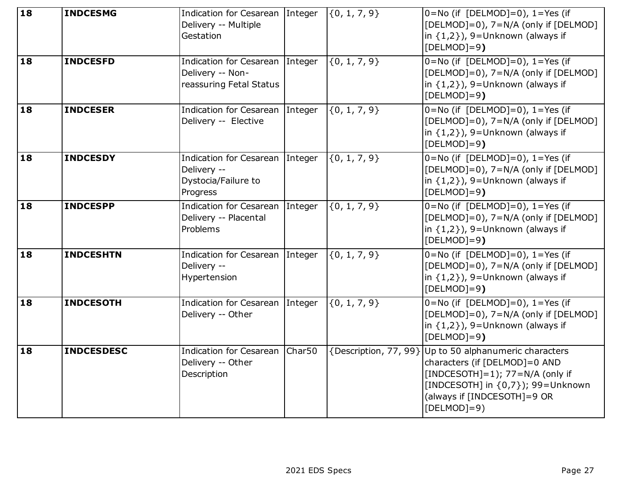| 18              | <b>INDCESMG</b>   | Indication for Cesarean Integer<br>Delivery -- Multiple<br>Gestation              |        | $\{0, 1, 7, 9\}$ | $0 = No$ (if [DELMOD]=0), $1 = Yes$ (if<br>[DELMOD]=0), 7=N/A (only if [DELMOD]<br>in $\{1,2\}$ ), 9=Unknown (always if<br>$[DELMOD]=9$ )                                                                         |
|-----------------|-------------------|-----------------------------------------------------------------------------------|--------|------------------|-------------------------------------------------------------------------------------------------------------------------------------------------------------------------------------------------------------------|
| 18              | <b>INDCESFD</b>   | Indication for Cesarean Integer<br>Delivery -- Non-<br>reassuring Fetal Status    |        | $\{0, 1, 7, 9\}$ | $0 = No$ (if [DELMOD]=0), $1 = Yes$ (if<br>[DELMOD]=0), 7=N/A (only if [DELMOD]<br>in $\{1,2\}$ ), 9=Unknown (always if<br>$[DELMOD]=9$ )                                                                         |
| 18              | <b>INDCESER</b>   | Indication for Cesarean Integer<br>Delivery -- Elective                           |        | $\{0, 1, 7, 9\}$ | $0 = No$ (if [DELMOD]=0), $1 = Yes$ (if<br>[DELMOD]=0), 7=N/A (only if [DELMOD]<br>in $\{1,2\}$ ), 9=Unknown (always if<br>$[DELMOD]=9$ )                                                                         |
| 18              | <b>INDCESDY</b>   | Indication for Cesarean Integer<br>Delivery --<br>Dystocia/Failure to<br>Progress |        | $\{0, 1, 7, 9\}$ | $\overline{0}$ =No (if [DELMOD]=0), 1=Yes (if<br>[DELMOD]=0), 7=N/A (only if [DELMOD]<br>in $\{1,2\}$ ), 9=Unknown (always if<br>$[DELMOD]=9$ )                                                                   |
| 18              | <b>INDCESPP</b>   | Indication for Cesarean Integer<br>Delivery -- Placental<br>Problems              |        | $\{0, 1, 7, 9\}$ | $0 = No$ (if [DELMOD]=0), $1 = Yes$ (if<br>[DELMOD]=0), 7=N/A (only if [DELMOD]<br>in $\{1,2\}$ ), 9=Unknown (always if<br>$[DELMOD]=9$ )                                                                         |
| 18              | <b>INDCESHTN</b>  | Indication for Cesarean Integer<br>Delivery --<br>Hypertension                    |        | $\{0, 1, 7, 9\}$ | $0 = No$ (if [DELMOD]=0), $1 = Yes$ (if<br>[DELMOD]=0), 7=N/A (only if [DELMOD]<br>in $\{1,2\}$ ), 9=Unknown (always if<br>$[DELMOD]=9$ )                                                                         |
| $\overline{18}$ | <b>INDCESOTH</b>  | Indication for Cesarean Integer<br>Delivery -- Other                              |        | $\{0, 1, 7, 9\}$ | $0 = No$ (if [DELMOD]=0), $1 = Yes$ (if<br>[DELMOD]=0), 7=N/A (only if [DELMOD]<br>in $\{1,2\}$ ), 9=Unknown (always if<br>$[DELMOD]=9$ )                                                                         |
| 18              | <b>INDCESDESC</b> | <b>Indication for Cesarean</b><br>Delivery -- Other<br>Description                | Char50 |                  | {Description, 77, 99} Up to 50 alphanumeric characters<br>characters (if [DELMOD]=0 AND<br>[INDCESOTH]=1); 77=N/A (only if<br>[INDCESOTH] in {0,7}); 99=Unknown<br>(always if [INDCESOTH]=9 OR<br>[ $DELMOD]=9$ ] |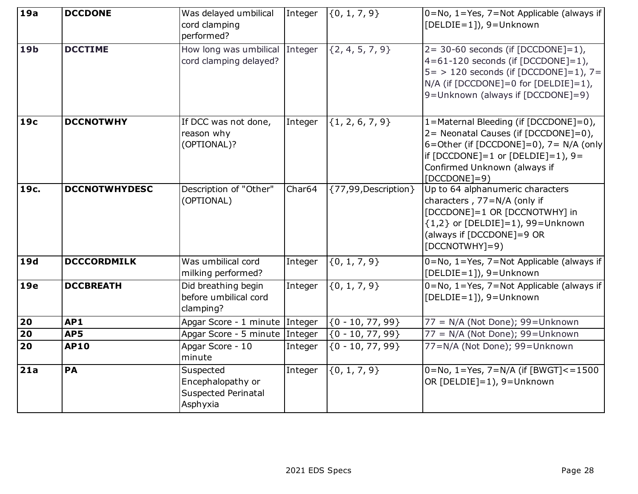| 19a             | <b>DCCDONE</b>       | Was delayed umbilical<br>cord clamping<br>performed?                     | Integer | $\{0, 1, 7, 9\}$      | $0 = No, 1 = Yes, 7 = Not Applicable (always if$<br>[DELDIE=1]), 9=Unknown                                                                                                                                                 |
|-----------------|----------------------|--------------------------------------------------------------------------|---------|-----------------------|----------------------------------------------------------------------------------------------------------------------------------------------------------------------------------------------------------------------------|
| 19 <sub>b</sub> | <b>DCCTIME</b>       | How long was umbilical Integer<br>cord clamping delayed?                 |         | ${2, 4, 5, 7, 9}$     | $2 = 30 - 60$ seconds (if [DCCDONE]=1),<br>$4=61-120$ seconds (if [DCCDONE]=1),<br>$5 = 120$ seconds (if [DCCDONE]=1), 7=<br>$N/A$ (if [DCCDONE]=0 for [DELDIE]=1),<br>9=Unknown (always if [DCCDONE]=9)                   |
| 19 <sub>c</sub> | <b>DCCNOTWHY</b>     | If DCC was not done,<br>reason why<br>(OPTIONAL)?                        | Integer | ${1, 2, 6, 7, 9}$     | 1=Maternal Bleeding (if [DCCDONE]=0),<br>2= Neonatal Causes (if [DCCDONE]=0),<br>6=Other (if $[DCCDONE]=0$ ), 7= N/A (only<br>if $[DCCDONE] = 1$ or $[DELDIE] = 1$ ), 9=<br>Confirmed Unknown (always if<br>$[DCCDONE]=9)$ |
| 19c.            | <b>DCCNOTWHYDESC</b> | Description of "Other"<br>(OPTIONAL)                                     | Char64  | {77,99, Description } | Up to 64 alphanumeric characters<br>characters, 77=N/A (only if<br>[DCCDONE]=1 OR [DCCNOTWHY] in<br>${1,2}$ or [DELDIE]=1), 99=Unknown<br>(always if [DCCDONE]=9 OR<br>$[DCCNOTWHY]=9)$                                    |
| <b>19d</b>      | <b>DCCCORDMILK</b>   | Was umbilical cord<br>milking performed?                                 | Integer | ${0, 1, 7, 9}$        | 0=No, 1=Yes, 7=Not Applicable (always if<br>[DELDIE=1]), 9=Unknown                                                                                                                                                         |
| <b>19e</b>      | <b>DCCBREATH</b>     | Did breathing begin<br>before umbilical cord<br>clamping?                | Integer | ${0, 1, 7, 9}$        | $0 = No, 1 = Yes, 7 = Not Applicable (always if$<br>[DELDIE=1]), 9=Unknown                                                                                                                                                 |
| 20              | AP1                  | Apgar Score - 1 minute Integer                                           |         | $\{0 - 10, 77, 99\}$  | 77 = N/A (Not Done); 99=Unknown                                                                                                                                                                                            |
| $\overline{20}$ | AP5                  | Apgar Score - 5 minute Integer                                           |         | ${0 - 10, 77, 99}$    | 77 = N/A (Not Done); 99=Unknown                                                                                                                                                                                            |
| $\overline{20}$ | <b>AP10</b>          | Apgar Score - 10<br>minute                                               | Integer | ${0 - 10, 77, 99}$    | 77=N/A (Not Done); 99=Unknown                                                                                                                                                                                              |
| 21a             | PA                   | Suspected<br>Encephalopathy or<br><b>Suspected Perinatal</b><br>Asphyxia | Integer | ${0, 1, 7, 9}$        | $0 = No, 1 = Yes, 7 = N/A$ (if $[BWGT] < 1500$<br>OR [DELDIE]=1), 9=Unknown                                                                                                                                                |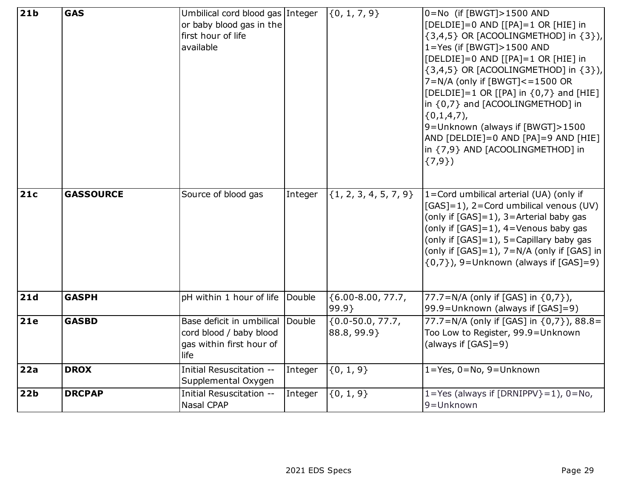| 21 <sub>b</sub> | <b>GAS</b>       | Umbilical cord blood gas Integer |         | $\{0, 1, 7, 9\}$          | 0=No (if [BWGT]>1500 AND                          |
|-----------------|------------------|----------------------------------|---------|---------------------------|---------------------------------------------------|
|                 |                  | or baby blood gas in the         |         |                           | [DELDIE]=0 AND [[PA]=1 OR [HIE] in                |
|                 |                  | first hour of life               |         |                           | $\{3,4,5\}$ OR [ACOOLINGMETHOD] in $\{3\}$ ),     |
|                 |                  | available                        |         |                           | $1 = Yes$ (if [BWGT] > 1500 AND                   |
|                 |                  |                                  |         |                           | [DELDIE]=0 AND [[PA]=1 OR [HIE] in                |
|                 |                  |                                  |         |                           | $\{3,4,5\}$ OR [ACOOLINGMETHOD] in $\{3\}$ ),     |
|                 |                  |                                  |         |                           | $7=N/A$ (only if [BWGT] $<-1500$ OR               |
|                 |                  |                                  |         |                           | [DELDIE]=1 OR [[PA] in $\{0,7\}$ and [HIE]        |
|                 |                  |                                  |         |                           | in {0,7} and [ACOOLINGMETHOD] in                  |
|                 |                  |                                  |         |                           | $\{0,1,4,7\}$                                     |
|                 |                  |                                  |         |                           | 9=Unknown (always if [BWGT]>1500                  |
|                 |                  |                                  |         |                           | AND [DELDIE]=0 AND [PA]=9 AND [HIE]               |
|                 |                  |                                  |         |                           | in {7,9} AND [ACOOLINGMETHOD] in                  |
|                 |                  |                                  |         |                           | $\{7,9\}$                                         |
|                 |                  |                                  |         |                           |                                                   |
| 21c             | <b>GASSOURCE</b> | Source of blood gas              | Integer | $\{1, 2, 3, 4, 5, 7, 9\}$ | 1=Cord umbilical arterial (UA) (only if           |
|                 |                  |                                  |         |                           | [GAS]=1), 2=Cord umbilical venous (UV)            |
|                 |                  |                                  |         |                           | (only if $[GAS]=1$ ), 3=Arterial baby gas         |
|                 |                  |                                  |         |                           | (only if $[GAS]=1$ ), $4=$ Venous baby gas        |
|                 |                  |                                  |         |                           | (only if $[GAS]=1$ ), $5=$ Capillary baby gas     |
|                 |                  |                                  |         |                           | (only if $[GAS]=1$ ), $7=N/A$ (only if $[GAS]$ in |
|                 |                  |                                  |         |                           | $\{0,7\}$ ), 9=Unknown (always if [GAS]=9)        |
|                 |                  |                                  |         |                           |                                                   |
| 21d             | <b>GASPH</b>     | pH within 1 hour of life         | Double  | ${6.00 - 8.00, 77.7}$     | 77.7=N/A (only if [GAS] in {0,7}),                |
|                 |                  |                                  |         | 99.9                      | 99.9=Unknown (always if [GAS]=9)                  |
| 21e             | <b>GASBD</b>     | Base deficit in umbilical Double |         | ${0.0-50.0, 77.7}$        | 77.7=N/A (only if [GAS] in {0,7}), 88.8=          |
|                 |                  | cord blood / baby blood          |         | 88.8, 99.9}               | Too Low to Register, 99.9=Unknown                 |
|                 |                  | gas within first hour of         |         |                           | (always if [GAS]=9)                               |
|                 |                  | life                             |         |                           |                                                   |
| 22a             | <b>DROX</b>      | Initial Resuscitation --         | Integer | ${0, 1, 9}$               | 1=Yes, 0=No, 9=Unknown                            |
|                 |                  | Supplemental Oxygen              |         |                           |                                                   |
| 22 <sub>b</sub> | <b>DRCPAP</b>    | Initial Resuscitation --         | Integer | ${0, 1, 9}$               | 1=Yes (always if $[DRNIPPV]=1$ ), 0=No,           |
|                 |                  | <b>Nasal CPAP</b>                |         |                           | 9=Unknown                                         |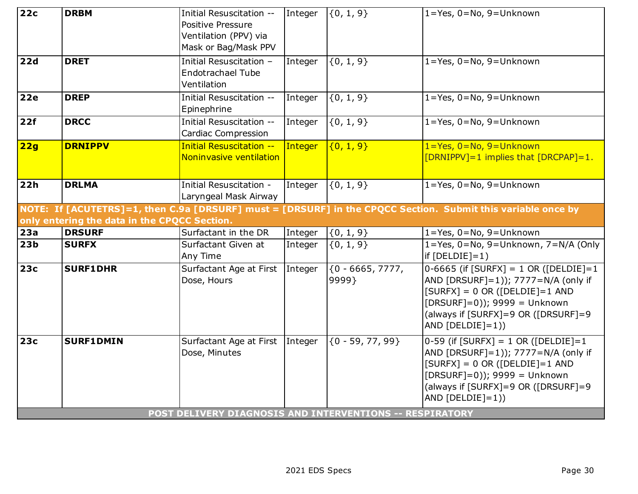| 22c             | <b>DRBM</b>                                  | Initial Resuscitation --<br><b>Positive Pressure</b><br>Ventilation (PPV) via<br>Mask or Bag/Mask PPV        | Integer | $\{0, 1, 9\}$                | $1 = Yes, 0 = No, 9 = Unknown$                                                                                                                                                                                                                 |
|-----------------|----------------------------------------------|--------------------------------------------------------------------------------------------------------------|---------|------------------------------|------------------------------------------------------------------------------------------------------------------------------------------------------------------------------------------------------------------------------------------------|
| 22d             | <b>DRET</b>                                  | Initial Resuscitation -<br><b>Endotrachael Tube</b><br>Ventilation                                           | Integer | $\{0, 1, 9\}$                | $1 = Yes, 0 = No, 9 = Unknown$                                                                                                                                                                                                                 |
| <b>22e</b>      | <b>DREP</b>                                  | Initial Resuscitation --<br>Epinephrine                                                                      | Integer | $\{0, 1, 9\}$                | $1 = Yes, 0 = No, 9 = Unknown$                                                                                                                                                                                                                 |
| 22f             | <b>DRCC</b>                                  | Initial Resuscitation --<br><b>Cardiac Compression</b>                                                       | Integer | $\{0, 1, 9\}$                | 1=Yes, 0=No, 9=Unknown                                                                                                                                                                                                                         |
| 22g             | <b>DRNIPPV</b>                               | <b>Initial Resuscitation --</b><br>Noninvasive ventilation                                                   | Integer | ${0, 1, 9}$                  | $1 = Yes, 0 = No, 9 = Unknown$<br>[DRNIPPV]=1 implies that [DRCPAP]=1.                                                                                                                                                                         |
| 22h             | <b>DRLMA</b>                                 | Initial Resuscitation -<br>Laryngeal Mask Airway                                                             | Integer | $\{0, 1, 9\}$                | 1=Yes, 0=No, 9=Unknown                                                                                                                                                                                                                         |
|                 | only entering the data in the CPQCC Section. |                                                                                                              |         |                              | NOTE: If [ACUTETRS]=1, then C.9a [DRSURF] must = [DRSURF] in the CPQCC Section. Submit this variable once by                                                                                                                                   |
| 23a             | <b>DRSURF</b>                                | Surfactant in the DR                                                                                         | Integer | $\{0, 1, 9\}$                | 1=Yes, 0=No, 9=Unknown                                                                                                                                                                                                                         |
| 23 <sub>b</sub> | <b>SURFX</b>                                 | Surfactant Given at<br>Any Time                                                                              | Integer | $\{0, 1, 9\}$                | 1=Yes, 0=No, 9=Unknown, 7=N/A (Only<br>$if [DELDIE]=1)$                                                                                                                                                                                        |
| <b>23c</b>      | <b>SURF1DHR</b>                              | Surfactant Age at First Integer<br>Dose, Hours                                                               |         | $\{0 - 6665, 7777,$<br>9999} | $0-6665$ (if $[SURFX] = 1$ OR ( $[DELDIE] = 1$<br>AND [DRSURF]=1)); 7777=N/A (only if<br>$[SURFX] = 0 \text{ OR } ([DELDIE] = 1 \text{ AND }$<br>$[DRSURF]=0$ )); 9999 = Unknown<br>(always if [SURFX]=9 OR ([DRSURF]=9<br>AND $[DELDIE]=1$ )) |
| <b>23c</b>      | <b>SURF1DMIN</b>                             | Surfactant Age at First Integer<br>Dose, Minutes<br>POST DELIVERY DIAGNOSIS AND INTERVENTIONS -- RESPIRATORY |         | $\{0 - 59, 77, 99\}$         | 0-59 (if $[SURFX] = 1 OR ([DELDIE] = 1$<br>AND [DRSURF]=1)); 7777=N/A (only if<br>$[SURFX] = 0 OR ([DELDIE] = 1 AND$<br>$[DRSURF]=0$ )); 9999 = Unknown<br>(always if [SURFX]=9 OR ([DRSURF]=9<br>AND $[DELDIE]=1$ ))                          |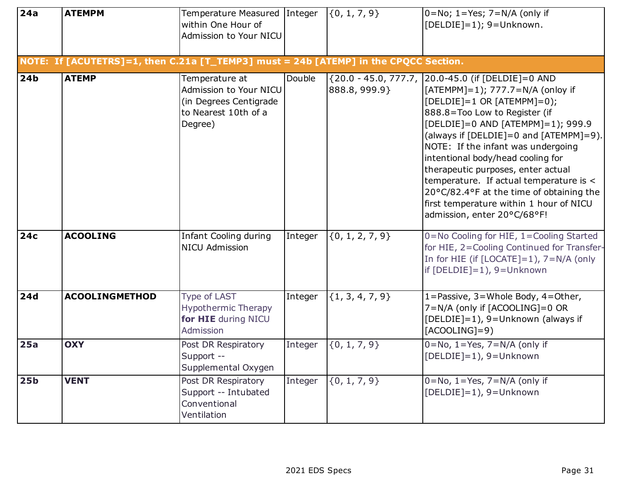| $\overline{24a}$ | <b>ATEMPM</b>                                                                        | Temperature Measured Integer<br>within One Hour of<br>Admission to Your NICU                          |         | $\{0, 1, 7, 9\}$    | $0 = No$ ; 1=Yes; 7=N/A (only if<br>[DELDIE]=1); 9=Unknown.                                                                                                                                                                                                                                                                                                                                                                                                                                                                |
|------------------|--------------------------------------------------------------------------------------|-------------------------------------------------------------------------------------------------------|---------|---------------------|----------------------------------------------------------------------------------------------------------------------------------------------------------------------------------------------------------------------------------------------------------------------------------------------------------------------------------------------------------------------------------------------------------------------------------------------------------------------------------------------------------------------------|
|                  | NOTE: If [ACUTETRS]=1, then C.21a [T_TEMP3] must = 24b [ATEMP] in the CPQCC Section. |                                                                                                       |         |                     |                                                                                                                                                                                                                                                                                                                                                                                                                                                                                                                            |
| 24 <sub>b</sub>  | <b>ATEMP</b>                                                                         | Temperature at<br>Admission to Your NICU<br>(in Degrees Centigrade<br>to Nearest 10th of a<br>Degree) | Double  | 888.8, 999.9}       | {20.0 - 45.0, 777.7, 20.0-45.0 (if [DELDIE]=0 AND<br>[ATEMPM]=1); 777.7=N/A (onloy if<br>$[DELDIE]=1$ OR $[ATEMPM]=0$ );<br>888.8=Too Low to Register (if<br>[DELDIE]=0 AND [ATEMPM]=1); 999.9<br>(always if [DELDIE]=0 and [ATEMPM]=9).<br>NOTE: If the infant was undergoing<br>intentional body/head cooling for<br>therapeutic purposes, enter actual<br>temperature. If actual temperature is <<br>20°C/82.4°F at the time of obtaining the<br>first temperature within 1 hour of NICU<br>admission, enter 20°C/68°F! |
| 24c              | <b>ACOOLING</b>                                                                      | Infant Cooling during<br><b>NICU Admission</b>                                                        | Integer | $\{0, 1, 2, 7, 9\}$ | 0=No Cooling for HIE, 1=Cooling Started<br>for HIE, 2=Cooling Continued for Transfer-<br>In for HIE (if $[LOCATE]=1$ ), $7=N/A$ (only<br>if $[DELDIE]=1$ ), $9=Unknown$                                                                                                                                                                                                                                                                                                                                                    |
| 24d              | <b>ACOOLINGMETHOD</b>                                                                | Type of LAST<br><b>Hypothermic Therapy</b><br>for HIE during NICU<br>Admission                        | Integer | ${1, 3, 4, 7, 9}$   | 1=Passive, 3=Whole Body, 4=Other,<br>7=N/A (only if [ACOOLING]=0 OR<br>[DELDIE]=1), 9=Unknown (always if<br>$[ACOOLING]=9)$                                                                                                                                                                                                                                                                                                                                                                                                |
| 25a              | <b>OXY</b>                                                                           | Post DR Respiratory<br>Support --<br>Supplemental Oxygen                                              | Integer | ${0, 1, 7, 9}$      | $0 = No$ , $1 = Yes$ , $7 = N/A$ (only if<br>[DELDIE]=1), 9=Unknown                                                                                                                                                                                                                                                                                                                                                                                                                                                        |
| 25 <sub>b</sub>  | <b>VENT</b>                                                                          | Post DR Respiratory<br>Support -- Intubated<br>Conventional<br>Ventilation                            | Integer | $\{0, 1, 7, 9\}$    | $0 = No$ , $1 = Yes$ , $7 = N/A$ (only if<br>[DELDIE]=1), 9=Unknown                                                                                                                                                                                                                                                                                                                                                                                                                                                        |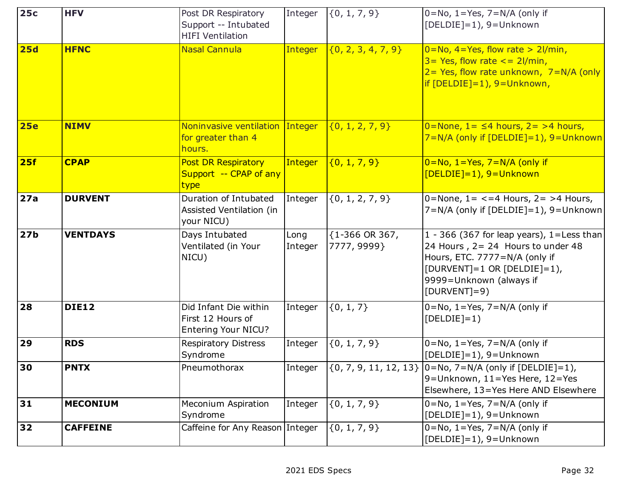| 25c             | <b>HFV</b>      | Post DR Respiratory<br>Support -- Intubated<br><b>HIFI Ventilation</b> | Integer         | $\{0, 1, 7, 9\}$                 | $0 = No$ , $1 = Yes$ , $7 = N/A$ (only if<br>[DELDIE]=1), 9=Unknown                                                                                                                         |
|-----------------|-----------------|------------------------------------------------------------------------|-----------------|----------------------------------|---------------------------------------------------------------------------------------------------------------------------------------------------------------------------------------------|
| 25d             | <b>HFNC</b>     | <b>Nasal Cannula</b>                                                   | Integer         | $\{0, 2, 3, 4, 7, 9\}$           | $0 = No, 4 = Yes, flow rate > 21/min,$<br>$3 = Yes$ , flow rate $\lt = 2$ l/min,<br>$2 = Yes$ , flow rate unknown, $7 = N/A$ (only<br>if $[DELDIE]=1$ ), $9=Unknown$ ,                      |
| <b>25e</b>      | <b>NIMV</b>     | Noninvasive ventilation Integer<br>for greater than 4<br>hours.        |                 | $\{0, 1, 2, 7, 9\}$              | $0 = \text{None}$ , $1 = \leq 4$ hours, $2 = > 4$ hours,<br>7=N/A (only if [DELDIE]=1), 9=Unknown                                                                                           |
| 25f             | <b>CPAP</b>     | <b>Post DR Respiratory</b><br>Support -- CPAP of any<br>type           | Integer         | (0, 1, 7, 9)                     | $0 = No, 1 = Yes, 7 = N/A$ (only if<br>$[DELDIE]=1$ , 9=Unknown                                                                                                                             |
| 27a             | <b>DURVENT</b>  | Duration of Intubated<br>Assisted Ventilation (in<br>your NICU)        | Integer         | $\{0, 1, 2, 7, 9\}$              | 0=None, $1 = < 4$ Hours, $2 = > 4$ Hours,<br>$7=N/A$ (only if [DELDIE]=1), 9=Unknown                                                                                                        |
| 27 <sub>b</sub> | <b>VENTDAYS</b> | Days Intubated<br>Ventilated (in Your<br>NICU)                         | Long<br>Integer | ${1-366}$ OR 367,<br>7777, 9999} | 1 - 366 (367 for leap years), 1=Less than<br>24 Hours, 2= 24 Hours to under 48<br>Hours, ETC. 7777=N/A (only if<br>[DURVENT]=1 OR [DELDIE]=1),<br>9999=Unknown (always if<br>$[DURVENT]=9)$ |
| 28              | <b>DIE12</b>    | Did Infant Die within<br>First 12 Hours of<br>Entering Your NICU?      | Integer         | $\{0, 1, 7\}$                    | $0 = No$ , $1 = Yes$ , $7 = N/A$ (only if<br>$[DELDIE]=1)$                                                                                                                                  |
| 29              | <b>RDS</b>      | <b>Respiratory Distress</b><br>Syndrome                                | Integer         | $\{0, 1, 7, 9\}$                 | $0 = No$ , $1 = Yes$ , $7 = N/A$ (only if<br>[DELDIE]=1), 9=Unknown                                                                                                                         |
| 30              | <b>PNTX</b>     | Pneumothorax                                                           | Integer         |                                  | $(0, 7, 9, 11, 12, 13)$ $ 0=$ No, $7=N/A$ (only if [DELDIE]=1),<br>9=Unknown, 11=Yes Here, 12=Yes<br>Elsewhere, 13=Yes Here AND Elsewhere                                                   |
| 31              | <b>MECONIUM</b> | Meconium Aspiration<br>Syndrome                                        | Integer         | $\{0, 1, 7, 9\}$                 | $0 = No$ , $1 = Yes$ , $7 = N/A$ (only if<br>$[DELDIE]=1$ ), 9=Unknown                                                                                                                      |
| 32              | <b>CAFFEINE</b> | Caffeine for Any Reason Integer                                        |                 | $\{0, 1, 7, 9\}$                 | $0 = No$ , $1 = Yes$ , $7 = N/A$ (only if<br>[DELDIE]=1), 9=Unknown                                                                                                                         |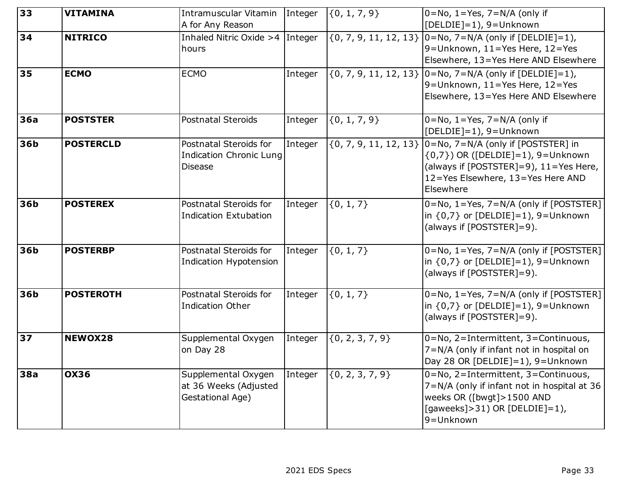| 33         | <b>VITAMINA</b>  | Intramuscular Vitamin<br>A for Any Reason                                  | Integer | $\{0, 1, 7, 9\}$          | $0 = No$ , 1 = Yes, 7 = N/A (only if<br>[DELDIE]=1), 9=Unknown                                                                                                         |
|------------|------------------|----------------------------------------------------------------------------|---------|---------------------------|------------------------------------------------------------------------------------------------------------------------------------------------------------------------|
| 34         | <b>NITRICO</b>   | Inhaled Nitric Oxide $>4$ Integer<br>hours                                 |         | $\{0, 7, 9, 11, 12, 13\}$ | $0 = No$ , $7 = N/A$ (only if [DELDIE]=1),<br>9=Unknown, $11 = Yes$ Here, $12 = Yes$<br>Elsewhere, 13=Yes Here AND Elsewhere                                           |
| 35         | <b>ECMO</b>      | <b>ECMO</b>                                                                | Integer | $\{0, 7, 9, 11, 12, 13\}$ | $0 = No$ , $7 = N/A$ (only if [DELDIE]=1),<br>9=Unknown, $11 = Yes$ Here, $12 = Yes$<br>Elsewhere, 13=Yes Here AND Elsewhere                                           |
| 36a        | <b>POSTSTER</b>  | Postnatal Steroids                                                         | Integer | ${0, 1, 7, 9}$            | $0 = No$ , $1 = Yes$ , $7 = N/A$ (only if<br>[DELDIE]=1), 9=Unknown                                                                                                    |
| <b>36b</b> | <b>POSTERCLD</b> | Postnatal Steroids for<br><b>Indication Chronic Lung</b><br><b>Disease</b> | Integer | $\{0, 7, 9, 11, 12, 13\}$ | 0=No, 7=N/A (only if [POSTSTER] in<br>$(0,7)$ ) OR ([DELDIE]=1), 9=Unknown<br>(always if [POSTSTER]=9), 11=Yes Here,<br>12=Yes Elsewhere, 13=Yes Here AND<br>Elsewhere |
| <b>36b</b> | <b>POSTEREX</b>  | Postnatal Steroids for<br><b>Indication Extubation</b>                     | Integer | $\{0, 1, 7\}$             | 0=No, 1=Yes, 7=N/A (only if [POSTSTER]<br>$\ln \{0.7\}$ or $[DELDIE]=1$ ), 9=Unknown<br>(always if [POSTSTER]=9).                                                      |
| 36b        | <b>POSTERBP</b>  | Postnatal Steroids for<br>Indication Hypotension                           | Integer | ${0, 1, 7}$               | 0=No, 1=Yes, 7=N/A (only if [POSTSTER]<br>in $\{0,7\}$ or $[DELDIE]=1$ ), 9=Unknown<br>(always if [POSTSTER]=9).                                                       |
| <b>36b</b> | <b>POSTEROTH</b> | <b>Postnatal Steroids for</b><br><b>Indication Other</b>                   | Integer | ${0, 1, 7}$               | 0=No, 1=Yes, 7=N/A (only if [POSTSTER]<br>in $\{0,7\}$ or $[DELDIE]=1$ ), 9=Unknown<br>(always if [POSTSTER]=9).                                                       |
| 37         | NEWOX28          | Supplemental Oxygen<br>on Day 28                                           | Integer | $\{0, 2, 3, 7, 9\}$       | 0=No, 2=Intermittent, 3=Continuous,<br>7=N/A (only if infant not in hospital on<br>Day 28 OR [DELDIE]=1), 9=Unknown                                                    |
| <b>38a</b> | <b>OX36</b>      | Supplemental Oxygen<br>at 36 Weeks (Adjusted<br>Gestational Age)           | Integer | $\{0, 2, 3, 7, 9\}$       | 0=No, 2=Intermittent, 3=Continuous,<br>7=N/A (only if infant not in hospital at 36<br>weeks OR ([bwgt]>1500 AND<br>[gaweeks]>31) OR [DELDIE]=1),<br>9=Unknown          |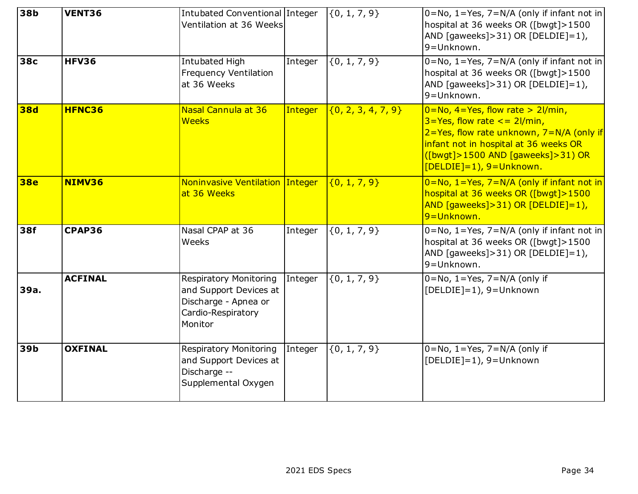| 38 <sub>b</sub> | VENT36         | Intubated Conventional Integer<br>Ventilation at 36 Weeks                                                        |         | $\{0, 1, 7, 9\}$       | 0=No, 1=Yes, 7=N/A (only if infant not in<br>hospital at 36 weeks OR ([bwgt]>1500<br>AND [gaweeks]>31) OR [DELDIE]=1),<br>9=Unknown.                                                                                                        |
|-----------------|----------------|------------------------------------------------------------------------------------------------------------------|---------|------------------------|---------------------------------------------------------------------------------------------------------------------------------------------------------------------------------------------------------------------------------------------|
| <b>38c</b>      | <b>HFV36</b>   | Intubated High<br><b>Frequency Ventilation</b><br>at 36 Weeks                                                    | Integer | $\{0, 1, 7, 9\}$       | 0=No, 1=Yes, 7=N/A (only if infant not in<br>hospital at 36 weeks OR ([bwgt]>1500<br>AND [gaweeks] > 31) OR [DELDIE] = 1),<br>9=Unknown.                                                                                                    |
| <b>38d</b>      | HFNC36         | Nasal Cannula at 36<br><b>Weeks</b>                                                                              | Integer | $\{0, 2, 3, 4, 7, 9\}$ | $0 = No$ , $4 = Yes$ , flow rate > 2l/min,<br>$3 = Yes$ , flow rate $\lt = 2$ l/min,<br>2=Yes, flow rate unknown, 7=N/A (only if<br>infant not in hospital at 36 weeks OR<br>([bwgt]>1500 AND [gaweeks]>31) OR<br>$[DELDIE]=1$ , 9=Unknown. |
| <b>38e</b>      | NIMV36         | Noninvasive Ventilation Integer<br>at 36 Weeks                                                                   |         | $\{0, 1, 7, 9\}$       | $0 = No, 1 = Yes, 7 = N/A$ (only if infant not in<br>hospital at 36 weeks OR ([bwgt]>1500<br>AND $[qaweeks] > 31$ ) OR $[DELDIE] = 1$ ),<br>9=Unknown.                                                                                      |
| 38f             | CPAP36         | Nasal CPAP at 36<br>Weeks                                                                                        | Integer | $\{0, 1, 7, 9\}$       | 0=No, 1=Yes, 7=N/A (only if infant not in<br>hospital at 36 weeks OR ([bwgt]>1500<br>AND [gaweeks]>31) OR [DELDIE]=1),<br>9=Unknown.                                                                                                        |
| 39a.            | <b>ACFINAL</b> | <b>Respiratory Monitoring</b><br>and Support Devices at<br>Discharge - Apnea or<br>Cardio-Respiratory<br>Monitor | Integer | $\{0, 1, 7, 9\}$       | $0 = No$ , $1 = Yes$ , $7 = N/A$ (only if<br>[DELDIE]=1), 9=Unknown                                                                                                                                                                         |
| 39b             | <b>OXFINAL</b> | <b>Respiratory Monitoring</b><br>and Support Devices at<br>Discharge --<br>Supplemental Oxygen                   | Integer | ${0, 1, 7, 9}$         | $0 = No$ , $1 = Yes$ , $7 = N/A$ (only if<br>[DELDIE]=1), 9=Unknown                                                                                                                                                                         |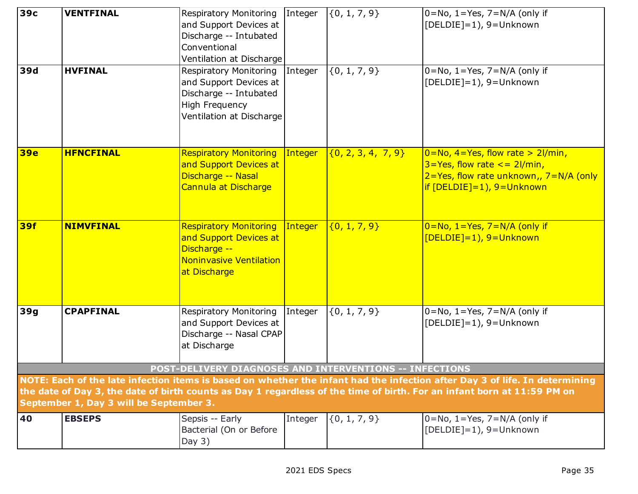| 39с        | <b>VENTFINAL</b>                        | Respiratory Monitoring<br>and Support Devices at<br>Discharge -- Intubated<br>Conventional<br>Ventilation at Discharge    | Integer | $\{0, 1, 7, 9\}$       | $O=No$ , 1=Yes, 7=N/A (only if<br>[DELDIE]=1), 9=Unknown                                                                                                                                                                                               |
|------------|-----------------------------------------|---------------------------------------------------------------------------------------------------------------------------|---------|------------------------|--------------------------------------------------------------------------------------------------------------------------------------------------------------------------------------------------------------------------------------------------------|
| 39d        | <b>HVFINAL</b>                          | Respiratory Monitoring<br>and Support Devices at<br>Discharge -- Intubated<br>High Frequency<br>Ventilation at Discharge  | Integer | $\{0, 1, 7, 9\}$       | $0 = No$ , $1 = Yes$ , $7 = N/A$ (only if<br>[DELDIE]=1), 9=Unknown                                                                                                                                                                                    |
| <b>39e</b> | <b>HFNCFINAL</b>                        | <b>Respiratory Monitoring</b><br>and Support Devices at<br>Discharge -- Nasal<br>Cannula at Discharge                     | Integer | $\{0, 2, 3, 4, 7, 9\}$ | $0 = No, 4 = Yes, flow rate > 21/min,$<br>$3 = Yes$ , flow rate $\lt$ = 2l/min,<br>$2 = Yes$ , flow rate unknown,, $7 = N/A$ (only<br>$if [DELDIE]=1, 9=Unknown$                                                                                       |
| <b>39f</b> | <b>NIMVFINAL</b>                        | <b>Respiratory Monitoring</b><br>and Support Devices at<br>Discharge --<br><b>Noninvasive Ventilation</b><br>at Discharge | Integer | ${0, 1, 7, 9}$         | $0 = No, 1 = Yes, 7 = N/A$ (only if<br>[DELDIE]=1), 9=Unknown                                                                                                                                                                                          |
| 39g        | <b>CPAPFINAL</b>                        | Respiratory Monitoring<br>and Support Devices at<br>Discharge -- Nasal CPAP<br>at Discharge                               | Integer | $\{0, 1, 7, 9\}$       | $0 = No$ , $1 = Yes$ , $7 = N/A$ (only if<br>$[DELDIE]=1$ ), 9=Unknown                                                                                                                                                                                 |
|            |                                         | POST-DELIVERY DIAGNOSES AND INTERVENTIONS -- INFECTIONS                                                                   |         |                        |                                                                                                                                                                                                                                                        |
|            | September 1, Day 3 will be September 3. |                                                                                                                           |         |                        | NOTE: Each of the late infection items is based on whether the infant had the infection after Day 3 of life. In determining<br>the date of Day 3, the date of birth counts as Day 1 regardless of the time of birth. For an infant born at 11:59 PM on |
| 40         | <b>EBSEPS</b>                           | Sepsis -- Early<br>Bacterial (On or Before<br>Day $3)$                                                                    | Integer | $\{0, 1, 7, 9\}$       | $0 = No$ , $1 = Yes$ , $7 = N/A$ (only if<br>$[DELDIE]=1$ ), 9=Unknown                                                                                                                                                                                 |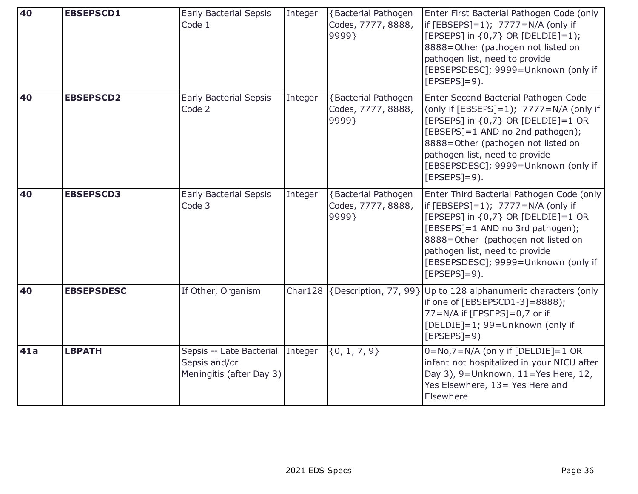| 40  | <b>EBSEPSCD1</b>  | <b>Early Bacterial Sepsis</b><br>Code 1                                       | Integer | <b>{Bacterial Pathogen</b><br>Codes, 7777, 8888,<br>9999} | Enter First Bacterial Pathogen Code (only<br>if $[EBSEPS]=1$ ; $7777=N/A$ (only if<br>[EPSEPS] in {0,7} OR [DELDIE]=1);<br>8888=Other (pathogen not listed on<br>pathogen list, need to provide<br>[EBSEPSDESC]; 9999=Unknown (only if<br>$[EPSEPS]=9$ ).                                       |
|-----|-------------------|-------------------------------------------------------------------------------|---------|-----------------------------------------------------------|-------------------------------------------------------------------------------------------------------------------------------------------------------------------------------------------------------------------------------------------------------------------------------------------------|
| 40  | <b>EBSEPSCD2</b>  | <b>Early Bacterial Sepsis</b><br>Code 2                                       | Integer | <b>{Bacterial Pathogen</b><br>Codes, 7777, 8888,<br>9999} | Enter Second Bacterial Pathogen Code<br>(only if [EBSEPS]=1); 7777=N/A (only if<br>[EPSEPS] in {0,7} OR [DELDIE]=1 OR<br>[EBSEPS]=1 AND no 2nd pathogen);<br>8888=Other (pathogen not listed on<br>pathogen list, need to provide<br>[EBSEPSDESC]; 9999=Unknown (only if<br>$[EPSEPS]=9$ ).     |
| 40  | <b>EBSEPSCD3</b>  | <b>Early Bacterial Sepsis</b><br>Code 3                                       | Integer | <b>{Bacterial Pathogen</b><br>Codes, 7777, 8888,<br>9999} | Enter Third Bacterial Pathogen Code (only<br>if $[EBSEPS]=1$ ); $7777=N/A$ (only if<br>[EPSEPS] in {0,7} OR [DELDIE]=1 OR<br>[EBSEPS]=1 AND no 3rd pathogen);<br>8888=Other (pathogen not listed on<br>pathogen list, need to provide<br>[EBSEPSDESC]; 9999=Unknown (only if<br>$[EPSEPS]=9$ ). |
| 40  | <b>EBSEPSDESC</b> | If Other, Organism                                                            |         |                                                           | Char128 $\left\{$ Description, 77, 99} Up to 128 alphanumeric characters (only<br>if one of [EBSEPSCD1-3]=8888);<br>77=N/A if [EPSEPS]=0,7 or if<br>[DELDIE]=1; 99=Unknown (only if<br>$[EPSEPS]=9)$                                                                                            |
| 41a | <b>LBPATH</b>     | Sepsis -- Late Bacterial Integer<br>Sepsis and/or<br>Meningitis (after Day 3) |         | $\{0, 1, 7, 9\}$                                          | $0 = No, 7 = N/A$ (only if [DELDIE] = 1 OR<br>infant not hospitalized in your NICU after<br>Day 3), 9=Unknown, 11=Yes Here, 12,<br>Yes Elsewhere, 13 = Yes Here and<br>Elsewhere                                                                                                                |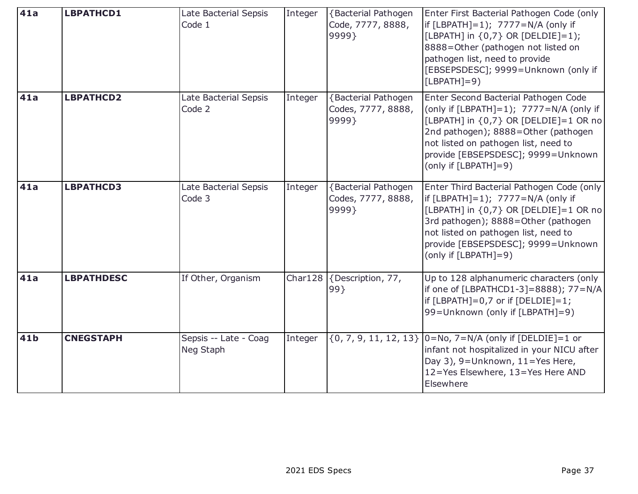| 41a         | <b>LBPATHCD1</b>  | Late Bacterial Sepsis<br>Code 1    | Integer | <b>{Bacterial Pathogen</b><br>Code, 7777, 8888,<br>9999}  | Enter First Bacterial Pathogen Code (only<br>if $[LBPATH]=1$ ); $7777=N/A$ (only if<br>[LBPATH] in {0,7} OR [DELDIE]=1);<br>8888=Other (pathogen not listed on<br>pathogen list, need to provide<br>[EBSEPSDESC]; 9999=Unknown (only if<br>$[LBPATH]=9)$                   |
|-------------|-------------------|------------------------------------|---------|-----------------------------------------------------------|----------------------------------------------------------------------------------------------------------------------------------------------------------------------------------------------------------------------------------------------------------------------------|
| 41a         | <b>LBPATHCD2</b>  | Late Bacterial Sepsis<br>Code 2    | Integer | {Bacterial Pathogen<br>Codes, 7777, 8888,<br>9999}        | Enter Second Bacterial Pathogen Code<br>(only if $[LBPATH]=1$ ); $7777=N/A$ (only if<br>[LBPATH] in {0,7} OR [DELDIE]=1 OR no<br>2nd pathogen); 8888=Other (pathogen<br>not listed on pathogen list, need to<br>provide [EBSEPSDESC]; 9999=Unknown<br>(only if [LBPATH]=9) |
| 41a         | <b>LBPATHCD3</b>  | Late Bacterial Sepsis<br>Code 3    | Integer | <b>{Bacterial Pathogen</b><br>Codes, 7777, 8888,<br>9999} | Enter Third Bacterial Pathogen Code (only<br>if $[LBPATH]=1$ ; $7777=N/A$ (only if<br>[LBPATH] in {0,7} OR [DELDIE]=1 OR no<br>3rd pathogen); 8888=Other (pathogen<br>not listed on pathogen list, need to<br>provide [EBSEPSDESC]; 9999=Unknown<br>(only if [LBPATH]=9)   |
| 41a         | <b>LBPATHDESC</b> | If Other, Organism                 |         | Char128 {Description, 77,<br>99}                          | Up to 128 alphanumeric characters (only<br>if one of [LBPATHCD1-3]=8888); 77=N/A<br>if $[LBPATH]=0.7$ or if $[DELDIE]=1$ ;<br>99=Unknown (only if [LBPATH]=9)                                                                                                              |
| 41 <b>b</b> | <b>CNEGSTAPH</b>  | Sepsis -- Late - Coag<br>Neg Staph | Integer |                                                           | $\{0, 7, 9, 11, 12, 13\}$   0=No, 7=N/A (only if [DELDIE]=1 or<br>infant not hospitalized in your NICU after<br>Day 3), 9=Unknown, 11=Yes Here,<br>12=Yes Elsewhere, 13=Yes Here AND<br>Elsewhere                                                                          |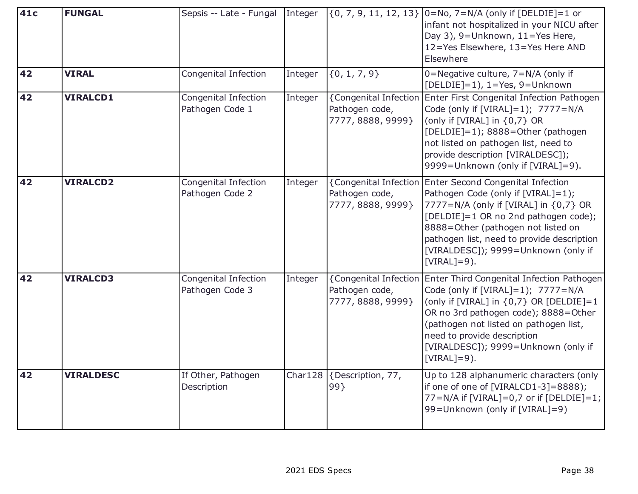| 41c | <b>FUNGAL</b>    | Sepsis -- Late - Fungal Integer         |         |                                                              | $\{0, 7, 9, 11, 12, 13\}$   0=No, 7=N/A (only if [DELDIE]=1 or<br>infant not hospitalized in your NICU after<br>Day 3), 9=Unknown, 11=Yes Here,<br>12=Yes Elsewhere, 13=Yes Here AND<br>Elsewhere                                                                                                        |
|-----|------------------|-----------------------------------------|---------|--------------------------------------------------------------|----------------------------------------------------------------------------------------------------------------------------------------------------------------------------------------------------------------------------------------------------------------------------------------------------------|
| 42  | <b>VIRAL</b>     | Congenital Infection                    | Integer | $\{0, 1, 7, 9\}$                                             | 0=Negative culture, 7=N/A (only if<br>$[DELDIE]=1$ ), $1=Yes$ , 9=Unknown                                                                                                                                                                                                                                |
| 42  | <b>VIRALCD1</b>  | Congenital Infection<br>Pathogen Code 1 | Integer | {Congenital Infection<br>Pathogen code,<br>7777, 8888, 9999} | Enter First Congenital Infection Pathogen<br>Code (only if [VIRAL]=1); 7777=N/A<br>(only if [VIRAL] in {0,7} OR<br>[DELDIE]=1); 8888=Other (pathogen<br>not listed on pathogen list, need to<br>provide description [VIRALDESC]);<br>9999=Unknown (only if [VIRAL]=9).                                   |
| 42  | <b>VIRALCD2</b>  | Congenital Infection<br>Pathogen Code 2 | Integer | {Congenital Infection<br>Pathogen code,<br>7777, 8888, 9999} | Enter Second Congenital Infection<br>Pathogen Code (only if [VIRAL]=1);<br>7777=N/A (only if [VIRAL] in {0,7} OR<br>[DELDIE]=1 OR no 2nd pathogen code);<br>8888=Other (pathogen not listed on<br>pathogen list, need to provide description<br>[VIRALDESC]); 9999=Unknown (only if<br>$[VIRAL]=9$ ).    |
| 42  | <b>VIRALCD3</b>  | Congenital Infection<br>Pathogen Code 3 | Integer | {Congenital Infection<br>Pathogen code,<br>7777, 8888, 9999} | Enter Third Congenital Infection Pathogen<br>Code (only if [VIRAL]=1); 7777=N/A<br>(only if [VIRAL] in $\{0,7\}$ OR [DELDIE]=1<br>OR no 3rd pathogen code); 8888=Other<br>(pathogen not listed on pathogen list,<br>need to provide description<br>[VIRALDESC]); 9999=Unknown (only if<br>$[VIRAL]=9$ ). |
| 42  | <b>VIRALDESC</b> | If Other, Pathogen<br>Description       |         | Char128 {Description, 77,<br>99}                             | Up to 128 alphanumeric characters (only<br>if one of one of [VIRALCD1-3]=8888);<br>77=N/A if $[VIRAL]=0.7$ or if $[DELDIE]=1$ ;<br>99=Unknown (only if [VIRAL]=9)                                                                                                                                        |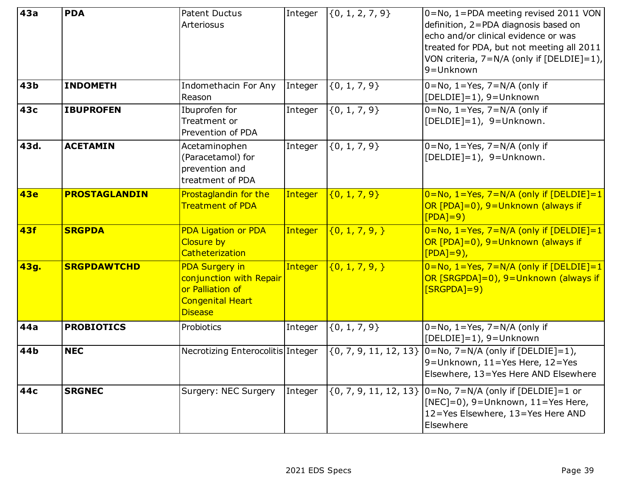| 43a        | <b>PDA</b>           | <b>Patent Ductus</b><br>Arteriosus                                                                                | Integer        | $\{0, 1, 2, 7, 9\}$       | 0=No, 1=PDA meeting revised 2011 VON<br>definition, 2=PDA diagnosis based on<br>echo and/or clinical evidence or was<br>treated for PDA, but not meeting all 2011<br>VON criteria, $7=N/A$ (only if [DELDIE]=1),<br>9=Unknown |
|------------|----------------------|-------------------------------------------------------------------------------------------------------------------|----------------|---------------------------|-------------------------------------------------------------------------------------------------------------------------------------------------------------------------------------------------------------------------------|
| 43b        | <b>INDOMETH</b>      | Indomethacin For Any<br>Reason                                                                                    | Integer        | $\{0, 1, 7, 9\}$          | $0 = No$ , $1 = Yes$ , $7 = N/A$ (only if<br>$[DELDIE]=1$ ), 9=Unknown                                                                                                                                                        |
| 43с        | <b>IBUPROFEN</b>     | Ibuprofen for<br>Treatment or<br>Prevention of PDA                                                                | Integer        | $\{0, 1, 7, 9\}$          | $0 = No$ , $1 = Yes$ , $7 = N/A$ (only if<br>$[DELDIE]=1$ ), 9=Unknown.                                                                                                                                                       |
| 43d.       | <b>ACETAMIN</b>      | Acetaminophen<br>(Paracetamol) for<br>prevention and<br>treatment of PDA                                          | Integer        | $\{0, 1, 7, 9\}$          | $0 = No$ , $1 = Yes$ , $7 = N/A$ (only if<br>[DELDIE]=1), 9=Unknown.                                                                                                                                                          |
| <b>43e</b> | <b>PROSTAGLANDIN</b> | Prostaglandin for the<br><b>Treatment of PDA</b>                                                                  | Integer        | $\{0, 1, 7, 9\}$          | $0 = No, 1 = Yes, 7 = N/A$ (only if [DELDIE]=1<br>OR [PDA]=0), 9=Unknown (always if<br>$[PDA]=9$                                                                                                                              |
| <b>43f</b> | <b>SRGPDA</b>        | <b>PDA Ligation or PDA</b><br><b>Closure by</b><br><b>Catheterization</b>                                         | <b>Integer</b> | $\{0, 1, 7, 9, \}$        | $0 = No, 1 = Yes, 7 = N/A$ (only if [DELDIE] = 1<br>OR [PDA]=0), 9=Unknown (always if<br>$[PDA]=9$ ),                                                                                                                         |
| 43g.       | <b>SRGPDAWTCHD</b>   | <b>PDA Surgery in</b><br>conjunction with Repair<br>or Palliation of<br><b>Congenital Heart</b><br><b>Disease</b> | <b>Integer</b> | $\{0, 1, 7, 9, \}$        | $0 = No, 1 = Yes, 7 = N/A$ (only if [DELDIE]=1<br>OR [SRGPDA]=0), 9=Unknown (always if<br>$[SRGPDA]=9)$                                                                                                                       |
| 44a        | <b>PROBIOTICS</b>    | Probiotics                                                                                                        | Integer        | $\{0, 1, 7, 9\}$          | $0 = No$ , $1 = Yes$ , $7 = N/A$ (only if<br>[DELDIE]=1), 9=Unknown                                                                                                                                                           |
| 44b        | <b>NEC</b>           | Necrotizing Enterocolitis Integer                                                                                 |                | $\{0, 7, 9, 11, 12, 13\}$ | $ 0=$ No, 7=N/A (only if [DELDIE]=1),<br>9=Unknown, 11=Yes Here, 12=Yes<br>Elsewhere, 13=Yes Here AND Elsewhere                                                                                                               |
| 44c        | <b>SRGNEC</b>        | Surgery: NEC Surgery                                                                                              | Integer        | $\{0, 7, 9, 11, 12, 13\}$ | $[0=N_0, 7=N/A$ (only if $[DELDIE]=1$ or<br>$[NEC]=0$ ), 9=Unknown, 11=Yes Here,<br>12=Yes Elsewhere, 13=Yes Here AND<br>Elsewhere                                                                                            |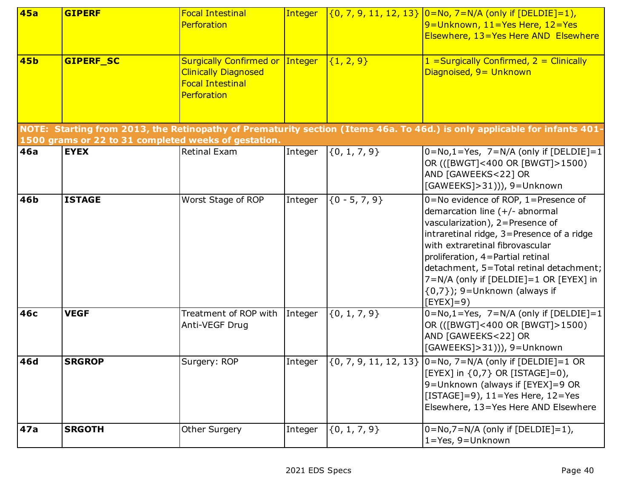| <b>45a</b> | <b>GIPERF</b>    | <b>Focal Intestinal</b><br>Perforation                                                                          | <b>Integer</b> |                  | $(0, 7, 9, 11, 12, 13)$ $ 0=$ No, 7 = N/A (only if [DELDIE] = 1),<br>9=Unknown, 11=Yes Here, 12=Yes                                                                                                                                                                                                                                                                     |
|------------|------------------|-----------------------------------------------------------------------------------------------------------------|----------------|------------------|-------------------------------------------------------------------------------------------------------------------------------------------------------------------------------------------------------------------------------------------------------------------------------------------------------------------------------------------------------------------------|
|            |                  |                                                                                                                 |                |                  | Elsewhere, 13=Yes Here AND Elsewhere                                                                                                                                                                                                                                                                                                                                    |
| <b>45b</b> | <b>GIPERF SC</b> | <b>Surgically Confirmed or Integer</b><br><b>Clinically Diagnosed</b><br><b>Focal Intestinal</b><br>Perforation |                | $\{1, 2, 9\}$    | $1$ = Surgically Confirmed, $2$ = Clinically<br>Diagnoised, 9 = Unknown                                                                                                                                                                                                                                                                                                 |
|            |                  | 1500 grams or 22 to 31 completed weeks of gestation.                                                            |                |                  | NOTE: Starting from 2013, the Retinopathy of Prematurity section (Items 46a. To 46d.) is only applicable for infants 401-                                                                                                                                                                                                                                               |
| 46a        | <b>EYEX</b>      | <b>Retinal Exam</b>                                                                                             | Integer        | ${0, 1, 7, 9}$   | $0 = No, 1 = Yes, 7 = N/A$ (only if [DELDIE]=1<br>OR (([BWGT]<400 OR [BWGT]>1500)<br>AND [GAWEEKS<22] OR<br>[GAWEEKS]>31))), 9=Unknown                                                                                                                                                                                                                                  |
| 46b        | <b>ISTAGE</b>    | Worst Stage of ROP                                                                                              | Integer        | ${0 - 5, 7, 9}$  | 0=No evidence of ROP, 1=Presence of<br>demarcation line $(+/-$ abnormal<br>vascularization), 2=Presence of<br>intraretinal ridge, 3=Presence of a ridge<br>with extraretinal fibrovascular<br>proliferation, 4=Partial retinal<br>detachment, 5=Total retinal detachment;<br>7=N/A (only if [DELDIE]=1 OR [EYEX] in<br>$\{0,7\}$ ); 9=Unknown (always if<br>$[EYEX]=9)$ |
| 46с        | <b>VEGF</b>      | Treatment of ROP with<br>Anti-VEGF Drug                                                                         | Integer        | $\{0, 1, 7, 9\}$ | $0 = No, 1 = Yes, 7 = N/A$ (only if [DELDIE] = 1<br>OR (([BWGT]<400 OR [BWGT]>1500)<br>AND [GAWEEKS<22] OR<br>[GAWEEKS]>31))), 9=Unknown                                                                                                                                                                                                                                |
| 46d        | <b>SRGROP</b>    | Surgery: ROP                                                                                                    | Integer        |                  | $(0, 7, 9, 11, 12, 13)$ $ 0 = No, 7 = N/A$ (only if [DELDIE] = 1 OR<br>[EYEX] in {0,7} OR [ISTAGE]=0),<br>9=Unknown (always if [EYEX]=9 OR<br>[ISTAGE]=9), $11 = Yes$ Here, $12 = Yes$<br>Elsewhere, 13=Yes Here AND Elsewhere                                                                                                                                          |
| 47a        | <b>SRGOTH</b>    | <b>Other Surgery</b>                                                                                            | Integer        | $\{0, 1, 7, 9\}$ | $0 = No, 7 = N/A$ (only if [DELDIE]=1),<br>$1 = Yes, 9 = Unknown$                                                                                                                                                                                                                                                                                                       |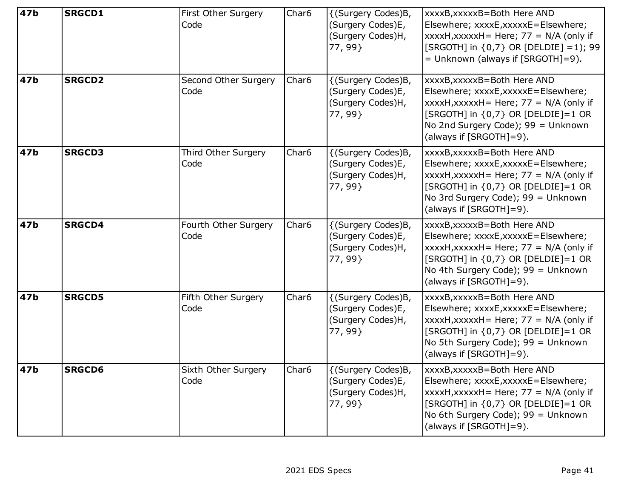| 47b | <b>SRGCD1</b> | First Other Surgery<br>Code  | Char <sub>6</sub> | {(Surgery Codes)B,<br>(Surgery Codes)E,<br>(Surgery Codes)H,<br>77, 99  | xxxxB,xxxxxB=Both Here AND<br>Elsewhere; xxxxE,xxxxxE=Elsewhere;<br>$xxxxH$ , $xxxxH =$ Here; 77 = N/A (only if<br>[SRGOTH] in {0,7} OR [DELDIE] =1); 99<br>= Unknown (always if [SRGOTH]=9).                            |
|-----|---------------|------------------------------|-------------------|-------------------------------------------------------------------------|--------------------------------------------------------------------------------------------------------------------------------------------------------------------------------------------------------------------------|
| 47b | <b>SRGCD2</b> | Second Other Surgery<br>Code | Char <sub>6</sub> | {(Surgery Codes)B,<br>(Surgery Codes)E,<br>(Surgery Codes)H,<br>77, 99  | xxxxB, xxxxxB=Both Here AND<br>Elsewhere; xxxxE,xxxxxE=Elsewhere;<br>xxxxH,xxxxxH = Here; $77 = N/A$ (only if<br>[SRGOTH] in {0,7} OR [DELDIE]=1 OR<br>No 2nd Surgery Code); 99 = Unknown<br>(always if [SRGOTH]=9).     |
| 47b | <b>SRGCD3</b> | Third Other Surgery<br>Code  | Char <sub>6</sub> | {(Surgery Codes)B,<br>(Surgery Codes)E,<br>(Surgery Codes)H,<br>77, 99  | xxxxB, xxxxxB=Both Here AND<br>Elsewhere; xxxxE,xxxxxE=Elsewhere;<br>xxxxH,xxxxxH = Here; $77 = N/A$ (only if<br>[SRGOTH] in {0,7} OR [DELDIE]=1 OR<br>No 3rd Surgery Code); 99 = Unknown<br>(always if [SRGOTH]=9).     |
| 47b | <b>SRGCD4</b> | Fourth Other Surgery<br>Code | Char <sub>6</sub> | {(Surgery Codes)B,<br>(Surgery Codes)E,<br>(Surgery Codes)H,<br>77, 99  | xxxxB, xxxxxB=Both Here AND<br>Elsewhere; xxxxE,xxxxxE=Elsewhere;<br>xxxxH,xxxxxH = Here; $77 = N/A$ (only if<br>[SRGOTH] in {0,7} OR [DELDIE]=1 OR<br>No 4th Surgery Code); 99 = Unknown<br>(always if [SRGOTH]=9).     |
| 47b | <b>SRGCD5</b> | Fifth Other Surgery<br>Code  | Char <sub>6</sub> | {(Surgery Codes)B,<br>(Surgery Codes)E,<br>(Surgery Codes)H,<br>77, 99} | xxxxB, xxxxxB=Both Here AND<br>Elsewhere; xxxxE,xxxxxE=Elsewhere;<br>xxxxH,xxxxxH = Here; $77 = N/A$ (only if<br>[SRGOTH] in {0,7} OR [DELDIE]=1 OR<br>No 5th Surgery Code); 99 = Unknown<br>(always if [SRGOTH]=9).     |
| 47b | <b>SRGCD6</b> | Sixth Other Surgery<br>Code  | Char6             | {(Surgery Codes)B,<br>(Surgery Codes)E,<br>(Surgery Codes)H,<br>77, 99  | xxxxB, xxxxxB=Both Here AND<br>Elsewhere; xxxxE,xxxxxE=Elsewhere;<br>xxxxH,xxxxxH = Here; $77 = N/A$ (only if<br>[SRGOTH] in $\{0,7\}$ OR [DELDIE]=1 OR<br>No 6th Surgery Code); 99 = Unknown<br>(always if [SRGOTH]=9). |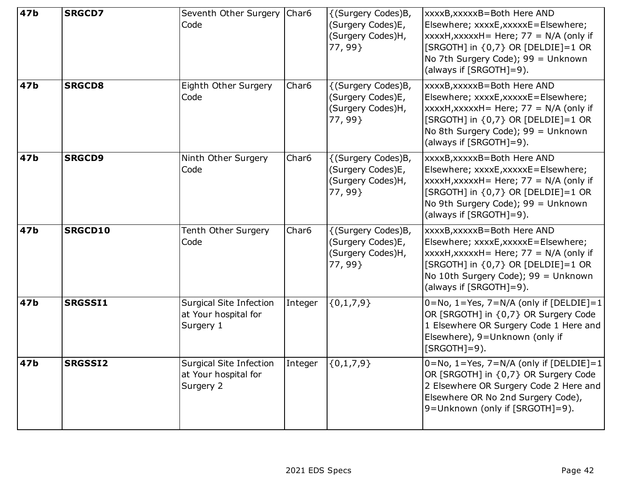| 47 <sub>b</sub> | <b>SRGCD7</b>  | Seventh Other Surgery   Char6<br>Code                               |                   | {(Surgery Codes)B,<br>(Surgery Codes)E,<br>(Surgery Codes)H,<br>77, 99 | xxxxB,xxxxxB=Both Here AND<br>Elsewhere; xxxxE,xxxxxE=Elsewhere;<br>$xxxxH$ , xxxxxH = Here; 77 = N/A (only if<br>[SRGOTH] in {0,7} OR [DELDIE]=1 OR<br>No 7th Surgery Code); 99 = Unknown<br>(always if [SRGOTH]=9).  |
|-----------------|----------------|---------------------------------------------------------------------|-------------------|------------------------------------------------------------------------|------------------------------------------------------------------------------------------------------------------------------------------------------------------------------------------------------------------------|
| 47b             | <b>SRGCD8</b>  | Eighth Other Surgery<br>Code                                        | Char <sub>6</sub> | {(Surgery Codes)B,<br>(Surgery Codes)E,<br>(Surgery Codes)H,<br>77,99  | xxxxB,xxxxxB=Both Here AND<br>Elsewhere; xxxxE,xxxxxE=Elsewhere;<br>$xxxxH$ , xxxxxH = Here; 77 = N/A (only if<br>[SRGOTH] in {0,7} OR [DELDIE]=1 OR<br>No 8th Surgery Code); 99 = Unknown<br>(always if [SRGOTH]=9).  |
| 47b             | <b>SRGCD9</b>  | Ninth Other Surgery<br>Code                                         | Char <sub>6</sub> | {(Surgery Codes)B,<br>(Surgery Codes)E,<br>(Surgery Codes)H,<br>77,99  | xxxxB, xxxxxB=Both Here AND<br>Elsewhere; xxxxE,xxxxxE=Elsewhere;<br>$xxxxH$ , xxxxxH = Here; 77 = N/A (only if<br>[SRGOTH] in {0,7} OR [DELDIE]=1 OR<br>No 9th Surgery Code); 99 = Unknown<br>(always if [SRGOTH]=9). |
| 47b             | <b>SRGCD10</b> | Tenth Other Surgery<br>Code                                         | Char <sub>6</sub> | {(Surgery Codes)B,<br>(Surgery Codes)E,<br>(Surgery Codes)H,<br>77, 99 | xxxxB,xxxxxB=Both Here AND<br>Elsewhere; xxxxE,xxxxxE=Elsewhere;<br>$xxxxH,xxxxxH=Here$ ; 77 = N/A (only if<br>[SRGOTH] in {0,7} OR [DELDIE]=1 OR<br>No 10th Surgery Code); 99 = Unknown<br>(always if [SRGOTH]=9).    |
| 47b             | <b>SRGSSI1</b> | Surgical Site Infection<br>at Your hospital for<br>Surgery 1        | Integer           | ${0,1,7,9}$                                                            | $0 = No, 1 = Yes, 7 = N/A$ (only if [DELDIE]=1<br>OR [SRGOTH] in {0,7} OR Surgery Code<br>1 Elsewhere OR Surgery Code 1 Here and<br>Elsewhere), 9=Unknown (only if<br>$[SRGOTH]=9$ ).                                  |
| 47b             | <b>SRGSSI2</b> | <b>Surgical Site Infection</b><br>at Your hospital for<br>Surgery 2 | Integer           | ${0,1,7,9}$                                                            | $0 = No$ , 1 = Yes, 7 = N/A (only if [DELDIE] = 1<br>OR [SRGOTH] in {0,7} OR Surgery Code<br>2 Elsewhere OR Surgery Code 2 Here and<br>Elsewhere OR No 2nd Surgery Code),<br>9=Unknown (only if [SRGOTH]=9).           |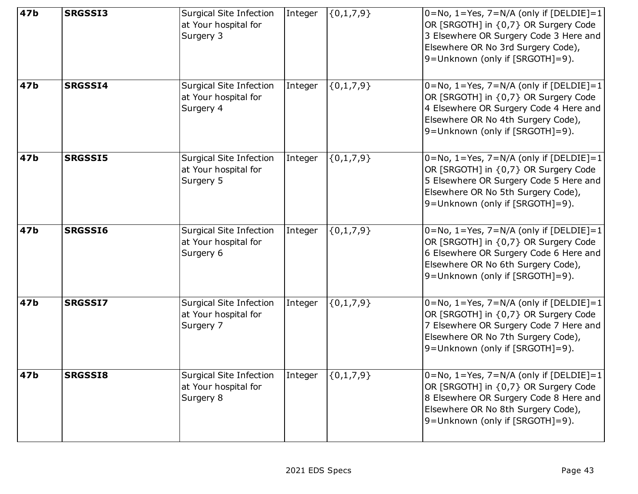| 47 <sub>b</sub> | <b>SRGSSI3</b> | Surgical Site Infection<br>at Your hospital for<br>Surgery 3        | Integer | $\{0,1,7,9\}$ | $0 = No, 1 = Yes, 7 = N/A$ (only if [DELDIE]=1<br>OR [SRGOTH] in {0,7} OR Surgery Code<br>3 Elsewhere OR Surgery Code 3 Here and<br>Elsewhere OR No 3rd Surgery Code),<br>9=Unknown (only if [SRGOTH]=9).       |
|-----------------|----------------|---------------------------------------------------------------------|---------|---------------|-----------------------------------------------------------------------------------------------------------------------------------------------------------------------------------------------------------------|
| 47b             | <b>SRGSSI4</b> | Surgical Site Infection<br>at Your hospital for<br>Surgery 4        | Integer | ${0,1,7,9}$   | $0 = No$ , $1 = Yes$ , $7 = N/A$ (only if [DELDIE]=1<br>OR [SRGOTH] in {0,7} OR Surgery Code<br>4 Elsewhere OR Surgery Code 4 Here and<br>Elsewhere OR No 4th Surgery Code),<br>9=Unknown (only if [SRGOTH]=9). |
| 47b             | <b>SRGSSI5</b> | Surgical Site Infection<br>at Your hospital for<br>Surgery 5        | Integer | ${0,1,7,9}$   | $0 = No$ , $1 = Yes$ , $7 = N/A$ (only if [DELDIE]=1<br>OR [SRGOTH] in {0,7} OR Surgery Code<br>5 Elsewhere OR Surgery Code 5 Here and<br>Elsewhere OR No 5th Surgery Code),<br>9=Unknown (only if [SRGOTH]=9). |
| 47b             | <b>SRGSSI6</b> | Surgical Site Infection<br>at Your hospital for<br>Surgery 6        | Integer | ${0,1,7,9}$   | $0 = No, 1 = Yes, 7 = N/A$ (only if [DELDIE]=1<br>OR [SRGOTH] in {0,7} OR Surgery Code<br>6 Elsewhere OR Surgery Code 6 Here and<br>Elsewhere OR No 6th Surgery Code),<br>9=Unknown (only if [SRGOTH]=9).       |
| 47b             | SRGSSI7        | Surgical Site Infection<br>at Your hospital for<br>Surgery 7        | Integer | ${0,1,7,9}$   | $0 = No, 1 = Yes, 7 = N/A$ (only if [DELDIE]=1<br>OR [SRGOTH] in {0,7} OR Surgery Code<br>7 Elsewhere OR Surgery Code 7 Here and<br>Elsewhere OR No 7th Surgery Code),<br>9=Unknown (only if [SRGOTH]=9).       |
| 47b             | <b>SRGSSI8</b> | <b>Surgical Site Infection</b><br>at Your hospital for<br>Surgery 8 | Integer | ${0,1,7,9}$   | $0 = No$ , $1 = Yes$ , $7 = N/A$ (only if [DELDIE]=1<br>OR [SRGOTH] in {0,7} OR Surgery Code<br>8 Elsewhere OR Surgery Code 8 Here and<br>Elsewhere OR No 8th Surgery Code),<br>9=Unknown (only if [SRGOTH]=9). |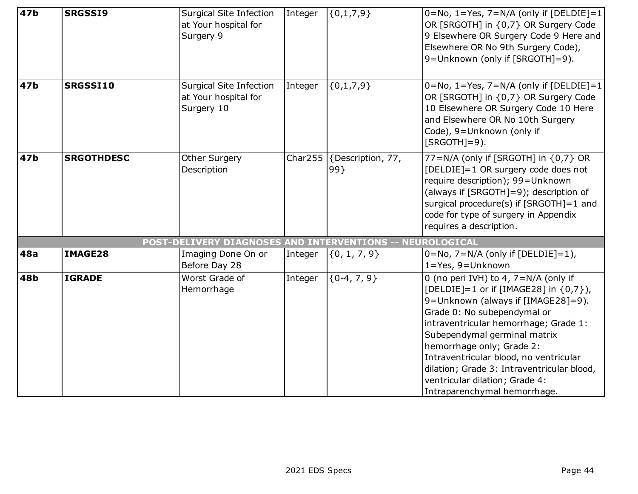| 47 <sub>b</sub> | <b>SRGSSI9</b>    | Surgical Site Infection<br>at Your hospital for<br>Surgery 9  | Integer | ${0,1,7,9}$                                          | $0 = No$ , 1 = Yes, 7 = N/A (only if [DELDIE] = 1<br>OR [SRGOTH] in {0,7} OR Surgery Code<br>9 Elsewhere OR Surgery Code 9 Here and<br>Elsewhere OR No 9th Surgery Code),<br>9=Unknown (only if [SRGOTH]=9).                                                                                                                                                                                                         |
|-----------------|-------------------|---------------------------------------------------------------|---------|------------------------------------------------------|----------------------------------------------------------------------------------------------------------------------------------------------------------------------------------------------------------------------------------------------------------------------------------------------------------------------------------------------------------------------------------------------------------------------|
| 47b             | SRGSSI10          | Surgical Site Infection<br>at Your hospital for<br>Surgery 10 | Integer | ${0,1,7,9}$                                          | $0 = No, 1 = Yes, 7 = N/A$ (only if [DELDIE] = 1<br>OR [SRGOTH] in {0,7} OR Surgery Code<br>10 Elsewhere OR Surgery Code 10 Here<br>and Elsewhere OR No 10th Surgery<br>Code), 9=Unknown (only if<br>$[SRGOTH]=9$ ).                                                                                                                                                                                                 |
| 47b             | <b>SRGOTHDESC</b> | <b>Other Surgery</b><br>Description                           |         | Char255 $\sqrt{\frac{5}{2}}$ (Description, 77,<br>99 | 77=N/A (only if [SRGOTH] in {0,7} OR<br>[DELDIE]=1 OR surgery code does not<br>require description); 99=Unknown<br>(always if [SRGOTH]=9); description of<br>surgical procedure(s) if [SRGOTH]=1 and<br>code for type of surgery in Appendix<br>requires a description.                                                                                                                                              |
|                 |                   | POST-DELIVERY DIAGNOSES AND INTERVENTIONS -- NEUROLOGICAL     |         |                                                      |                                                                                                                                                                                                                                                                                                                                                                                                                      |
| 48a             | IMAGE28           | Imaging Done On or<br>Before Day 28                           | Integer | $\{0, 1, 7, 9\}$                                     | $0 = No$ , $7 = N/A$ (only if [DELDIE]=1),<br>$1 = Yes, 9 = Unknown$                                                                                                                                                                                                                                                                                                                                                 |
| 48b             | <b>IGRADE</b>     | Worst Grade of<br>Hemorrhage                                  | Integer | ${0-4, 7, 9}$                                        | 0 (no peri IVH) to 4, $7=N/A$ (only if<br>[DELDIE]=1 or if [IMAGE28] in {0,7}),<br>9=Unknown (always if [IMAGE28]=9).<br>Grade 0: No subependymal or<br>intraventricular hemorrhage; Grade 1:<br>Subependymal germinal matrix<br>hemorrhage only; Grade 2:<br>Intraventricular blood, no ventricular<br>dilation; Grade 3: Intraventricular blood,<br>ventricular dilation; Grade 4:<br>Intraparenchymal hemorrhage. |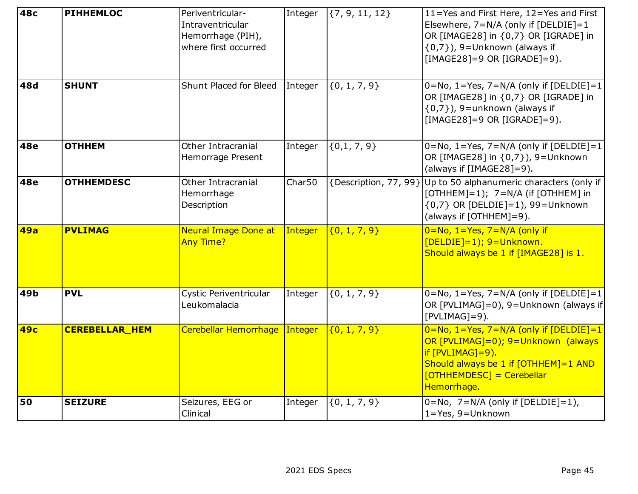| <b>48c</b> | <b>PIHHEMLOC</b>      | Periventricular-<br>Intraventricular<br>Hemorrhage (PIH),<br>where first occurred | Integer            | $\{7, 9, 11, 12\}$    | 11=Yes and First Here, 12=Yes and First<br>Elsewhere, 7=N/A (only if [DELDIE]=1<br>OR [IMAGE28] in {0,7} OR [IGRADE] in<br>$\{0,7\}$ ), 9=Unknown (always if<br>$[IMAGE28]=9$ OR $[IGRADE]=9$ ). |
|------------|-----------------------|-----------------------------------------------------------------------------------|--------------------|-----------------------|--------------------------------------------------------------------------------------------------------------------------------------------------------------------------------------------------|
| 48d        | <b>SHUNT</b>          | Shunt Placed for Bleed                                                            | Integer            | $\{0, 1, 7, 9\}$      | $0 = No, 1 = Yes, 7 = N/A$ (only if [DELDIE]=1<br>OR [IMAGE28] in {0,7} OR [IGRADE] in<br>$\{0,7\}$ ), 9=unknown (always if<br>[IMAGE28]=9 OR [IGRADE]=9).                                       |
| <b>48e</b> | <b>OTHHEM</b>         | Other Intracranial<br><b>Hemorrage Present</b>                                    | Integer            | ${0,1,7,9}$           | $0 = No, 1 = Yes, 7 = N/A$ (only if [DELDIE]=1<br>OR [IMAGE28] in {0,7}), 9=Unknown<br>(always if [IMAGE28]=9).                                                                                  |
| <b>48e</b> | <b>OTHHEMDESC</b>     | Other Intracranial<br>Hemorrhage<br>Description                                   | Char <sub>50</sub> | {Description, 77, 99} | Up to 50 alphanumeric characters (only if<br>[OTHHEM]=1); 7=N/A (if [OTHHEM] in<br>$\{0,7\}$ OR [DELDIE]=1), 99=Unknown<br>(always if [OTHHEM]=9).                                               |
| <b>49a</b> | <b>PVLIMAG</b>        | <b>Neural Image Done at</b><br><b>Any Time?</b>                                   | Integer            | $\{0, 1, 7, 9\}$      | $0 = No, 1 = Yes, 7 = N/A$ (only if<br>[DELDIE]=1); 9=Unknown.<br>Should always be 1 if [IMAGE28] is 1.                                                                                          |
| 49b        | <b>PVL</b>            | Cystic Periventricular<br>Leukomalacia                                            | Integer            | ${0, 1, 7, 9}$        | $0 = No, 1 = Yes, 7 = N/A$ (only if [DELDIE]=1<br>OR [PVLIMAG]=0), 9=Unknown (always if<br>$[PVLIMAG]=9$ ).                                                                                      |
| 49с        | <b>CEREBELLAR_HEM</b> | Cerebellar Hemorrhage Integer                                                     |                    | $\{0, 1, 7, 9\}$      | $0 = No, 1 = Yes, 7 = N/A$ (only if [DELDIE]=1<br>OR [PVLIMAG]=0); 9=Unknown (always<br>if [PVLIMAG]=9).<br>Should always be 1 if $[OTHHEM]=1$ AND<br>$[OTHHEMDESC] = Cerebellar$<br>Hemorrhage. |
| 50         | <b>SEIZURE</b>        | Seizures, EEG or<br>Clinical                                                      | Integer            | $\{0, 1, 7, 9\}$      | $0 = No$ , $7 = N/A$ (only if [DELDIE]=1),<br>$1 = Yes, 9 = Unknown$                                                                                                                             |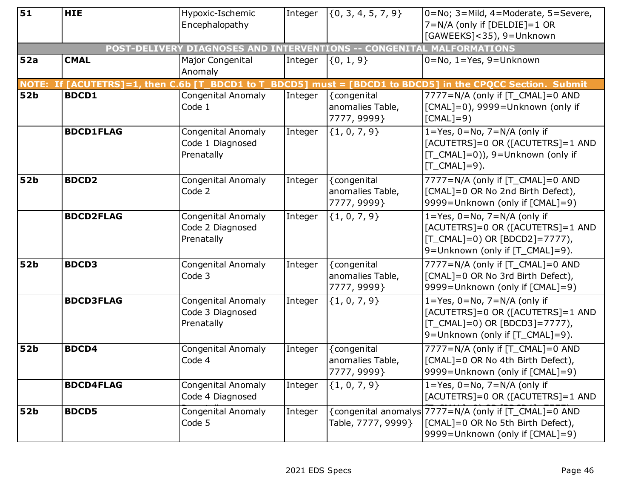| Encephalopathy<br>7=N/A (only if [DELDIE]=1 OR<br>[GAWEEKS]<35), 9=Unknown<br>POST-DELIVERY DIAGNOSES AND INTERVENTIONS -- CONGENITAL MALFORMATIONS<br>52a<br><b>CMAL</b><br>Major Congenital<br>$\{0, 1, 9\}$<br>$0 = No, 1 = Yes, 9 = Unknown$<br>Integer<br>Anomaly<br>NOTE: If [ACUTETRS]=1, then C.6b [T_BDCD1 to T<br><b>_BDCD5] must = [BDCD1 to BDCD5] in the CPQCC Section. Submit</b><br><b>52b</b><br><b>BDCD1</b><br>7777=N/A (only if [T_CMAL]=0 AND<br>Congenital Anomaly<br>Integer<br>{congenital<br>Code 1<br>anomalies Table,<br>[CMAL]=0), 9999=Unknown (only if<br>7777, 9999}<br>$[CMAL]=9)$<br><b>BDCD1FLAG</b><br>${1, 0, 7, 9}$<br>$1 = Yes, 0 = No, 7 = N/A$ (only if<br>Congenital Anomaly<br>Integer<br>[ACUTETRS]=0 OR ([ACUTETRS]=1 AND<br>Code 1 Diagnosed<br>[T_CMAL]=0)), 9=Unknown (only if<br>Prenatally |  |
|--------------------------------------------------------------------------------------------------------------------------------------------------------------------------------------------------------------------------------------------------------------------------------------------------------------------------------------------------------------------------------------------------------------------------------------------------------------------------------------------------------------------------------------------------------------------------------------------------------------------------------------------------------------------------------------------------------------------------------------------------------------------------------------------------------------------------------------------|--|
|                                                                                                                                                                                                                                                                                                                                                                                                                                                                                                                                                                                                                                                                                                                                                                                                                                            |  |
|                                                                                                                                                                                                                                                                                                                                                                                                                                                                                                                                                                                                                                                                                                                                                                                                                                            |  |
|                                                                                                                                                                                                                                                                                                                                                                                                                                                                                                                                                                                                                                                                                                                                                                                                                                            |  |
|                                                                                                                                                                                                                                                                                                                                                                                                                                                                                                                                                                                                                                                                                                                                                                                                                                            |  |
|                                                                                                                                                                                                                                                                                                                                                                                                                                                                                                                                                                                                                                                                                                                                                                                                                                            |  |
|                                                                                                                                                                                                                                                                                                                                                                                                                                                                                                                                                                                                                                                                                                                                                                                                                                            |  |
|                                                                                                                                                                                                                                                                                                                                                                                                                                                                                                                                                                                                                                                                                                                                                                                                                                            |  |
|                                                                                                                                                                                                                                                                                                                                                                                                                                                                                                                                                                                                                                                                                                                                                                                                                                            |  |
|                                                                                                                                                                                                                                                                                                                                                                                                                                                                                                                                                                                                                                                                                                                                                                                                                                            |  |
|                                                                                                                                                                                                                                                                                                                                                                                                                                                                                                                                                                                                                                                                                                                                                                                                                                            |  |
|                                                                                                                                                                                                                                                                                                                                                                                                                                                                                                                                                                                                                                                                                                                                                                                                                                            |  |
|                                                                                                                                                                                                                                                                                                                                                                                                                                                                                                                                                                                                                                                                                                                                                                                                                                            |  |
| $[T_CMAL]=9$ ).                                                                                                                                                                                                                                                                                                                                                                                                                                                                                                                                                                                                                                                                                                                                                                                                                            |  |
| <b>52b</b><br><b>BDCD2</b><br>7777=N/A (only if [T_CMAL]=0 AND<br>Congenital Anomaly<br>{congenital<br>Integer                                                                                                                                                                                                                                                                                                                                                                                                                                                                                                                                                                                                                                                                                                                             |  |
| [CMAL]=0 OR No 2nd Birth Defect),<br>Code 2<br>anomalies Table,                                                                                                                                                                                                                                                                                                                                                                                                                                                                                                                                                                                                                                                                                                                                                                            |  |
| 7777, 9999}<br>9999=Unknown (only if [CMAL]=9)                                                                                                                                                                                                                                                                                                                                                                                                                                                                                                                                                                                                                                                                                                                                                                                             |  |
| ${1, 0, 7, 9}$<br>$1 = Yes, 0 = No, 7 = N/A$ (only if<br><b>BDCD2FLAG</b><br>Congenital Anomaly<br>Integer                                                                                                                                                                                                                                                                                                                                                                                                                                                                                                                                                                                                                                                                                                                                 |  |
| [ACUTETRS]=0 OR ([ACUTETRS]=1 AND<br>Code 2 Diagnosed                                                                                                                                                                                                                                                                                                                                                                                                                                                                                                                                                                                                                                                                                                                                                                                      |  |
| [T_CMAL]=0) OR [BDCD2]=7777),<br>Prenatally<br>9=Unknown (only if [T_CMAL]=9).                                                                                                                                                                                                                                                                                                                                                                                                                                                                                                                                                                                                                                                                                                                                                             |  |
|                                                                                                                                                                                                                                                                                                                                                                                                                                                                                                                                                                                                                                                                                                                                                                                                                                            |  |
| 52b<br><b>BDCD3</b><br>Congenital Anomaly<br>{congenital<br>7777=N/A (only if [T_CMAL]=0 AND<br>Integer<br>Code 3                                                                                                                                                                                                                                                                                                                                                                                                                                                                                                                                                                                                                                                                                                                          |  |
| [CMAL]=0 OR No 3rd Birth Defect),<br>anomalies Table,<br>7777, 9999}<br>9999=Unknown (only if [CMAL]=9)                                                                                                                                                                                                                                                                                                                                                                                                                                                                                                                                                                                                                                                                                                                                    |  |
| $1 = Yes, 0 = No, 7 = N/A$ (only if<br><b>BDCD3FLAG</b>                                                                                                                                                                                                                                                                                                                                                                                                                                                                                                                                                                                                                                                                                                                                                                                    |  |
| ${1, 0, 7, 9}$<br>Congenital Anomaly<br>Integer<br>Code 3 Diagnosed<br>[ACUTETRS]=0 OR ([ACUTETRS]=1 AND                                                                                                                                                                                                                                                                                                                                                                                                                                                                                                                                                                                                                                                                                                                                   |  |
| Prenatally<br>$[T_CMAL]=0$ ) OR $[BDCD3]=7777$ ),                                                                                                                                                                                                                                                                                                                                                                                                                                                                                                                                                                                                                                                                                                                                                                                          |  |
| 9=Unknown (only if [T_CMAL]=9).                                                                                                                                                                                                                                                                                                                                                                                                                                                                                                                                                                                                                                                                                                                                                                                                            |  |
| 52b<br><b>BDCD4</b><br>{congenital<br>7777=N/A (only if [T_CMAL]=0 AND<br>Congenital Anomaly<br>Integer                                                                                                                                                                                                                                                                                                                                                                                                                                                                                                                                                                                                                                                                                                                                    |  |
| Code 4<br>[CMAL]=0 OR No 4th Birth Defect),<br>anomalies Table,                                                                                                                                                                                                                                                                                                                                                                                                                                                                                                                                                                                                                                                                                                                                                                            |  |
| 7777, 9999}<br>9999=Unknown (only if [CMAL]=9)                                                                                                                                                                                                                                                                                                                                                                                                                                                                                                                                                                                                                                                                                                                                                                                             |  |
| $1 = Yes, 0 = No, 7 = N/A$ (only if<br><b>BDCD4FLAG</b><br>Congenital Anomaly<br>Integer<br>${1, 0, 7, 9}$                                                                                                                                                                                                                                                                                                                                                                                                                                                                                                                                                                                                                                                                                                                                 |  |
| [ACUTETRS]=0 OR ([ACUTETRS]=1 AND<br>Code 4 Diagnosed                                                                                                                                                                                                                                                                                                                                                                                                                                                                                                                                                                                                                                                                                                                                                                                      |  |
| {congenital anomalys 7777=N/A (only if [T_CMAL]=0 AND<br>Congenital Anomaly<br>52b<br><b>BDCD5</b><br>Integer                                                                                                                                                                                                                                                                                                                                                                                                                                                                                                                                                                                                                                                                                                                              |  |
| [CMAL]=0 OR No 5th Birth Defect),<br>Code 5<br>Table, 7777, 9999}                                                                                                                                                                                                                                                                                                                                                                                                                                                                                                                                                                                                                                                                                                                                                                          |  |
| 9999=Unknown (only if [CMAL]=9)                                                                                                                                                                                                                                                                                                                                                                                                                                                                                                                                                                                                                                                                                                                                                                                                            |  |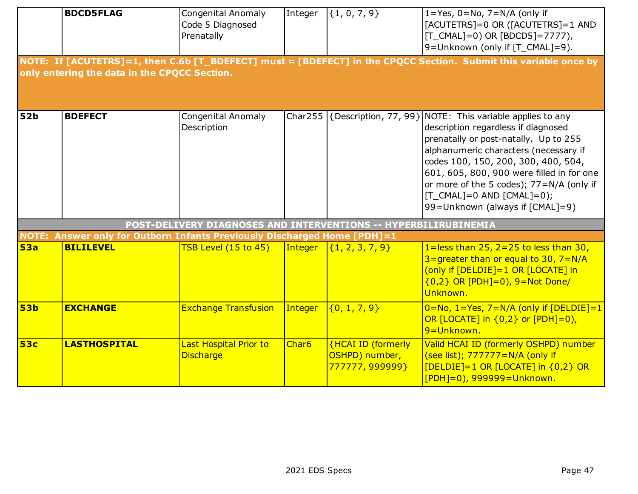|                 | <b>BDCD5FLAG</b><br>only entering the data in the CPQCC Section.                             | <b>Congenital Anomaly</b><br>Code 5 Diagnosed<br>Prenatally     | Integer           | $\{1, 0, 7, 9\}$                                                            | $1 = Yes, 0 = No, 7 = N/A$ (only if<br>[ACUTETRS]=0 OR ([ACUTETRS]=1 AND<br>[T_CMAL]=0) OR [BDCD5]=7777),<br>9=Unknown (only if [T_CMAL]=9).<br>NOTE: If [ACUTETRS]=1, then C.6b [T_BDEFECT] must = [BDEFECT] in the CPQCC Section. Submit this variable once by                                                                                                                                                |
|-----------------|----------------------------------------------------------------------------------------------|-----------------------------------------------------------------|-------------------|-----------------------------------------------------------------------------|-----------------------------------------------------------------------------------------------------------------------------------------------------------------------------------------------------------------------------------------------------------------------------------------------------------------------------------------------------------------------------------------------------------------|
| <b>52b</b>      | <b>BDEFECT</b>                                                                               | <b>Congenital Anomaly</b><br>Description                        | Char255           |                                                                             | $\left  \{\text{Description}, 77, 99\} \right $ NOTE: This variable applies to any<br>description regardless if diagnosed<br>prenatally or post-natally. Up to 255<br>alphanumeric characters (necessary if<br>codes 100, 150, 200, 300, 400, 504,<br>601, 605, 800, 900 were filled in for one<br>or more of the 5 codes); 77=N/A (only if<br>$[T_CMAL]=0$ AND $[CMAL]=0$ ;<br>99=Unknown (always if [CMAL]=9) |
|                 |                                                                                              | POST-DELIVERY DIAGNOSES AND INTERVENTIONS -- HYPERBILIRUBINEMIA |                   |                                                                             |                                                                                                                                                                                                                                                                                                                                                                                                                 |
| <b>53a</b>      | NOTE: Answer only for Outborn Infants Previously Discharged Home [PDH]=1<br><b>BILILEVEL</b> | TSB Level (15 to 45)                                            | Integer           | $\{1, 2, 3, 7, 9\}$                                                         | 1=less than $25, 2=25$ to less than 30,<br>$3 =$ qreater than or equal to 30, $7 = N/A$<br>(only if [DELDIE]=1 OR [LOCATE] in<br>$(0,2)$ OR [PDH]=0), 9=Not Done/<br>Unknown.                                                                                                                                                                                                                                   |
| 53 <sub>b</sub> | <b>EXCHANGE</b>                                                                              | <b>Exchange Transfusion</b>                                     | Integer           | $\{0, 1, 7, 9\}$                                                            | $0 = No, 1 = Yes, 7 = N/A$ (only if [DELDIE]=1<br>OR $[LOCATE]$ in $\{0,2\}$ or $[PDH]=0$ ),<br>9 = Unknown.                                                                                                                                                                                                                                                                                                    |
| <b>53c</b>      | <b>LASTHOSPITAL</b>                                                                          | <b>Last Hospital Prior to</b><br><b>Discharge</b>               | Char <sub>6</sub> | <b>{HCAI ID (formerly</b><br>OSHPD) number,<br><mark>777777, 999999}</mark> | Valid HCAI ID (formerly OSHPD) number<br>(see list); 777777=N/A (only if<br>[DELDIE]=1 OR [LOCATE] in {0,2} OR<br>$[PDH]=0$ ), 999999=Unknown.                                                                                                                                                                                                                                                                  |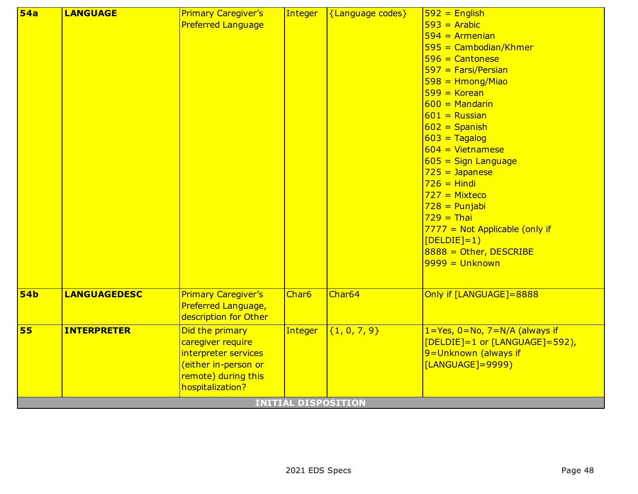| 54a        | <b>LANGUAGE</b>     | <b>Primary Caregiver's</b> | Integer                    | {Language codes}   | $592$ = English                       |
|------------|---------------------|----------------------------|----------------------------|--------------------|---------------------------------------|
|            |                     | <b>Preferred Language</b>  |                            |                    | $593$ = Arabic                        |
|            |                     |                            |                            |                    | $594 =$ Armenian                      |
|            |                     |                            |                            |                    | $595 =$ Cambodian/Khmer               |
|            |                     |                            |                            |                    | $596$ = Cantonese                     |
|            |                     |                            |                            |                    | $597 = Farsi/Persian$                 |
|            |                     |                            |                            |                    | $598 = Hmong/Miao$                    |
|            |                     |                            |                            |                    | $599 = Korean$                        |
|            |                     |                            |                            |                    | $600 = $ Mandarin                     |
|            |                     |                            |                            |                    | $601$ = Russian                       |
|            |                     |                            |                            |                    | $602 =$ Spanish                       |
|            |                     |                            |                            |                    | $603 = Tagalog$                       |
|            |                     |                            |                            |                    | $604 = \text{Vietnamese}$             |
|            |                     |                            |                            |                    | $605 =$ Sign Language                 |
|            |                     |                            |                            |                    | $725 = Japanese$                      |
|            |                     |                            |                            |                    | $726$ = Hindi                         |
|            |                     |                            |                            |                    | $727 =$ Mixteco                       |
|            |                     |                            |                            |                    | $728$ = Punjabi                       |
|            |                     |                            |                            |                    | $729 = Thai$                          |
|            |                     |                            |                            |                    | $7777$ = Not Applicable (only if      |
|            |                     |                            |                            |                    | $[DELDIE]=1)$                         |
|            |                     |                            |                            |                    | $8888 =$ Other, DESCRIBE              |
|            |                     |                            |                            |                    | $9999 = Unknown$                      |
|            |                     |                            |                            |                    |                                       |
| <b>54b</b> | <b>LANGUAGEDESC</b> | <b>Primary Caregiver's</b> | Char <sub>6</sub>          | Char <sub>64</sub> | Only if [LANGUAGE]=8888               |
|            |                     | Preferred Language,        |                            |                    |                                       |
|            |                     | description for Other      |                            |                    |                                       |
| 55         | <b>INTERPRETER</b>  | Did the primary            | Integer                    | ${1, 0, 7, 9}$     | $1 = Yes, 0 = No, 7 = N/A$ (always if |
|            |                     | caregiver require          |                            |                    | $[DELDIE]=1$ or $[LMGUAGE]=592$ ),    |
|            |                     | interpreter services       |                            |                    | 9=Unknown (always if                  |
|            |                     | either in-person or        |                            |                    | [LANGUAGE]=9999)                      |
|            |                     | remote) during this        |                            |                    |                                       |
|            |                     | hospitalization?           |                            |                    |                                       |
|            |                     |                            | <b>INITIAL DISPOSITION</b> |                    |                                       |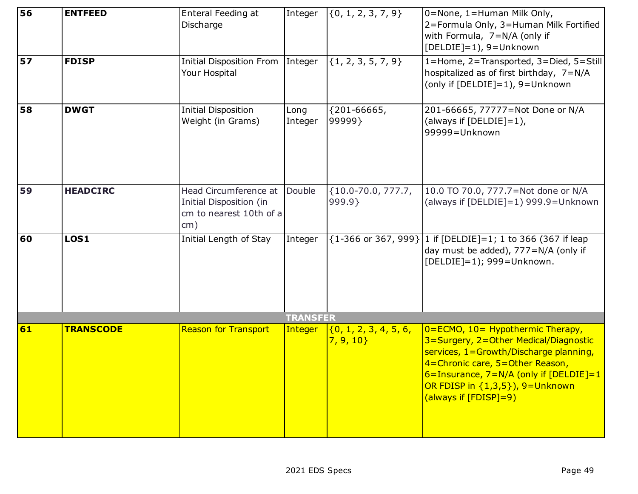| 56 | <b>ENTFEED</b>   | Enteral Feeding at<br>Discharge                                                    | Integer         | $\{0, 1, 2, 3, 7, 9\}$            | 0=None, 1=Human Milk Only,<br>2=Formula Only, 3=Human Milk Fortified<br>with Formula, 7=N/A (only if<br>[DELDIE]=1), 9=Unknown                                                                                                                                                     |
|----|------------------|------------------------------------------------------------------------------------|-----------------|-----------------------------------|------------------------------------------------------------------------------------------------------------------------------------------------------------------------------------------------------------------------------------------------------------------------------------|
| 57 | <b>FDISP</b>     | Initial Disposition From<br>Your Hospital                                          | Integer         | $\{1, 2, 3, 5, 7, 9\}$            | 1=Home, 2=Transported, 3=Died, 5=Still<br>hospitalized as of first birthday, 7=N/A<br>(only if [DELDIE]=1), 9=Unknown                                                                                                                                                              |
| 58 | <b>DWGT</b>      | <b>Initial Disposition</b><br>Weight (in Grams)                                    | Long<br>Integer | ${201 - 66665}$<br>99999}         | 201-66665, 77777=Not Done or N/A<br>(always if $[DELDIE]=1$ ),<br>99999=Unknown                                                                                                                                                                                                    |
| 59 | <b>HEADCIRC</b>  | Head Circumference at<br>Initial Disposition (in<br>cm to nearest 10th of a<br>cm) | Double          | ${10.0-70.0, 777.7}$<br>999.9}    | 10.0 TO 70.0, 777.7=Not done or N/A<br>(always if [DELDIE]=1) 999.9=Unknown                                                                                                                                                                                                        |
| 60 | <b>LOS1</b>      | Initial Length of Stay                                                             | Integer         | {1-366 or 367, 999}               | 1 if $[DELDIE]=1$ ; 1 to 366 (367 if leap<br>day must be added), 777=N/A (only if<br>[DELDIE]=1); 999=Unknown.                                                                                                                                                                     |
|    |                  |                                                                                    | <b>TRANSFER</b> |                                   |                                                                                                                                                                                                                                                                                    |
| 61 | <b>TRANSCODE</b> | <b>Reason for Transport</b>                                                        | Integer         | (0, 1, 2, 3, 4, 5, 6,<br>7, 9, 10 | $0 = ECMO$ , $10 = Hypothermic Therapy$ ,<br>3=Surgery, 2=Other Medical/Diagnostic<br>services, 1=Growth/Discharge planning,<br>4=Chronic care, 5=Other Reason,<br>$6 =$ Insurance, $7 = N/A$ (only if [DELDIE]=1<br>OR FDISP in $\{1,3,5\}$ ), 9=Unknown<br>(always if [FDISP]=9) |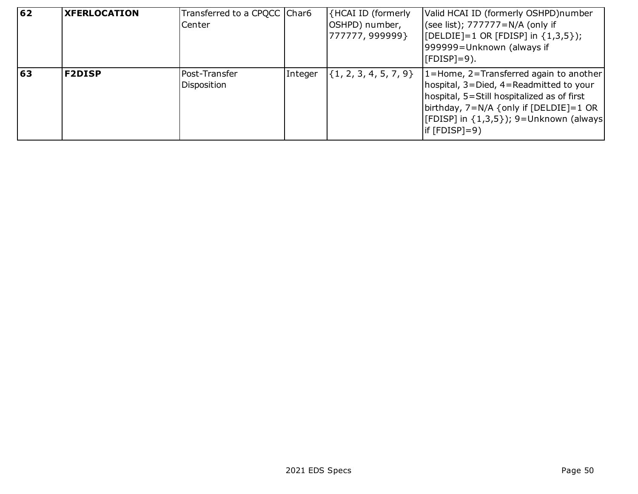| 62 | <b>XFERLOCATION</b> | Transferred to a CPQCC Char6<br>Center |         | {HCAI ID (formerly<br>OSHPD) number,<br>777777, 999999} | Valid HCAI ID (formerly OSHPD)number<br>(see list); 777777=N/A (only if<br>[ $[DELDIE]=1 OR [FDISP] in {1,3,5};$<br>999999=Unknown (always if<br>$[FDISP]=9$ ).                                                                                  |
|----|---------------------|----------------------------------------|---------|---------------------------------------------------------|--------------------------------------------------------------------------------------------------------------------------------------------------------------------------------------------------------------------------------------------------|
| 63 | <b>F2DISP</b>       | Post-Transfer<br>Disposition           | Integer | $\{1, 2, 3, 4, 5, 7, 9\}$                               | $1 =$ Home, 2=Transferred again to another<br>hospital, 3=Died, 4=Readmitted to your<br>hospital, 5=Still hospitalized as of first<br>birthday, $7=N/A$ {only if [DELDIE]=1 OR<br>[[FDISP] in {1,3,5}); 9=Unknown (always<br>$ $ if $[FDISP]=9)$ |